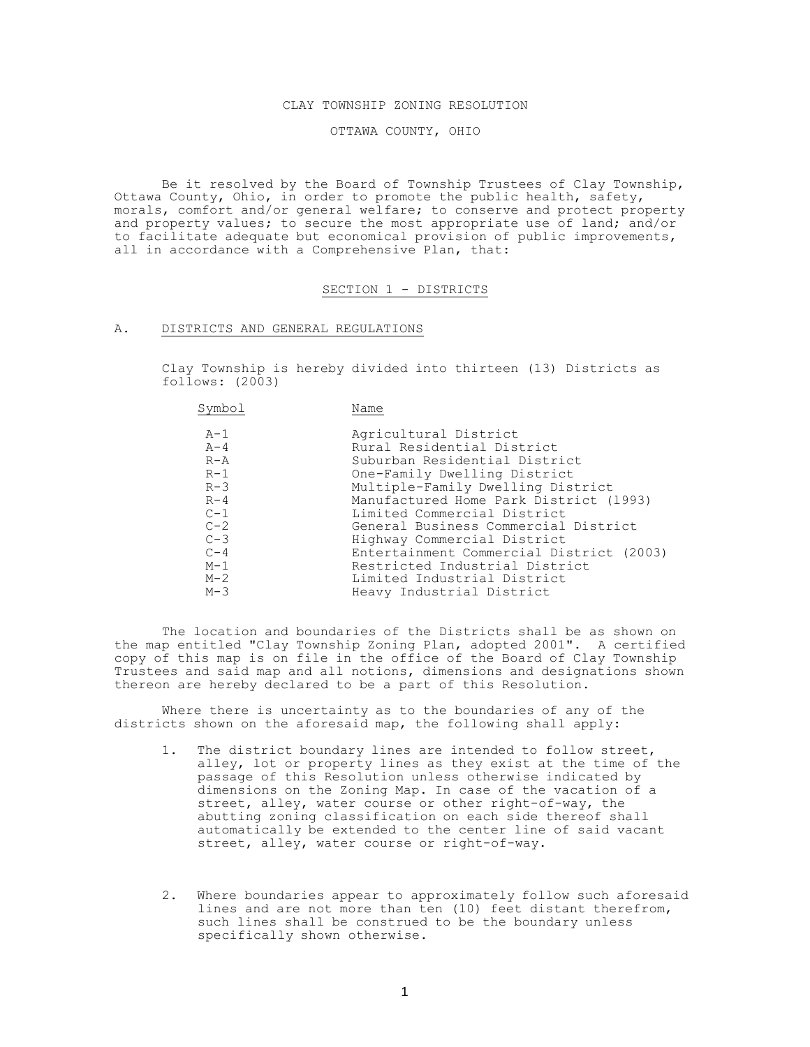### CLAY TOWNSHIP ZONING RESOLUTION

OTTAWA COUNTY, OHIO

Be it resolved by the Board of Township Trustees of Clay Township, Ottawa County, Ohio, in order to promote the public health, safety, morals, comfort and/or general welfare; to conserve and protect property and property values; to secure the most appropriate use of land; and/or to facilitate adequate but economical provision of public improvements, all in accordance with a Comprehensive Plan, that:

### SECTION 1 - DISTRICTS

### A. DISTRICTS AND GENERAL REGULATIONS

Clay Township is hereby divided into thirteen (13) Districts as follows: (2003)

| Symbol  | Name                                     |
|---------|------------------------------------------|
| $A-1$   | Agricultural District                    |
| $A - 4$ | Rural Residential District               |
| $R - A$ | Suburban Residential District            |
| $R-1$   | One-Family Dwelling District             |
| $R-3$   | Multiple-Family Dwelling District        |
| $R - 4$ | Manufactured Home Park District (1993)   |
| $C-1$   | Limited Commercial District              |
| $C-2$   | General Business Commercial District     |
| $C-3$   | Highway Commercial District              |
| $C-4$   | Entertainment Commercial District (2003) |
| $M-1$   | Restricted Industrial District           |
| $M-2$   | Limited Industrial District              |
| $M-3$   | Heavy Industrial District                |

The location and boundaries of the Districts shall be as shown on the map entitled "Clay Township Zoning Plan, adopted 2001". A certified copy of this map is on file in the office of the Board of Clay Township Trustees and said map and all notions, dimensions and designations shown thereon are hereby declared to be a part of this Resolution.

Where there is uncertainty as to the boundaries of any of the districts shown on the aforesaid map, the following shall apply:

- 1. The district boundary lines are intended to follow street, alley, lot or property lines as they exist at the time of the passage of this Resolution unless otherwise indicated by dimensions on the Zoning Map. In case of the vacation of a street, alley, water course or other right-of-way, the abutting zoning classification on each side thereof shall automatically be extended to the center line of said vacant street, alley, water course or right-of-way.
- 2. Where boundaries appear to approximately follow such aforesaid lines and are not more than ten (10) feet distant therefrom, such lines shall be construed to be the boundary unless specifically shown otherwise.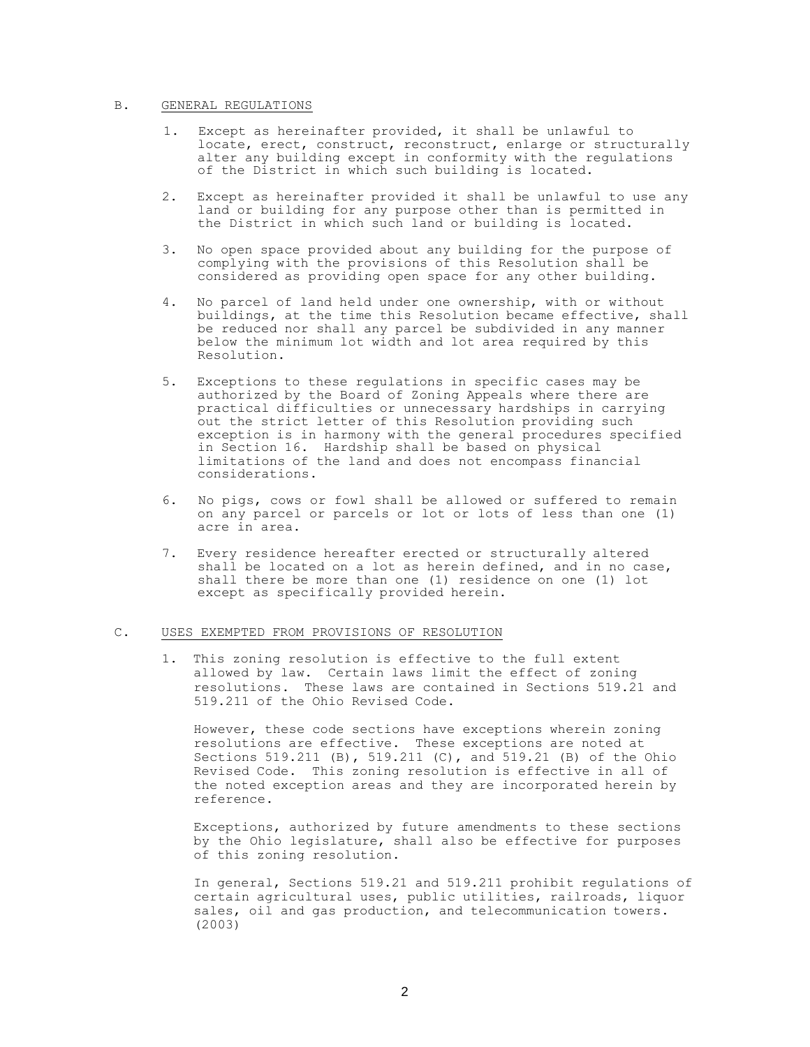## B. GENERAL REGULATIONS

- 1. Except as hereinafter provided, it shall be unlawful to locate, erect, construct, reconstruct, enlarge or structurally alter any building except in conformity with the regulations of the District in which such building is located.
- 2. Except as hereinafter provided it shall be unlawful to use any land or building for any purpose other than is permitted in the District in which such land or building is located.
- 3. No open space provided about any building for the purpose of complying with the provisions of this Resolution shall be considered as providing open space for any other building.
- 4. No parcel of land held under one ownership, with or without buildings, at the time this Resolution became effective, shall be reduced nor shall any parcel be subdivided in any manner below the minimum lot width and lot area required by this Resolution.
- 5. Exceptions to these regulations in specific cases may be authorized by the Board of Zoning Appeals where there are practical difficulties or unnecessary hardships in carrying out the strict letter of this Resolution providing such exception is in harmony with the general procedures specified in Section 16. Hardship shall be based on physical limitations of the land and does not encompass financial considerations.
- 6. No pigs, cows or fowl shall be allowed or suffered to remain on any parcel or parcels or lot or lots of less than one (1) acre in area.
- 7. Every residence hereafter erected or structurally altered shall be located on a lot as herein defined, and in no case, shall there be more than one (1) residence on one (1) lot except as specifically provided herein.

# C. USES EXEMPTED FROM PROVISIONS OF RESOLUTION

1. This zoning resolution is effective to the full extent allowed by law. Certain laws limit the effect of zoning resolutions. These laws are contained in Sections 519.21 and 519.211 of the Ohio Revised Code.

However, these code sections have exceptions wherein zoning resolutions are effective. These exceptions are noted at Sections 519.211 (B), 519.211 (C), and 519.21 (B) of the Ohio Revised Code. This zoning resolution is effective in all of the noted exception areas and they are incorporated herein by reference.

Exceptions, authorized by future amendments to these sections by the Ohio legislature, shall also be effective for purposes of this zoning resolution.

In general, Sections 519.21 and 519.211 prohibit regulations of certain agricultural uses, public utilities, railroads, liquor sales, oil and gas production, and telecommunication towers. (2003)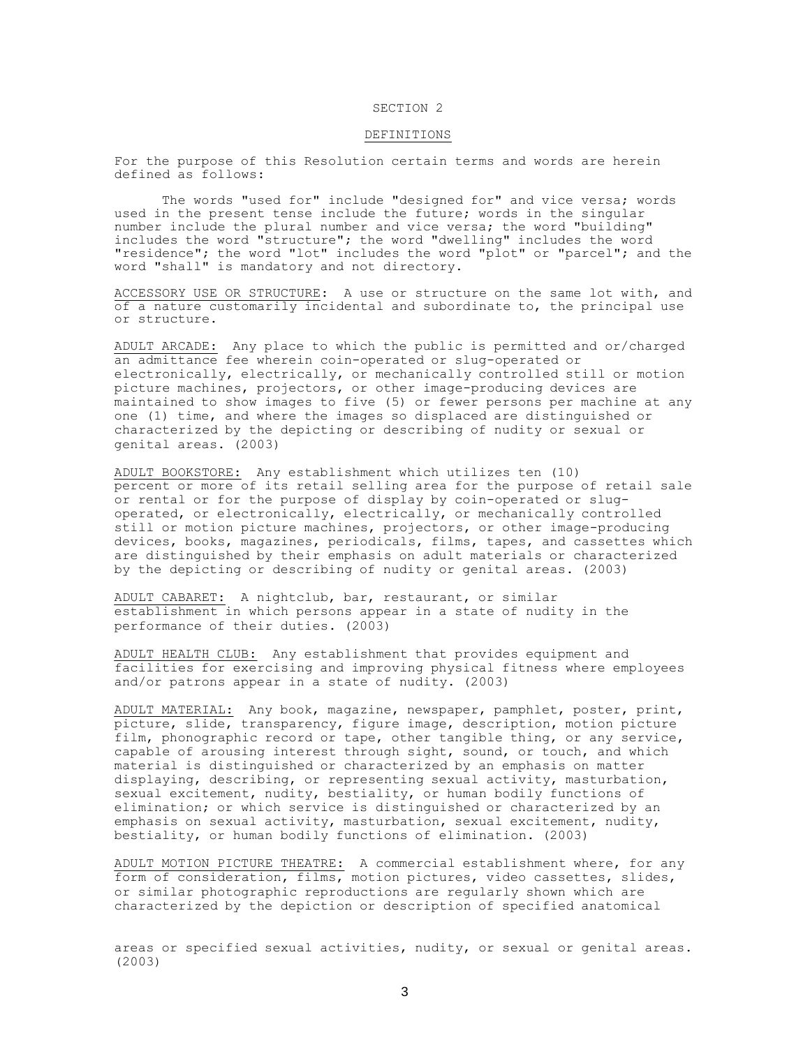#### DEFINITIONS

For the purpose of this Resolution certain terms and words are herein defined as follows:

The words "used for" include "designed for" and vice versa; words used in the present tense include the future; words in the singular number include the plural number and vice versa; the word "building" includes the word "structure"; the word "dwelling" includes the word "residence"; the word "lot" includes the word "plot" or "parcel"; and the word "shall" is mandatory and not directory.

ACCESSORY USE OR STRUCTURE: A use or structure on the same lot with, and of a nature customarily incidental and subordinate to, the principal use or structure.

ADULT ARCADE: Any place to which the public is permitted and or/charged an admittance fee wherein coin-operated or slug-operated or electronically, electrically, or mechanically controlled still or motion picture machines, projectors, or other image-producing devices are maintained to show images to five (5) or fewer persons per machine at any one (1) time, and where the images so displaced are distinguished or characterized by the depicting or describing of nudity or sexual or genital areas. (2003)

ADULT BOOKSTORE: Any establishment which utilizes ten (10) percent or more of its retail selling area for the purpose of retail sale or rental or for the purpose of display by coin-operated or slugoperated, or electronically, electrically, or mechanically controlled still or motion picture machines, projectors, or other image-producing devices, books, magazines, periodicals, films, tapes, and cassettes which are distinguished by their emphasis on adult materials or characterized by the depicting or describing of nudity or genital areas. (2003)

ADULT CABARET: A nightclub, bar, restaurant, or similar establishment in which persons appear in a state of nudity in the performance of their duties. (2003)

ADULT HEALTH CLUB: Any establishment that provides equipment and facilities for exercising and improving physical fitness where employees and/or patrons appear in a state of nudity. (2003)

ADULT MATERIAL: Any book, magazine, newspaper, pamphlet, poster, print, picture, slide, transparency, figure image, description, motion picture film, phonographic record or tape, other tangible thing, or any service, capable of arousing interest through sight, sound, or touch, and which material is distinguished or characterized by an emphasis on matter displaying, describing, or representing sexual activity, masturbation, sexual excitement, nudity, bestiality, or human bodily functions of elimination; or which service is distinguished or characterized by an emphasis on sexual activity, masturbation, sexual excitement, nudity, bestiality, or human bodily functions of elimination. (2003)

ADULT MOTION PICTURE THEATRE: A commercial establishment where, for any form of consideration, films, motion pictures, video cassettes, slides, or similar photographic reproductions are regularly shown which are characterized by the depiction or description of specified anatomical

areas or specified sexual activities, nudity, or sexual or genital areas. (2003)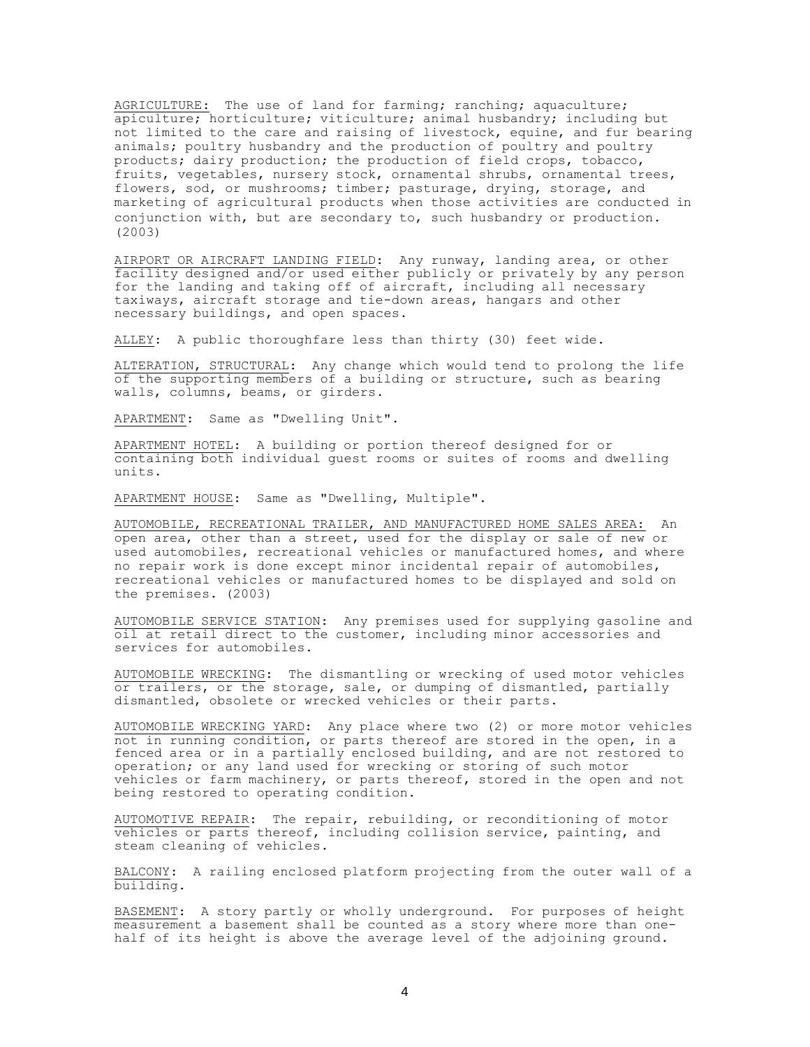AGRICULTURE: The use of land for farming; ranching; aquaculture; apiculture; horticulture; viticulture; animal husbandry; including but not limited to the care and raising of livestock, equine, and fur bearing animals; poultry husbandry and the production of poultry and poultry products; dairy production; the production of field crops, tobacco, fruits, vegetables, nursery stock, ornamental shrubs, ornamental trees, flowers, sod, or mushrooms; timber; pasturage, drying, storage, and marketing of agricultural products when those activities are conducted in conjunction with, but are secondary to, such husbandry or production. (2003)

AIRPORT OR AIRCRAFT LANDING FIELD: Any runway, landing area, or other facility designed and/or used either publicly or privately by any person for the landing and taking off of aircraft, including all necessary taxiways, aircraft storage and tie-down areas, hangars and other necessary buildings, and open spaces.

ALLEY: A public thoroughfare less than thirty (30) feet wide.

ALTERATION, STRUCTURAL: Any change which would tend to prolong the life of the supporting members of a building or structure, such as bearing walls, columns, beams, or girders.

APARTMENT: Same as "Dwelling Unit".

APARTMENT HOTEL: A building or portion thereof designed for or containing both individual guest rooms or suites of rooms and dwelling units.

APARTMENT HOUSE: Same as "Dwelling, Multiple".

AUTOMOBILE, RECREATIONAL TRAILER, AND MANUFACTURED HOME SALES AREA: An open area, other than a street, used for the display or sale of new or used automobiles, recreational vehicles or manufactured homes, and where no repair work is done except minor incidental repair of automobiles, recreational vehicles or manufactured homes to be displayed and sold on the premises. (2003)

AUTOMOBILE SERVICE STATION: Any premises used for supplying gasoline and oil at retail direct to the customer, including minor accessories and services for automobiles.

AUTOMOBILE WRECKING: The dismantling or wrecking of used motor vehicles or trailers, or the storage, sale, or dumping of dismantled, partially dismantled, obsolete or wrecked vehicles or their parts.

AUTOMOBILE WRECKING YARD: Any place where two (2) or more motor vehicles not in running condition, or parts thereof are stored in the open, in a fenced area or in a partially enclosed building, and are not restored to operation; or any land used for wrecking or storing of such motor vehicles or farm machinery, or parts thereof, stored in the open and not being restored to operating condition.

AUTOMOTIVE REPAIR: The repair, rebuilding, or reconditioning of motor vehicles or parts thereof, including collision service, painting, and steam cleaning of vehicles.

BALCONY: A railing enclosed platform projecting from the outer wall of a building.

BASEMENT: A story partly or wholly underground. For purposes of height measurement a basement shall be counted as a story where more than onehalf of its height is above the average level of the adjoining ground.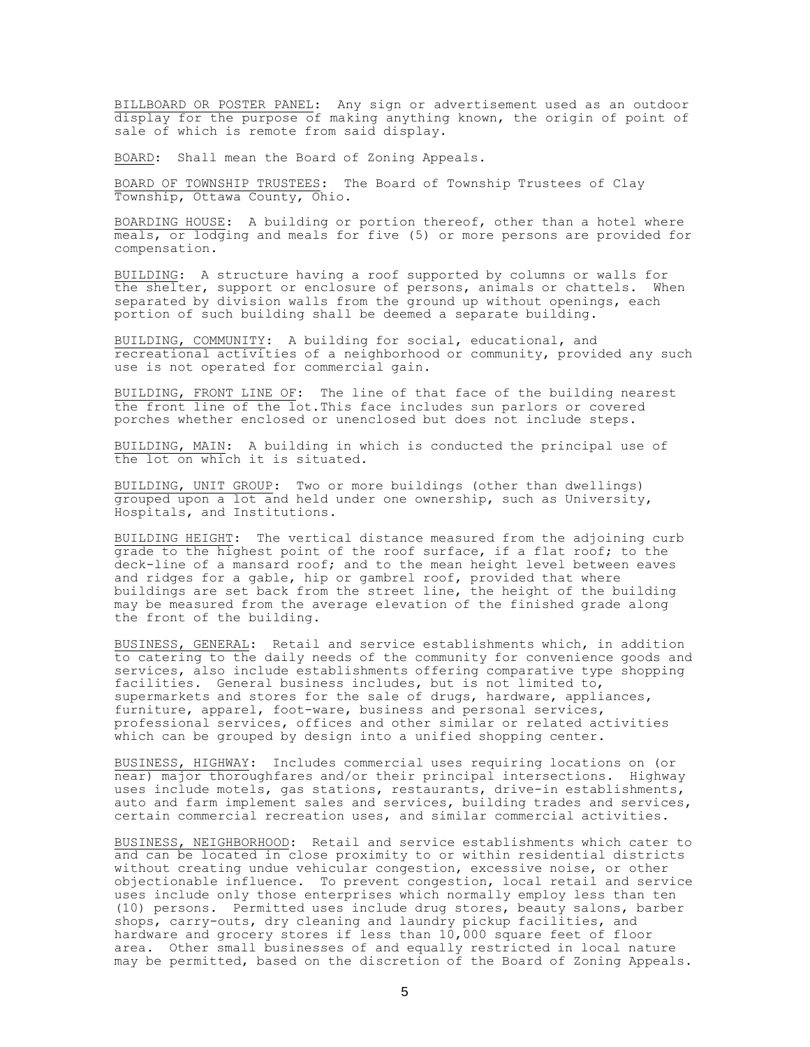BILLBOARD OR POSTER PANEL: Any sign or advertisement used as an outdoor display for the purpose of making anything known, the origin of point of sale of which is remote from said display.

BOARD: Shall mean the Board of Zoning Appeals.

BOARD OF TOWNSHIP TRUSTEES: The Board of Township Trustees of Clay Township, Ottawa County, Ohio.

BOARDING HOUSE: A building or portion thereof, other than a hotel where meals, or lodging and meals for five (5) or more persons are provided for compensation.

BUILDING: A structure having a roof supported by columns or walls for the shelter, support or enclosure of persons, animals or chattels. When separated by division walls from the ground up without openings, each portion of such building shall be deemed a separate building.

BUILDING, COMMUNITY: A building for social, educational, and recreational activities of a neighborhood or community, provided any such use is not operated for commercial gain.

BUILDING, FRONT LINE OF: The line of that face of the building nearest the front line of the lot.This face includes sun parlors or covered porches whether enclosed or unenclosed but does not include steps.

BUILDING, MAIN: A building in which is conducted the principal use of the lot on which it is situated.

BUILDING, UNIT GROUP: Two or more buildings (other than dwellings) grouped upon a lot and held under one ownership, such as University, Hospitals, and Institutions.

BUILDING HEIGHT: The vertical distance measured from the adjoining curb grade to the highest point of the roof surface, if a flat roof; to the deck-line of a mansard roof; and to the mean height level between eaves and ridges for a gable, hip or gambrel roof, provided that where buildings are set back from the street line, the height of the building may be measured from the average elevation of the finished grade along the front of the building.

BUSINESS, GENERAL: Retail and service establishments which, in addition to catering to the daily needs of the community for convenience goods and services, also include establishments offering comparative type shopping facilities. General business includes, but is not limited to, supermarkets and stores for the sale of drugs, hardware, appliances, furniture, apparel, foot-ware, business and personal services, professional services, offices and other similar or related activities which can be grouped by design into a unified shopping center.

BUSINESS, HIGHWAY: Includes commercial uses requiring locations on (or near) major thoroughfares and/or their principal intersections. Highway uses include motels, gas stations, restaurants, drive-in establishments, auto and farm implement sales and services, building trades and services, certain commercial recreation uses, and similar commercial activities.

BUSINESS, NEIGHBORHOOD: Retail and service establishments which cater to and can be located in close proximity to or within residential districts without creating undue vehicular congestion, excessive noise, or other objectionable influence. To prevent congestion, local retail and service uses include only those enterprises which normally employ less than ten (10) persons. Permitted uses include drug stores, beauty salons, barber shops, carry-outs, dry cleaning and laundry pickup facilities, and hardware and grocery stores if less than 10,000 square feet of floor area. Other small businesses of and equally restricted in local nature may be permitted, based on the discretion of the Board of Zoning Appeals.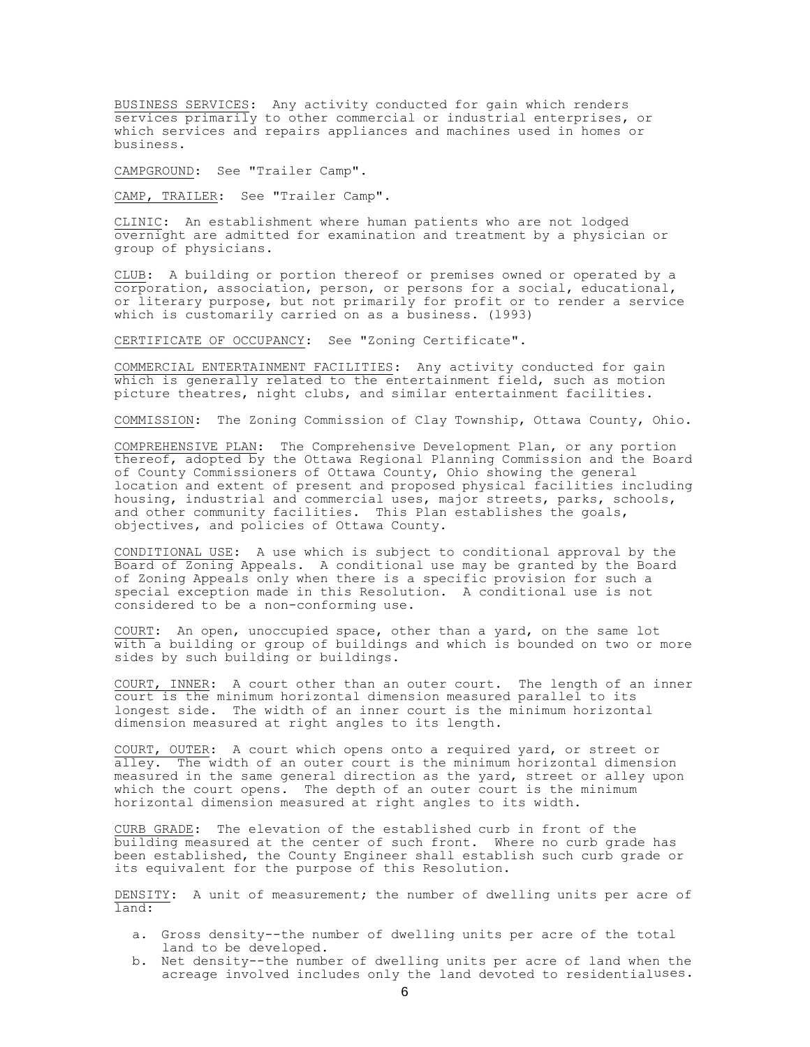BUSINESS SERVICES: Any activity conducted for gain which renders services primarily to other commercial or industrial enterprises, or which services and repairs appliances and machines used in homes or business.

CAMPGROUND: See "Trailer Camp".

CAMP, TRAILER: See "Trailer Camp".

CLINIC: An establishment where human patients who are not lodged overnight are admitted for examination and treatment by a physician or group of physicians.

CLUB: A building or portion thereof or premises owned or operated by a corporation, association, person, or persons for a social, educational, or literary purpose, but not primarily for profit or to render a service which is customarily carried on as a business. (1993)

CERTIFICATE OF OCCUPANCY: See "Zoning Certificate".

COMMERCIAL ENTERTAINMENT FACILITIES: Any activity conducted for gain which is generally related to the entertainment field, such as motion picture theatres, night clubs, and similar entertainment facilities.

COMMISSION: The Zoning Commission of Clay Township, Ottawa County, Ohio.

COMPREHENSIVE PLAN: The Comprehensive Development Plan, or any portion thereof, adopted by the Ottawa Regional Planning Commission and the Board of County Commissioners of Ottawa County, Ohio showing the general location and extent of present and proposed physical facilities including housing, industrial and commercial uses, major streets, parks, schools, and other community facilities. This Plan establishes the goals, objectives, and policies of Ottawa County.

CONDITIONAL USE: A use which is subject to conditional approval by the Board of Zoning Appeals. A conditional use may be granted by the Board of Zoning Appeals only when there is a specific provision for such a special exception made in this Resolution. A conditional use is not considered to be a non-conforming use.

COURT: An open, unoccupied space, other than a yard, on the same lot with a building or group of buildings and which is bounded on two or more sides by such building or buildings.

COURT, INNER: A court other than an outer court. The length of an inner court is the minimum horizontal dimension measured parallel to its longest side. The width of an inner court is the minimum horizontal dimension measured at right angles to its length.

COURT, OUTER: A court which opens onto a required yard, or street or alley. The width of an outer court is the minimum horizontal dimension measured in the same general direction as the yard, street or alley upon which the court opens. The depth of an outer court is the minimum horizontal dimension measured at right angles to its width.

CURB GRADE: The elevation of the established curb in front of the building measured at the center of such front. Where no curb grade has been established, the County Engineer shall establish such curb grade or its equivalent for the purpose of this Resolution.

DENSITY: A unit of measurement; the number of dwelling units per acre of land:

- a. Gross density--the number of dwelling units per acre of the total land to be developed.
- b. Net density--the number of dwelling units per acre of land when the acreage involved includes only the land devoted to residentialuses.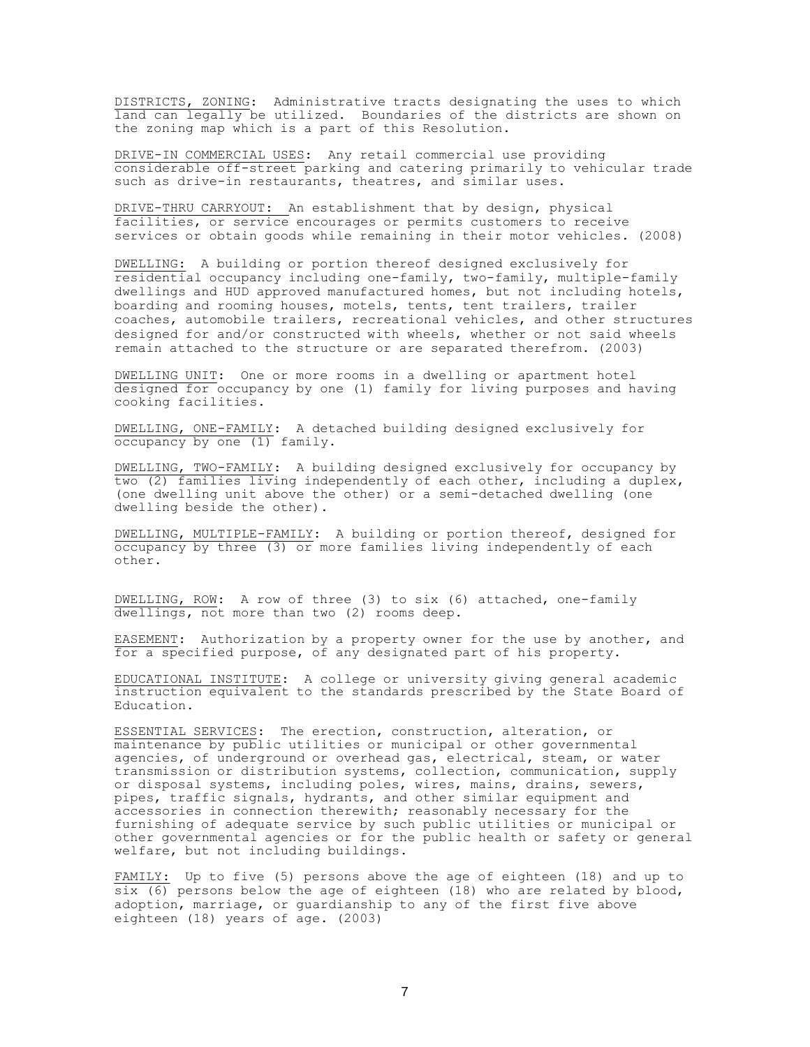DISTRICTS, ZONING: Administrative tracts designating the uses to which land can legally be utilized. Boundaries of the districts are shown on the zoning map which is a part of this Resolution.

DRIVE-IN COMMERCIAL USES: Any retail commercial use providing considerable off-street parking and catering primarily to vehicular trade such as drive-in restaurants, theatres, and similar uses.

DRIVE-THRU CARRYOUT: An establishment that by design, physical facilities, or service encourages or permits customers to receive services or obtain goods while remaining in their motor vehicles. (2008)

DWELLING: A building or portion thereof designed exclusively for residential occupancy including one-family, two-family, multiple-family dwellings and HUD approved manufactured homes, but not including hotels, boarding and rooming houses, motels, tents, tent trailers, trailer coaches, automobile trailers, recreational vehicles, and other structures designed for and/or constructed with wheels, whether or not said wheels remain attached to the structure or are separated therefrom. (2003)

DWELLING UNIT: One or more rooms in a dwelling or apartment hotel designed for occupancy by one (1) family for living purposes and having cooking facilities.

DWELLING, ONE-FAMILY: A detached building designed exclusively for occupancy by one (1) family.

DWELLING, TWO-FAMILY: A building designed exclusively for occupancy by two (2) families living independently of each other, including a duplex, (one dwelling unit above the other) or a semi-detached dwelling (one dwelling beside the other).

DWELLING, MULTIPLE-FAMILY: A building or portion thereof, designed for occupancy by three (3) or more families living independently of each other.

DWELLING, ROW: A row of three (3) to six (6) attached, one-family dwellings, not more than two (2) rooms deep.

EASEMENT: Authorization by a property owner for the use by another, and for a specified purpose, of any designated part of his property.

EDUCATIONAL INSTITUTE: A college or university giving general academic instruction equivalent to the standards prescribed by the State Board of Education.

ESSENTIAL SERVICES: The erection, construction, alteration, or maintenance by public utilities or municipal or other governmental agencies, of underground or overhead gas, electrical, steam, or water transmission or distribution systems, collection, communication, supply or disposal systems, including poles, wires, mains, drains, sewers, pipes, traffic signals, hydrants, and other similar equipment and accessories in connection therewith; reasonably necessary for the furnishing of adequate service by such public utilities or municipal or other governmental agencies or for the public health or safety or general welfare, but not including buildings.

FAMILY: Up to five (5) persons above the age of eighteen (18) and up to  $\overline{\text{six}}$  (6) persons below the age of eighteen (18) who are related by blood, adoption, marriage, or guardianship to any of the first five above eighteen (18) years of age. (2003)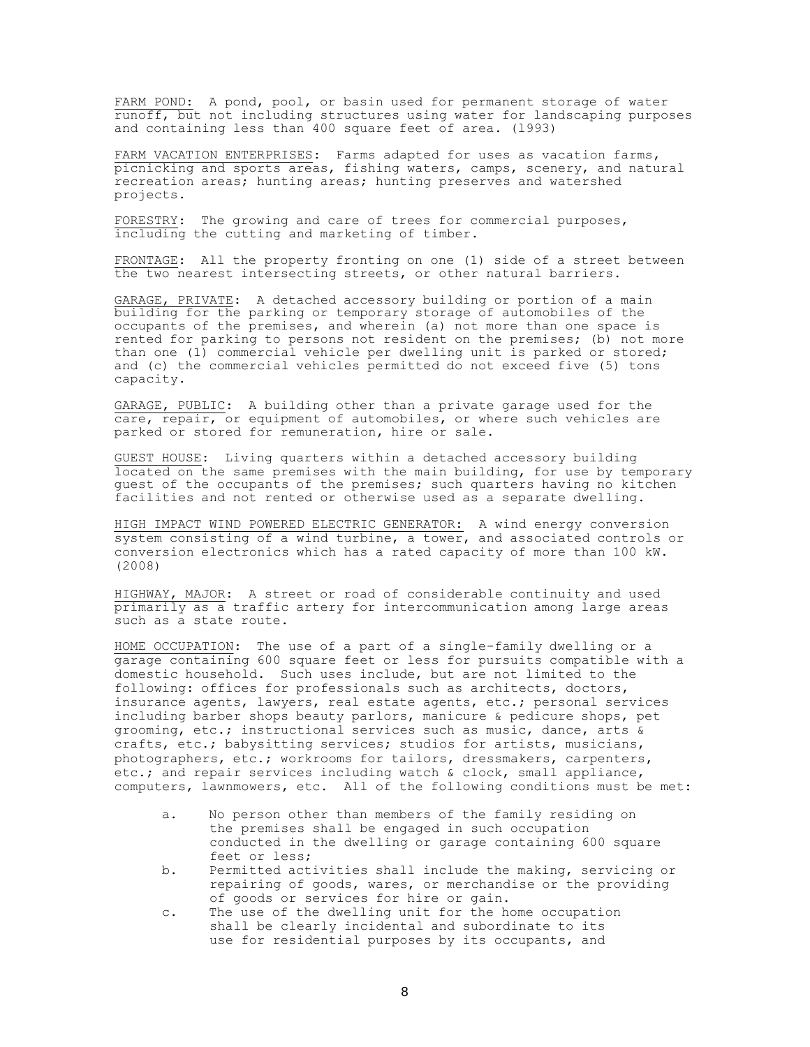FARM POND: A pond, pool, or basin used for permanent storage of water runoff, but not including structures using water for landscaping purposes and containing less than 400 square feet of area. (l993)

FARM VACATION ENTERPRISES: Farms adapted for uses as vacation farms, picnicking and sports areas, fishing waters, camps, scenery, and natural recreation areas; hunting areas; hunting preserves and watershed projects.

FORESTRY: The growing and care of trees for commercial purposes, including the cutting and marketing of timber.

FRONTAGE: All the property fronting on one (1) side of a street between the two nearest intersecting streets, or other natural barriers.

GARAGE, PRIVATE: A detached accessory building or portion of a main building for the parking or temporary storage of automobiles of the occupants of the premises, and wherein (a) not more than one space is rented for parking to persons not resident on the premises; (b) not more than one (1) commercial vehicle per dwelling unit is parked or stored; and (c) the commercial vehicles permitted do not exceed five (5) tons capacity.

GARAGE, PUBLIC: A building other than a private garage used for the care, repair, or equipment of automobiles, or where such vehicles are parked or stored for remuneration, hire or sale.

GUEST HOUSE: Living quarters within a detached accessory building located on the same premises with the main building, for use by temporary guest of the occupants of the premises; such quarters having no kitchen facilities and not rented or otherwise used as a separate dwelling.

HIGH IMPACT WIND POWERED ELECTRIC GENERATOR: A wind energy conversion system consisting of a wind turbine, a tower, and associated controls or conversion electronics which has a rated capacity of more than 100 kW. (2008)

HIGHWAY, MAJOR: A street or road of considerable continuity and used primarily as a traffic artery for intercommunication among large areas such as a state route.

HOME OCCUPATION: The use of a part of a single-family dwelling or a garage containing 600 square feet or less for pursuits compatible with a domestic household. Such uses include, but are not limited to the following: offices for professionals such as architects, doctors, insurance agents, lawyers, real estate agents, etc.; personal services including barber shops beauty parlors, manicure  $\&$  pedicure shops, pet grooming, etc.; instructional services such as music, dance, arts & crafts, etc.; babysitting services; studios for artists, musicians, photographers, etc.; workrooms for tailors, dressmakers, carpenters, etc.; and repair services including watch & clock, small appliance, computers, lawnmowers, etc. All of the following conditions must be met:

- a. No person other than members of the family residing on the premises shall be engaged in such occupation conducted in the dwelling or garage containing 600 square feet or less;
- b. Permitted activities shall include the making, servicing or repairing of goods, wares, or merchandise or the providing of goods or services for hire or gain.
- c. The use of the dwelling unit for the home occupation shall be clearly incidental and subordinate to its use for residential purposes by its occupants, and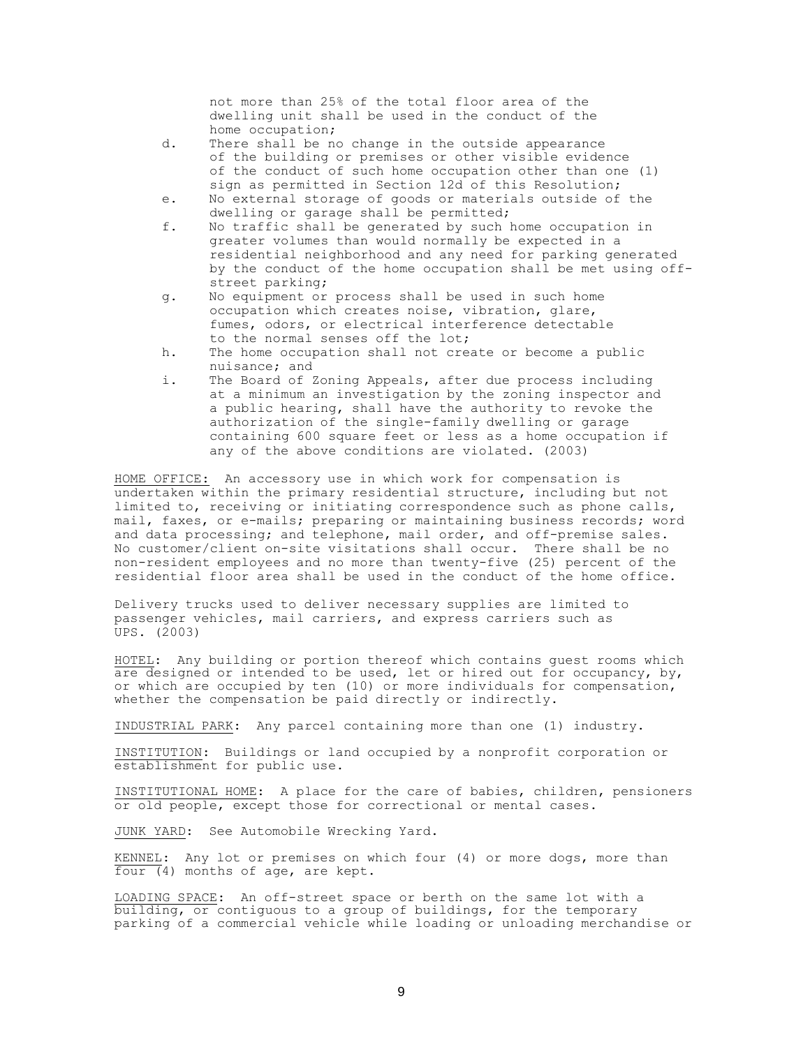not more than 25% of the total floor area of the dwelling unit shall be used in the conduct of the home occupation;

- d. There shall be no change in the outside appearance of the building or premises or other visible evidence of the conduct of such home occupation other than one (1) sign as permitted in Section 12d of this Resolution;
- e. No external storage of goods or materials outside of the dwelling or garage shall be permitted;
- f. No traffic shall be generated by such home occupation in greater volumes than would normally be expected in a residential neighborhood and any need for parking generated by the conduct of the home occupation shall be met using offstreet parking;
- g. No equipment or process shall be used in such home occupation which creates noise, vibration, glare, fumes, odors, or electrical interference detectable to the normal senses off the lot;
- h. The home occupation shall not create or become a public nuisance; and
- i. The Board of Zoning Appeals, after due process including at a minimum an investigation by the zoning inspector and a public hearing, shall have the authority to revoke the authorization of the single-family dwelling or garage containing 600 square feet or less as a home occupation if any of the above conditions are violated. (2003)

HOME OFFICE: An accessory use in which work for compensation is undertaken within the primary residential structure, including but not limited to, receiving or initiating correspondence such as phone calls, mail, faxes, or e-mails; preparing or maintaining business records; word and data processing; and telephone, mail order, and off-premise sales. No customer/client on-site visitations shall occur. There shall be no non-resident employees and no more than twenty-five (25) percent of the residential floor area shall be used in the conduct of the home office.

Delivery trucks used to deliver necessary supplies are limited to passenger vehicles, mail carriers, and express carriers such as UPS. (2003)

HOTEL: Any building or portion thereof which contains guest rooms which are designed or intended to be used, let or hired out for occupancy, by, or which are occupied by ten (10) or more individuals for compensation, whether the compensation be paid directly or indirectly.

INDUSTRIAL PARK: Any parcel containing more than one (1) industry.

INSTITUTION: Buildings or land occupied by a nonprofit corporation or establishment for public use.

INSTITUTIONAL HOME: A place for the care of babies, children, pensioners or old people, except those for correctional or mental cases.

JUNK YARD: See Automobile Wrecking Yard.

KENNEL: Any lot or premises on which four (4) or more dogs, more than four (4) months of age, are kept.

LOADING SPACE: An off-street space or berth on the same lot with a building, or contiguous to a group of buildings, for the temporary parking of a commercial vehicle while loading or unloading merchandise or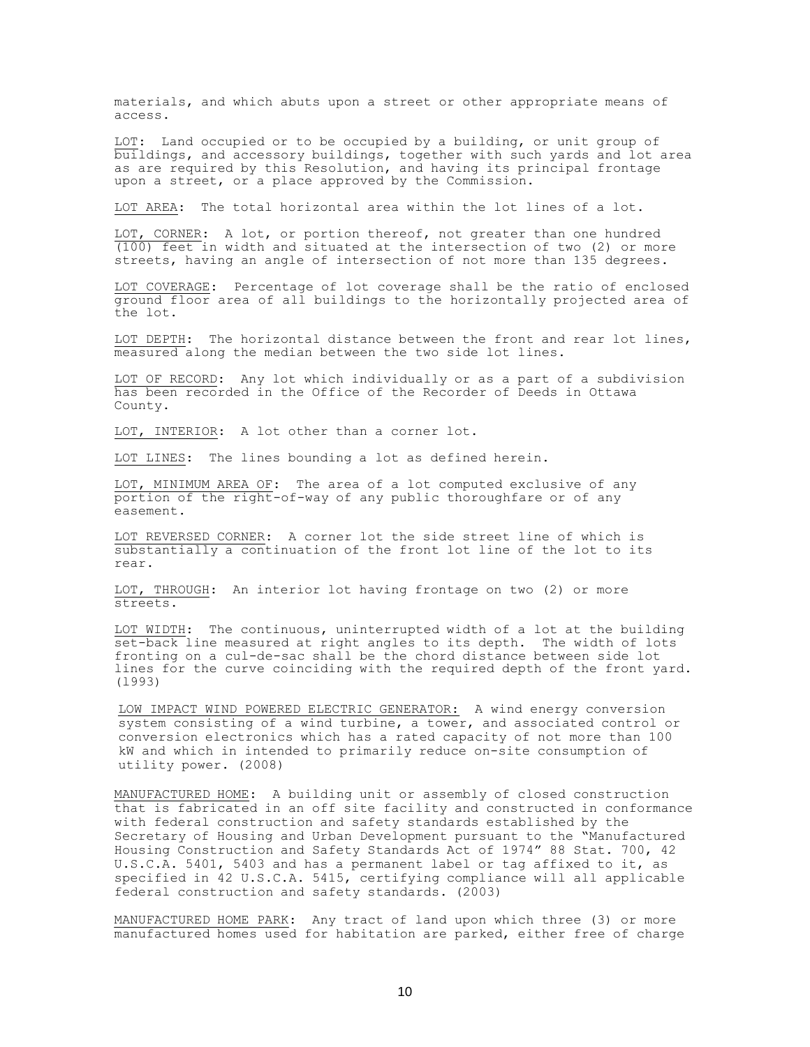materials, and which abuts upon a street or other appropriate means of access.

LOT: Land occupied or to be occupied by a building, or unit group of buildings, and accessory buildings, together with such yards and lot area as are required by this Resolution, and having its principal frontage upon a street, or a place approved by the Commission.

LOT AREA: The total horizontal area within the lot lines of a lot.

LOT, CORNER: A lot, or portion thereof, not greater than one hundred (100) feet in width and situated at the intersection of two (2) or more streets, having an angle of intersection of not more than 135 degrees.

LOT COVERAGE: Percentage of lot coverage shall be the ratio of enclosed ground floor area of all buildings to the horizontally projected area of the lot.

LOT DEPTH: The horizontal distance between the front and rear lot lines, measured along the median between the two side lot lines.

LOT OF RECORD: Any lot which individually or as a part of a subdivision has been recorded in the Office of the Recorder of Deeds in Ottawa County.

LOT, INTERIOR: A lot other than a corner lot.

LOT LINES: The lines bounding a lot as defined herein.

LOT, MINIMUM AREA OF: The area of a lot computed exclusive of any portion of the right-of-way of any public thoroughfare or of any easement.

LOT REVERSED CORNER: A corner lot the side street line of which is substantially a continuation of the front lot line of the lot to its rear.

LOT, THROUGH: An interior lot having frontage on two (2) or more streets.

LOT WIDTH: The continuous, uninterrupted width of a lot at the building set-back line measured at right angles to its depth. The width of lots fronting on a cul-de-sac shall be the chord distance between side lot lines for the curve coinciding with the required depth of the front yard. (l993)

LOW IMPACT WIND POWERED ELECTRIC GENERATOR: A wind energy conversion system consisting of a wind turbine, a tower, and associated control or conversion electronics which has a rated capacity of not more than 100 kW and which in intended to primarily reduce on-site consumption of utility power. (2008)

MANUFACTURED HOME: A building unit or assembly of closed construction that is fabricated in an off site facility and constructed in conformance with federal construction and safety standards established by the Secretary of Housing and Urban Development pursuant to the "Manufactured Housing Construction and Safety Standards Act of 1974" 88 Stat. 700, 42 U.S.C.A. 5401, 5403 and has a permanent label or tag affixed to it, as specified in 42 U.S.C.A. 5415, certifying compliance will all applicable federal construction and safety standards. (2003)

MANUFACTURED HOME PARK: Any tract of land upon which three (3) or more manufactured homes used for habitation are parked, either free of charge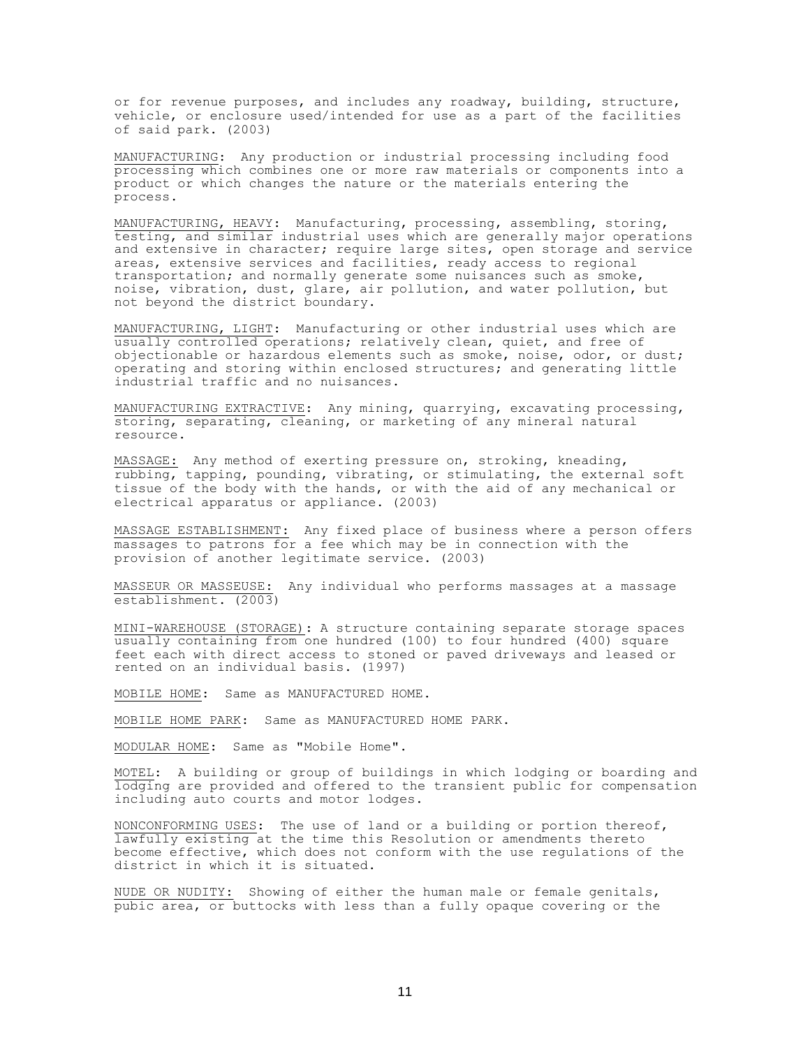or for revenue purposes, and includes any roadway, building, structure, vehicle, or enclosure used/intended for use as a part of the facilities of said park. (2003)

MANUFACTURING: Any production or industrial processing including food processing which combines one or more raw materials or components into a product or which changes the nature or the materials entering the process.

MANUFACTURING, HEAVY: Manufacturing, processing, assembling, storing, testing, and similar industrial uses which are generally major operations and extensive in character; require large sites, open storage and service areas, extensive services and facilities, ready access to regional transportation; and normally generate some nuisances such as smoke, noise, vibration, dust, glare, air pollution, and water pollution, but not beyond the district boundary.

MANUFACTURING, LIGHT: Manufacturing or other industrial uses which are usually controlled operations; relatively clean, quiet, and free of objectionable or hazardous elements such as smoke, noise, odor, or dust; operating and storing within enclosed structures; and generating little industrial traffic and no nuisances.

MANUFACTURING EXTRACTIVE: Any mining, quarrying, excavating processing, storing, separating, cleaning, or marketing of any mineral natural resource.

MASSAGE: Any method of exerting pressure on, stroking, kneading, rubbing, tapping, pounding, vibrating, or stimulating, the external soft tissue of the body with the hands, or with the aid of any mechanical or electrical apparatus or appliance. (2003)

MASSAGE ESTABLISHMENT: Any fixed place of business where a person offers massages to patrons for a fee which may be in connection with the provision of another legitimate service. (2003)

MASSEUR OR MASSEUSE: Any individual who performs massages at a massage establishment. (2003)

MINI-WAREHOUSE (STORAGE): A structure containing separate storage spaces usually containing from one hundred (100) to four hundred (400) square feet each with direct access to stoned or paved driveways and leased or rented on an individual basis. (1997)

MOBILE HOME: Same as MANUFACTURED HOME.

MOBILE HOME PARK: Same as MANUFACTURED HOME PARK.

MODULAR HOME: Same as "Mobile Home".

MOTEL: A building or group of buildings in which lodging or boarding and lodging are provided and offered to the transient public for compensation including auto courts and motor lodges.

NONCONFORMING USES: The use of land or a building or portion thereof, lawfully existing at the time this Resolution or amendments thereto become effective, which does not conform with the use regulations of the district in which it is situated.

NUDE OR NUDITY: Showing of either the human male or female genitals, pubic area, or buttocks with less than a fully opaque covering or the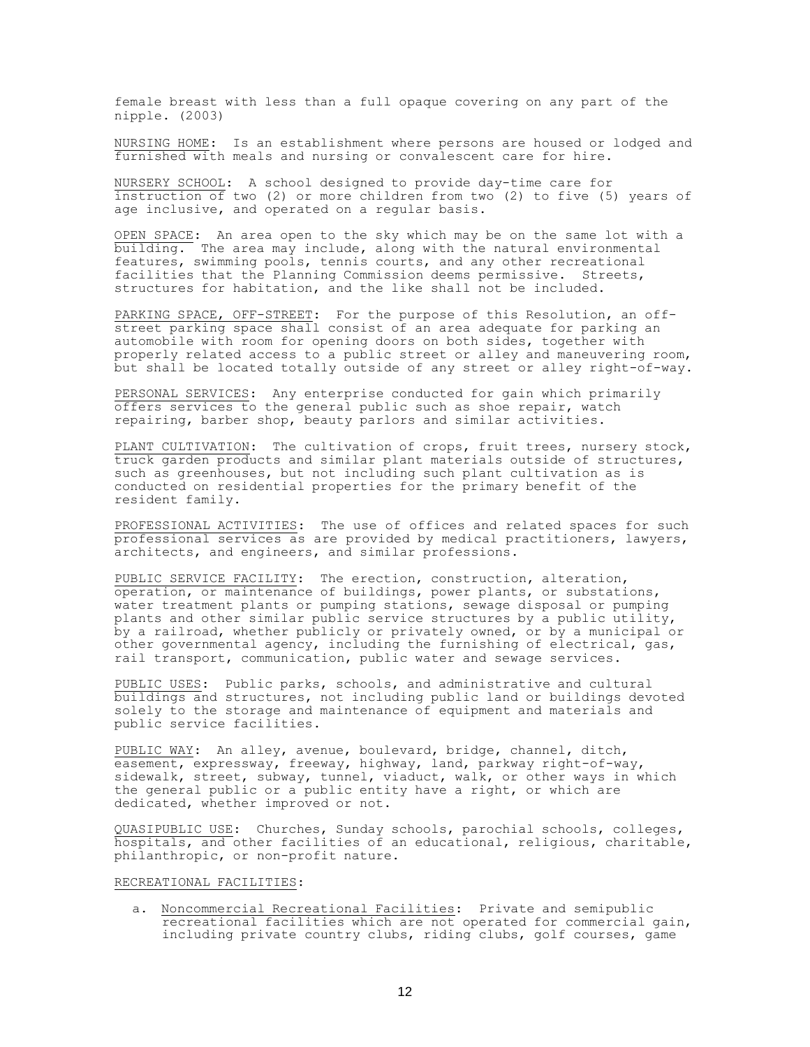female breast with less than a full opaque covering on any part of the nipple. (2003)

NURSING HOME: Is an establishment where persons are housed or lodged and furnished with meals and nursing or convalescent care for hire.

NURSERY SCHOOL: A school designed to provide day-time care for instruction of two (2) or more children from two (2) to five (5) years of age inclusive, and operated on a regular basis.

OPEN SPACE: An area open to the sky which may be on the same lot with a building. The area may include, along with the natural environmental features, swimming pools, tennis courts, and any other recreational facilities that the Planning Commission deems permissive. Streets, structures for habitation, and the like shall not be included.

PARKING SPACE, OFF-STREET: For the purpose of this Resolution, an offstreet parking space shall consist of an area adequate for parking an automobile with room for opening doors on both sides, together with properly related access to a public street or alley and maneuvering room, but shall be located totally outside of any street or alley right-of-way.

PERSONAL SERVICES: Any enterprise conducted for gain which primarily offers services to the general public such as shoe repair, watch repairing, barber shop, beauty parlors and similar activities.

PLANT CULTIVATION: The cultivation of crops, fruit trees, nursery stock, truck garden products and similar plant materials outside of structures, such as greenhouses, but not including such plant cultivation as is conducted on residential properties for the primary benefit of the resident family.

PROFESSIONAL ACTIVITIES: The use of offices and related spaces for such professional services as are provided by medical practitioners, lawyers, architects, and engineers, and similar professions.

PUBLIC SERVICE FACILITY: The erection, construction, alteration, operation, or maintenance of buildings, power plants, or substations, water treatment plants or pumping stations, sewage disposal or pumping plants and other similar public service structures by a public utility, by a railroad, whether publicly or privately owned, or by a municipal or other governmental agency, including the furnishing of electrical, gas, rail transport, communication, public water and sewage services.

PUBLIC USES: Public parks, schools, and administrative and cultural buildings and structures, not including public land or buildings devoted solely to the storage and maintenance of equipment and materials and public service facilities.

PUBLIC WAY: An alley, avenue, boulevard, bridge, channel, ditch, easement, expressway, freeway, highway, land, parkway right-of-way, sidewalk, street, subway, tunnel, viaduct, walk, or other ways in which the general public or a public entity have a right, or which are dedicated, whether improved or not.

QUASIPUBLIC USE: Churches, Sunday schools, parochial schools, colleges, hospitals, and other facilities of an educational, religious, charitable, philanthropic, or non-profit nature.

#### RECREATIONAL FACILITIES:

a. Noncommercial Recreational Facilities: Private and semipublic recreational facilities which are not operated for commercial gain, including private country clubs, riding clubs, golf courses, game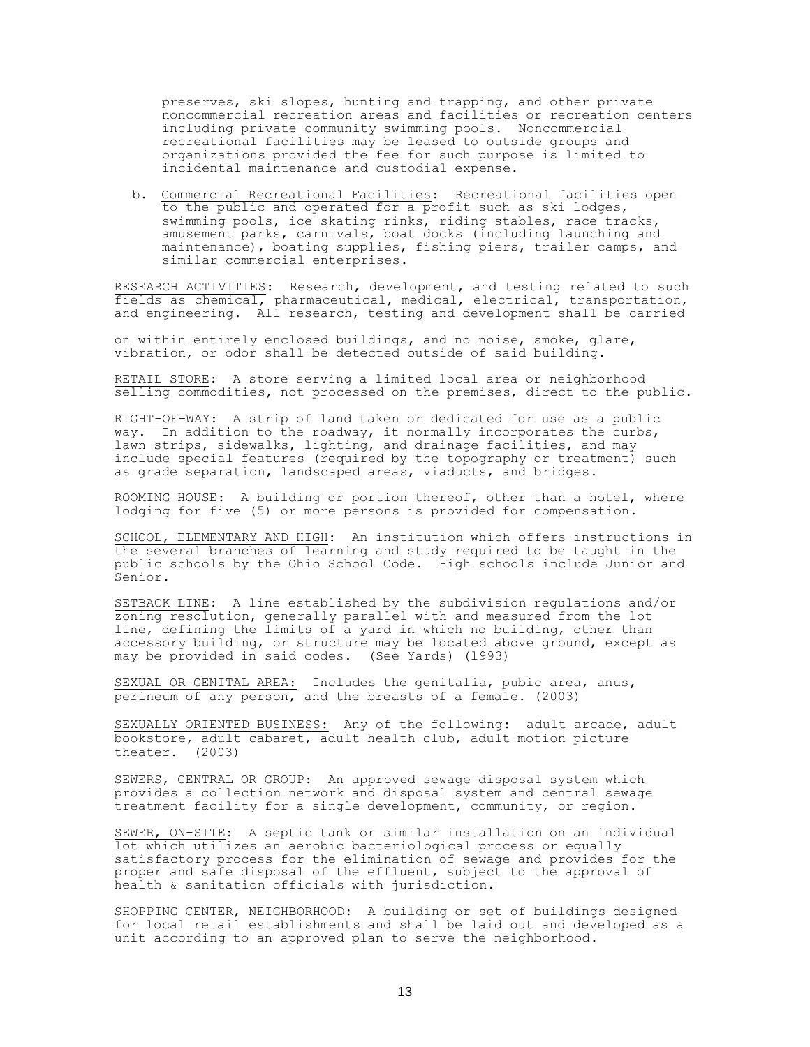preserves, ski slopes, hunting and trapping, and other private noncommercial recreation areas and facilities or recreation centers including private community swimming pools. Noncommercial recreational facilities may be leased to outside groups and organizations provided the fee for such purpose is limited to incidental maintenance and custodial expense.

b. Commercial Recreational Facilities: Recreational facilities open to the public and operated for a profit such as ski lodges, swimming pools, ice skating rinks, riding stables, race tracks, amusement parks, carnivals, boat docks (including launching and maintenance), boating supplies, fishing piers, trailer camps, and similar commercial enterprises.

RESEARCH ACTIVITIES: Research, development, and testing related to such fields as chemical, pharmaceutical, medical, electrical, transportation, and engineering. All research, testing and development shall be carried

on within entirely enclosed buildings, and no noise, smoke, glare, vibration, or odor shall be detected outside of said building.

RETAIL STORE: A store serving a limited local area or neighborhood selling commodities, not processed on the premises, direct to the public.

RIGHT-OF-WAY: A strip of land taken or dedicated for use as a public way. In addition to the roadway, it normally incorporates the curbs, lawn strips, sidewalks, lighting, and drainage facilities, and may include special features (required by the topography or treatment) such as grade separation, landscaped areas, viaducts, and bridges.

ROOMING HOUSE: A building or portion thereof, other than a hotel, where lodging for five (5) or more persons is provided for compensation.

SCHOOL, ELEMENTARY AND HIGH: An institution which offers instructions in the several branches of learning and study required to be taught in the public schools by the Ohio School Code. High schools include Junior and Senior.

SETBACK LINE: A line established by the subdivision regulations and/or zoning resolution, generally parallel with and measured from the lot line, defining the limits of a yard in which no building, other than accessory building, or structure may be located above ground, except as may be provided in said codes. (See Yards) (l993)

SEXUAL OR GENITAL AREA: Includes the genitalia, pubic area, anus, perineum of any person, and the breasts of a female. (2003)

SEXUALLY ORIENTED BUSINESS: Any of the following: adult arcade, adult bookstore, adult cabaret, adult health club, adult motion picture theater. (2003)

SEWERS, CENTRAL OR GROUP: An approved sewage disposal system which provides a collection network and disposal system and central sewage treatment facility for a single development, community, or region.

SEWER, ON-SITE: A septic tank or similar installation on an individual lot which utilizes an aerobic bacteriological process or equally satisfactory process for the elimination of sewage and provides for the proper and safe disposal of the effluent, subject to the approval of health & sanitation officials with jurisdiction.

SHOPPING CENTER, NEIGHBORHOOD: A building or set of buildings designed for local retail establishments and shall be laid out and developed as a unit according to an approved plan to serve the neighborhood.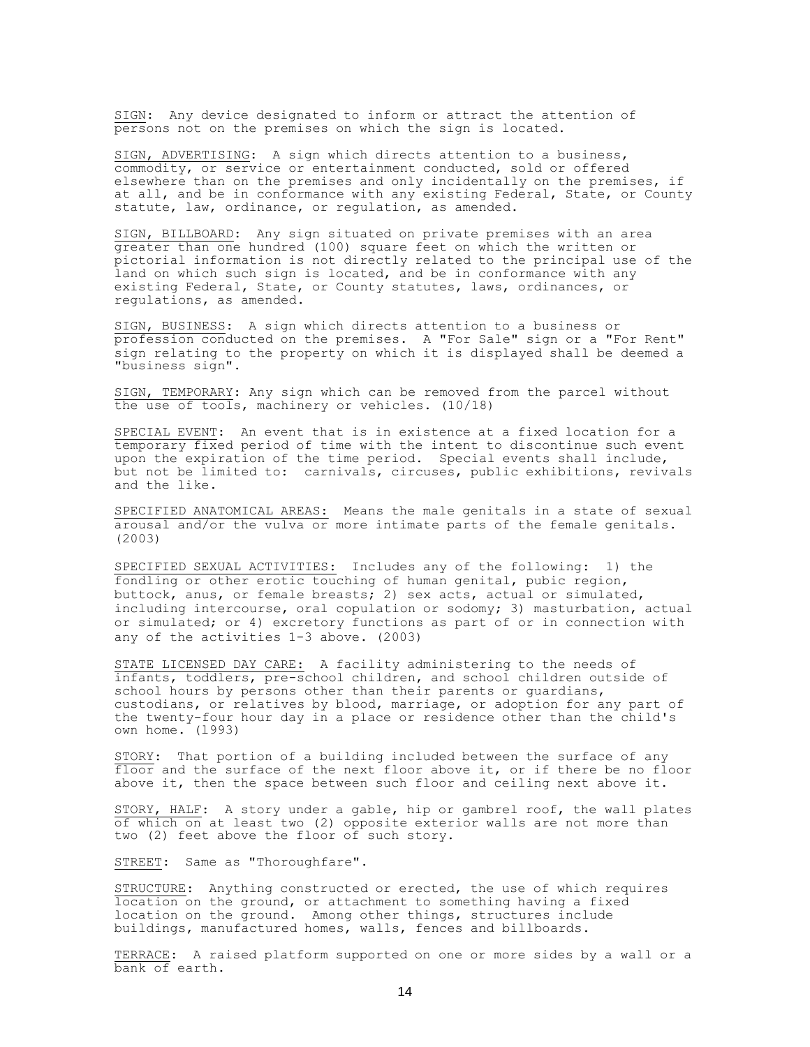SIGN: Any device designated to inform or attract the attention of persons not on the premises on which the sign is located.

SIGN, ADVERTISING: A sign which directs attention to a business, commodity, or service or entertainment conducted, sold or offered elsewhere than on the premises and only incidentally on the premises, if at all, and be in conformance with any existing Federal, State, or County statute, law, ordinance, or regulation, as amended.

SIGN, BILLBOARD: Any sign situated on private premises with an area greater than one hundred (100) square feet on which the written or pictorial information is not directly related to the principal use of the land on which such sign is located, and be in conformance with any existing Federal, State, or County statutes, laws, ordinances, or regulations, as amended.

SIGN, BUSINESS: A sign which directs attention to a business or profession conducted on the premises. A "For Sale" sign or a "For Rent" sign relating to the property on which it is displayed shall be deemed a "business sign".

SIGN, TEMPORARY: Any sign which can be removed from the parcel without the use of tools, machinery or vehicles. (10/18)

SPECIAL EVENT: An event that is in existence at a fixed location for a temporary fixed period of time with the intent to discontinue such event upon the expiration of the time period. Special events shall include, but not be limited to: carnivals, circuses, public exhibitions, revivals and the like.

SPECIFIED ANATOMICAL AREAS: Means the male genitals in a state of sexual arousal and/or the vulva or more intimate parts of the female genitals. (2003)

SPECIFIED SEXUAL ACTIVITIES: Includes any of the following: 1) the fondling or other erotic touching of human genital, pubic region, buttock, anus, or female breasts; 2) sex acts, actual or simulated, including intercourse, oral copulation or sodomy; 3) masturbation, actual or simulated; or 4) excretory functions as part of or in connection with any of the activities 1-3 above. (2003)

STATE LICENSED DAY CARE: A facility administering to the needs of infants, toddlers, pre-school children, and school children outside of school hours by persons other than their parents or guardians, custodians, or relatives by blood, marriage, or adoption for any part of the twenty-four hour day in a place or residence other than the child's own home. (l993)

STORY: That portion of a building included between the surface of any floor and the surface of the next floor above it, or if there be no floor above it, then the space between such floor and ceiling next above it.

STORY, HALF: A story under a gable, hip or gambrel roof, the wall plates of which on at least two (2) opposite exterior walls are not more than two (2) feet above the floor of such story.

STREET: Same as "Thoroughfare".

STRUCTURE: Anything constructed or erected, the use of which requires location on the ground, or attachment to something having a fixed location on the ground. Among other things, structures include buildings, manufactured homes, walls, fences and billboards.

TERRACE: A raised platform supported on one or more sides by a wall or a bank of earth.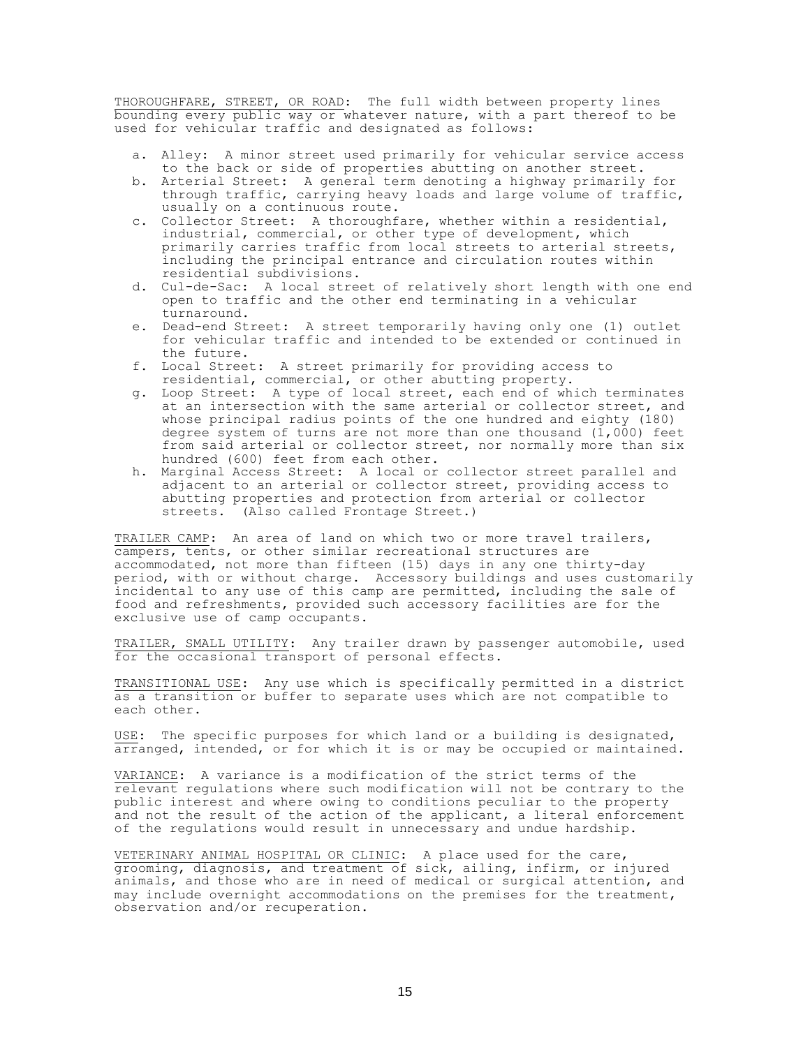THOROUGHFARE, STREET, OR ROAD: The full width between property lines bounding every public way or whatever nature, with a part thereof to be used for vehicular traffic and designated as follows:

- a. Alley: A minor street used primarily for vehicular service access to the back or side of properties abutting on another street.
- b. Arterial Street: A general term denoting a highway primarily for through traffic, carrying heavy loads and large volume of traffic, usually on a continuous route.
- c. Collector Street: A thoroughfare, whether within a residential, industrial, commercial, or other type of development, which primarily carries traffic from local streets to arterial streets, including the principal entrance and circulation routes within residential subdivisions.
- d. Cul-de-Sac: A local street of relatively short length with one end open to traffic and the other end terminating in a vehicular turnaround.
- e. Dead-end Street: A street temporarily having only one (1) outlet for vehicular traffic and intended to be extended or continued in the future.
- f. Local Street: A street primarily for providing access to residential, commercial, or other abutting property.
- g. Loop Street: A type of local street, each end of which terminates at an intersection with the same arterial or collector street, and whose principal radius points of the one hundred and eighty (180) degree system of turns are not more than one thousand  $(1,000)$  feet from said arterial or collector street, nor normally more than six hundred (600) feet from each other.
- h. Marginal Access Street: A local or collector street parallel and adjacent to an arterial or collector street, providing access to abutting properties and protection from arterial or collector streets. (Also called Frontage Street.)

TRAILER CAMP: An area of land on which two or more travel trailers, campers, tents, or other similar recreational structures are accommodated, not more than fifteen (15) days in any one thirty-day period, with or without charge. Accessory buildings and uses customarily incidental to any use of this camp are permitted, including the sale of food and refreshments, provided such accessory facilities are for the exclusive use of camp occupants.

TRAILER, SMALL UTILITY: Any trailer drawn by passenger automobile, used for the occasional transport of personal effects.

TRANSITIONAL USE: Any use which is specifically permitted in a district as a transition or buffer to separate uses which are not compatible to each other.

USE: The specific purposes for which land or a building is designated, arranged, intended, or for which it is or may be occupied or maintained.

VARIANCE: A variance is a modification of the strict terms of the relevant regulations where such modification will not be contrary to the public interest and where owing to conditions peculiar to the property and not the result of the action of the applicant, a literal enforcement of the regulations would result in unnecessary and undue hardship.

VETERINARY ANIMAL HOSPITAL OR CLINIC: A place used for the care, grooming, diagnosis, and treatment of sick, ailing, infirm, or injured animals, and those who are in need of medical or surgical attention, and may include overnight accommodations on the premises for the treatment, observation and/or recuperation.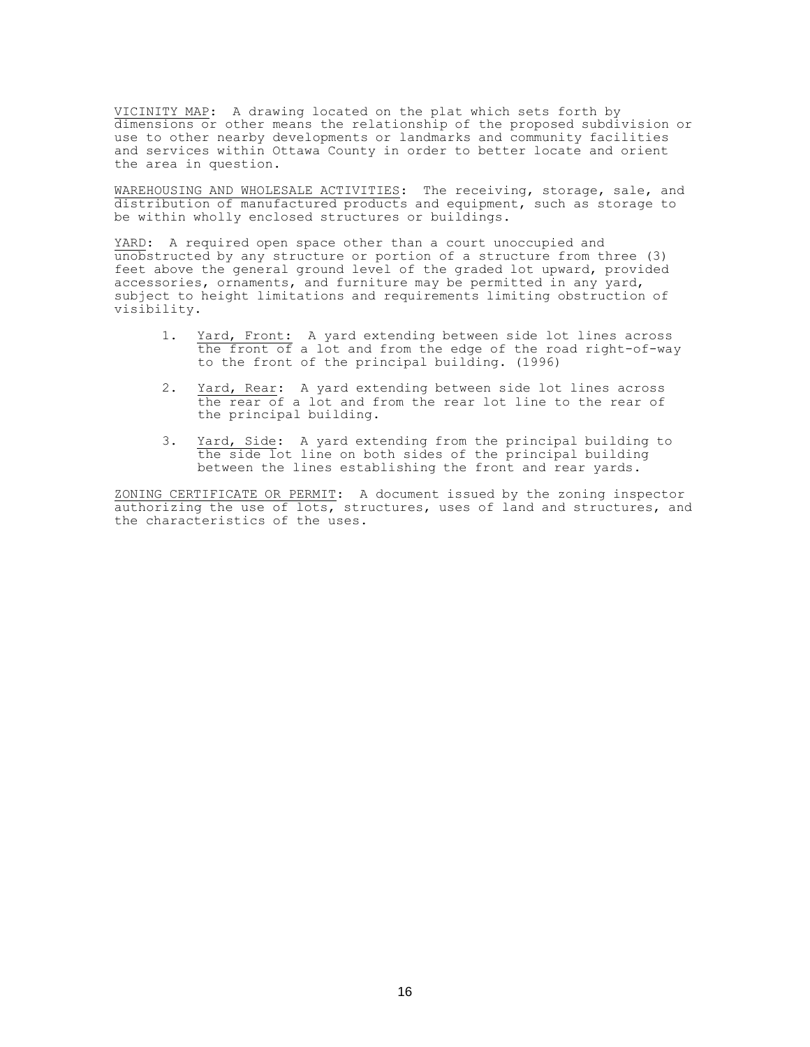VICINITY MAP: A drawing located on the plat which sets forth by dimensions or other means the relationship of the proposed subdivision or use to other nearby developments or landmarks and community facilities and services within Ottawa County in order to better locate and orient the area in question.

WAREHOUSING AND WHOLESALE ACTIVITIES: The receiving, storage, sale, and distribution of manufactured products and equipment, such as storage to be within wholly enclosed structures or buildings.

YARD: A required open space other than a court unoccupied and unobstructed by any structure or portion of a structure from three (3) feet above the general ground level of the graded lot upward, provided accessories, ornaments, and furniture may be permitted in any yard, subject to height limitations and requirements limiting obstruction of visibility.

- 1. Yard, Front: A yard extending between side lot lines across the front of a lot and from the edge of the road right-of-way to the front of the principal building. (1996)
- 2. Yard, Rear: A yard extending between side lot lines across the rear of a lot and from the rear lot line to the rear of the principal building.
- 3. Yard, Side: A yard extending from the principal building to the side lot line on both sides of the principal building between the lines establishing the front and rear yards.

ZONING CERTIFICATE OR PERMIT: A document issued by the zoning inspector authorizing the use of lots, structures, uses of land and structures, and the characteristics of the uses.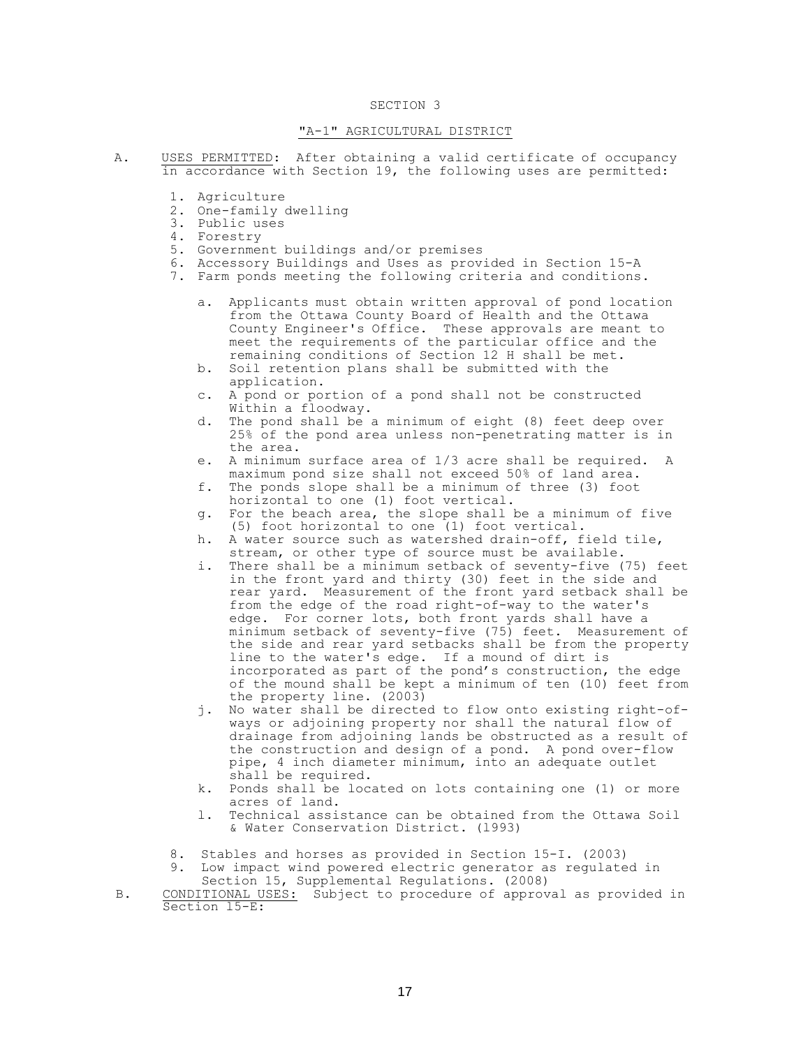## "A-1" AGRICULTURAL DISTRICT

- A. USES PERMITTED: After obtaining a valid certificate of occupancy in accordance with Section 19, the following uses are permitted:
	- 1. Agriculture
	- 2. One-family dwelling
	- 3. Public uses
	- 4. Forestry
	- 5. Government buildings and/or premises
	- 6. Accessory Buildings and Uses as provided in Section 15-A
	- 7. Farm ponds meeting the following criteria and conditions.
		- a. Applicants must obtain written approval of pond location from the Ottawa County Board of Health and the Ottawa County Engineer's Office. These approvals are meant to meet the requirements of the particular office and the remaining conditions of Section 12 H shall be met.
		- b. Soil retention plans shall be submitted with the application.
		- c. A pond or portion of a pond shall not be constructed Within a floodway.
		- d. The pond shall be a minimum of eight (8) feet deep over 25% of the pond area unless non-penetrating matter is in the area.
		- e. A minimum surface area of 1/3 acre shall be required. A maximum pond size shall not exceed 50% of land area.
		- f. The ponds slope shall be a minimum of three (3) foot horizontal to one (1) foot vertical.
		- g. For the beach area, the slope shall be a minimum of five (5) foot horizontal to one (1) foot vertical.
		- h. A water source such as watershed drain-off, field tile, stream, or other type of source must be available.
		- i. There shall be a minimum setback of seventy-five (75) feet in the front yard and thirty (30) feet in the side and rear yard. Measurement of the front yard setback shall be from the edge of the road right-of-way to the water's edge. For corner lots, both front yards shall have a minimum setback of seventy-five (75) feet. Measurement of the side and rear yard setbacks shall be from the property line to the water's edge. If a mound of dirt is incorporated as part of the pond's construction, the edge of the mound shall be kept a minimum of ten (10) feet from the property line. (2003)
		- j. No water shall be directed to flow onto existing right-ofways or adjoining property nor shall the natural flow of drainage from adjoining lands be obstructed as a result of the construction and design of a pond. A pond over-flow pipe, 4 inch diameter minimum, into an adequate outlet shall be required.
		- k. Ponds shall be located on lots containing one (1) or more acres of land.
		- l. Technical assistance can be obtained from the Ottawa Soil & Water Conservation District. (l993)
	- 8. Stables and horses as provided in Section 15-I. (2003)
	- 9. Low impact wind powered electric generator as regulated in Section 15, Supplemental Regulations. (2008)

B. CONDITIONAL USES: Subject to procedure of approval as provided in Section l5-E: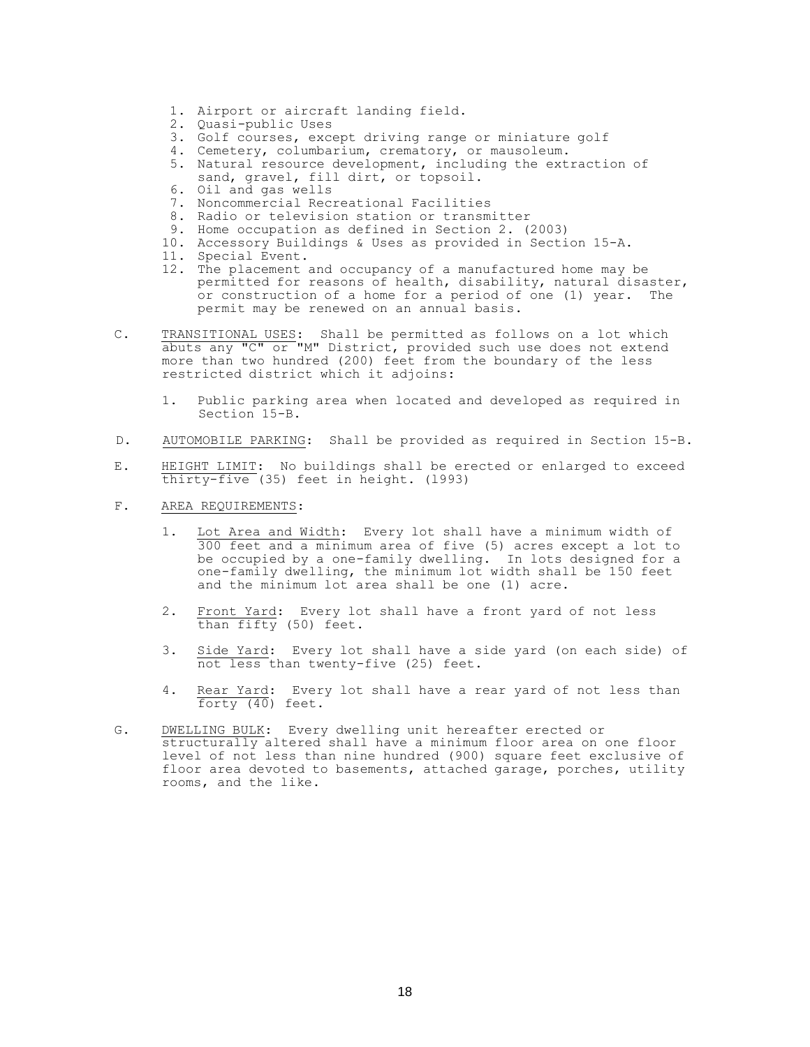- 1. Airport or aircraft landing field.
- 2. Quasi-public Uses
- 3. Golf courses, except driving range or miniature golf
- 4. Cemetery, columbarium, crematory, or mausoleum.

5. Natural resource development, including the extraction of sand, gravel, fill dirt, or topsoil.

- 6. Oil and gas wells
- 7. Noncommercial Recreational Facilities
- 8. Radio or television station or transmitter
- 9. Home occupation as defined in Section 2. (2003)
- 10. Accessory Buildings & Uses as provided in Section 15-A.
- 11. Special Event.
- 12. The placement and occupancy of a manufactured home may be permitted for reasons of health, disability, natural disaster, or construction of a home for a period of one (1) year. The permit may be renewed on an annual basis.
- C. TRANSITIONAL USES: Shall be permitted as follows on a lot which abuts any "C" or "M" District, provided such use does not extend more than two hundred (200) feet from the boundary of the less restricted district which it adjoins:
	- 1. Public parking area when located and developed as required in Section 15-B.
- D. AUTOMOBILE PARKING: Shall be provided as required in Section 15-B.
- E. HEIGHT LIMIT: No buildings shall be erected or enlarged to exceed thirty-five (35) feet in height. (l993)
- F. AREA REQUIREMENTS:
	- 1. Lot Area and Width: Every lot shall have a minimum width of 300 feet and a minimum area of five (5) acres except a lot to be occupied by a one-family dwelling. In lots designed for a one-family dwelling, the minimum lot width shall be 150 feet and the minimum lot area shall be one (1) acre.
	- 2. Front Yard: Every lot shall have a front yard of not less than fifty (50) feet.
	- 3. Side Yard: Every lot shall have a side yard (on each side) of not less than twenty-five (25) feet.
	- 4. Rear Yard: Every lot shall have a rear yard of not less than forty (40) feet.
- G. DWELLING BULK: Every dwelling unit hereafter erected or structurally altered shall have a minimum floor area on one floor level of not less than nine hundred (900) square feet exclusive of floor area devoted to basements, attached garage, porches, utility rooms, and the like.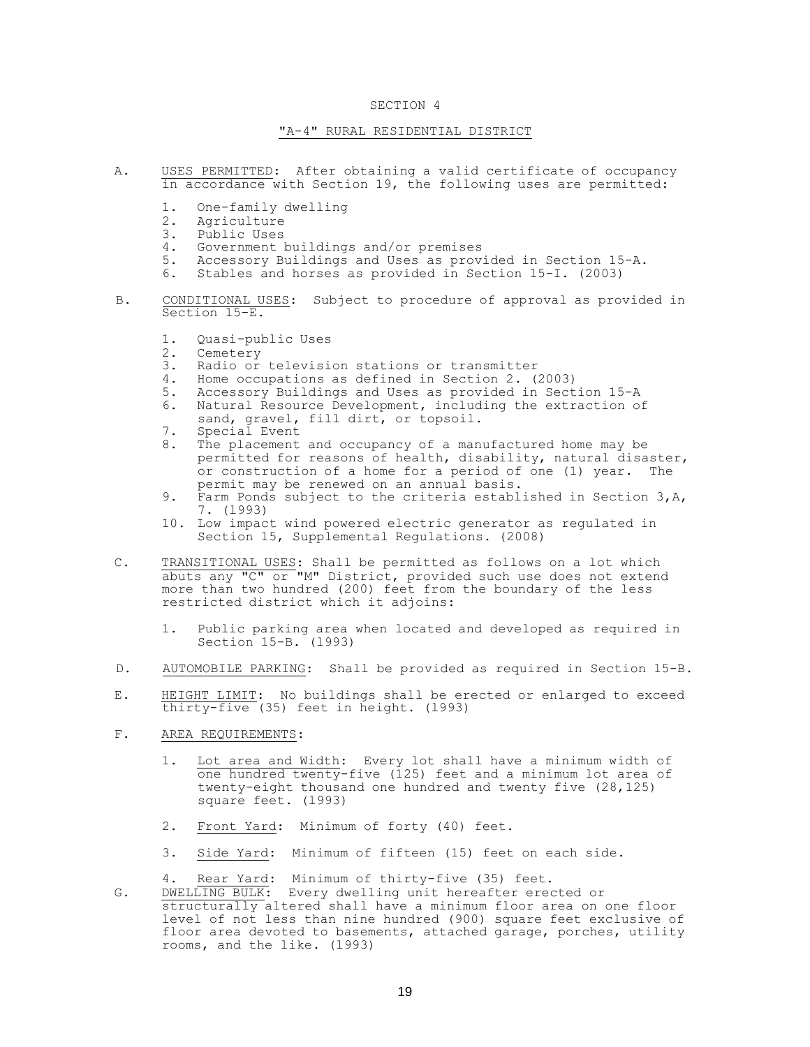## "A-4" RURAL RESIDENTIAL DISTRICT

- A. USES PERMITTED: After obtaining a valid certificate of occupancy in accordance with Section 19, the following uses are permitted:
	- 1. One-family dwelling
	- 2. Agriculture
	- 3. Public Uses
	- 4. Government buildings and/or premises
	- 5. Accessory Buildings and Uses as provided in Section 15-A.
	- 6. Stables and horses as provided in Section 15-I. (2003)
- B. CONDITIONAL USES: Subject to procedure of approval as provided in Section 15-E.
	- 1. Quasi-public Uses
	- 2. Cemetery
	- 3. Radio or television stations or transmitter
	- 4. Home occupations as defined in Section 2. (2003)
	- 5. Accessory Buildings and Uses as provided in Section 15-A
	- 6. Natural Resource Development, including the extraction of sand, gravel, fill dirt, or topsoil.
	- 7. Special Event
	- 8. The placement and occupancy of a manufactured home may be permitted for reasons of health, disability, natural disaster, or construction of a home for a period of one (1) year. The permit may be renewed on an annual basis.
	- 9. Farm Ponds subject to the criteria established in Section 3,A, 7. (l993)
	- 10. Low impact wind powered electric generator as regulated in Section 15, Supplemental Regulations. (2008)
- C. TRANSITIONAL USES: Shall be permitted as follows on a lot which abuts any "C" or "M" District, provided such use does not extend more than two hundred (200) feet from the boundary of the less restricted district which it adjoins:
	- 1. Public parking area when located and developed as required in Section 15-B. (l993)
- D. AUTOMOBILE PARKING: Shall be provided as required in Section 15-B.
- E. HEIGHT LIMIT: No buildings shall be erected or enlarged to exceed thirty-five (35) feet in height. (l993)
- F. AREA REQUIREMENTS:
	- 1. Lot area and Width: Every lot shall have a minimum width of one hundred twenty-five (125) feet and a minimum lot area of twenty-eight thousand one hundred and twenty five (28,125) square feet. (l993)
	- 2. Front Yard: Minimum of forty (40) feet.
	- 3. Side Yard: Minimum of fifteen (15) feet on each side.

4. Rear Yard: Minimum of thirty-five (35) feet.

G. DWELLING BULK: Every dwelling unit hereafter erected or structurally altered shall have a minimum floor area on one floor level of not less than nine hundred (900) square feet exclusive of floor area devoted to basements, attached garage, porches, utility rooms, and the like. (l993)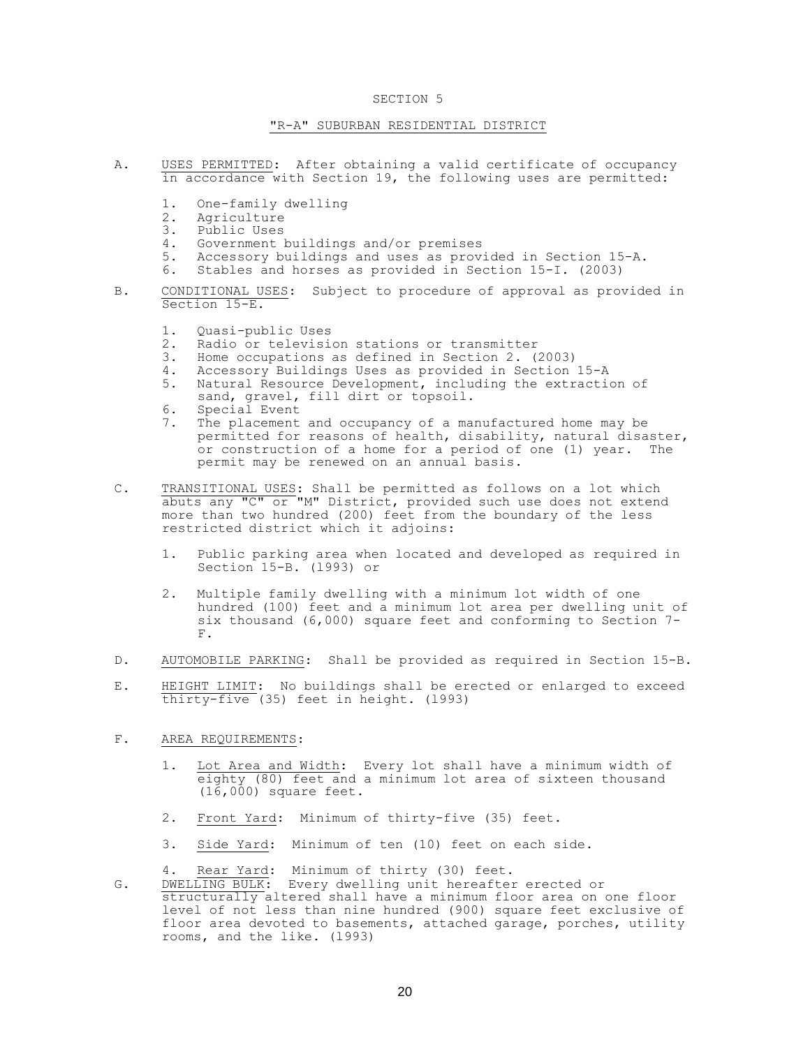## SECTION<sub>5</sub>

## "R-A" SUBURBAN RESIDENTIAL DISTRICT

- A. USES PERMITTED: After obtaining a valid certificate of occupancy in accordance with Section 19, the following uses are permitted:
	- 1. One-family dwelling
	- 2. Agriculture
	- 3. Public Uses
	- 4. Government buildings and/or premises<br>5. Accessory buildings and uses as prov
	- Accessory buildings and uses as provided in Section 15-A.
	- 6. Stables and horses as provided in Section 15-I. (2003)
- B. CONDITIONAL USES: Subject to procedure of approval as provided in Section 15-E.
	- 1. Quasi-public Uses
	- 2. Radio or television stations or transmitter
	- 3. Home occupations as defined in Section 2. (2003)
	- 4. Accessory Buildings Uses as provided in Section 15-A
	- 5. Natural Resource Development, including the extraction of sand, gravel, fill dirt or topsoil.
	- 6. Special Event
	- 7. The placement and occupancy of a manufactured home may be permitted for reasons of health, disability, natural disaster, or construction of a home for a period of one (1) year. The permit may be renewed on an annual basis.
- C. TRANSITIONAL USES: Shall be permitted as follows on a lot which abuts any "C" or "M" District, provided such use does not extend more than two hundred (200) feet from the boundary of the less restricted district which it adjoins:
	- 1. Public parking area when located and developed as required in Section 15-B. (l993) or
	- 2. Multiple family dwelling with a minimum lot width of one hundred (100) feet and a minimum lot area per dwelling unit of six thousand (6,000) square feet and conforming to Section 7- F.
- D. AUTOMOBILE PARKING: Shall be provided as required in Section 15-B.
- E. HEIGHT LIMIT: No buildings shall be erected or enlarged to exceed thirty-five (35) feet in height. (l993)

# F. AREA REQUIREMENTS:

- 1. Lot Area and Width: Every lot shall have a minimum width of eighty (80) feet and a minimum lot area of sixteen thousand (16,000) square feet.
- 2. Front Yard: Minimum of thirty-five (35) feet.
- 3. Side Yard: Minimum of ten (10) feet on each side.
- 4. Rear Yard: Minimum of thirty (30) feet.
- G. DWELLING BULK: Every dwelling unit hereafter erected or structurally altered shall have a minimum floor area on one floor level of not less than nine hundred (900) square feet exclusive of floor area devoted to basements, attached garage, porches, utility rooms, and the like. (l993)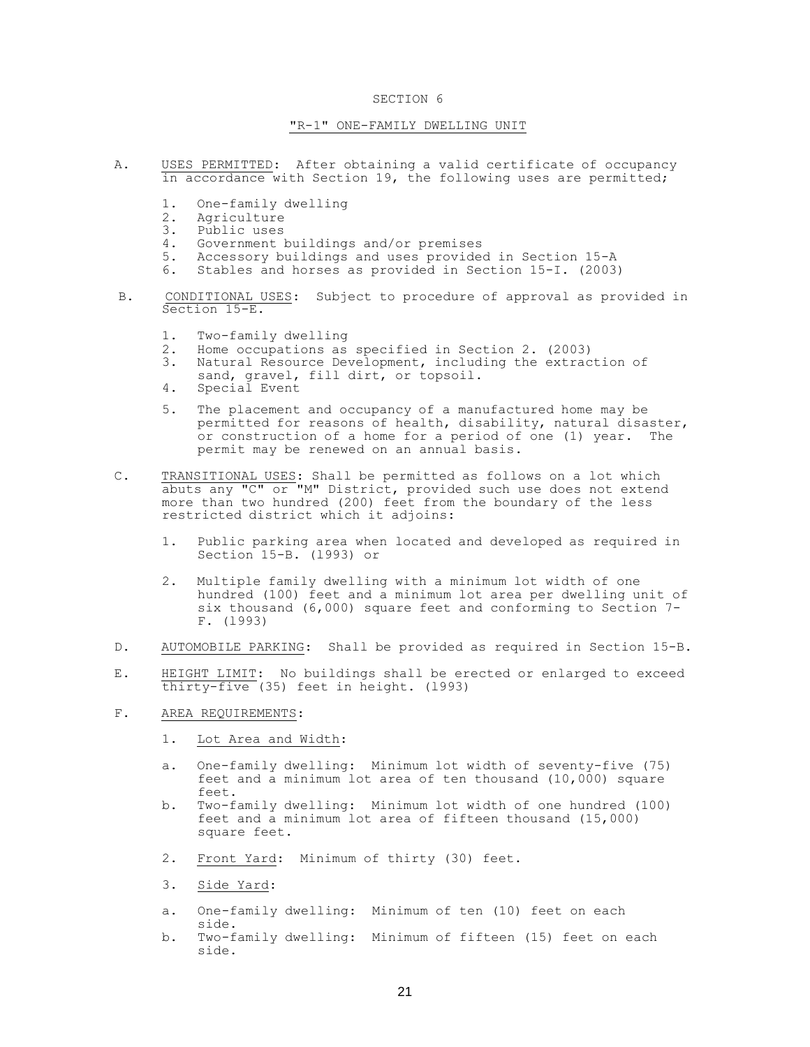## "R-1" ONE-FAMILY DWELLING UNIT

- A. USES PERMITTED: After obtaining a valid certificate of occupancy in accordance with Section 19, the following uses are permitted;
	- 1. One-family dwelling
	- 2. Agriculture<br>3. Public uses
	- Public uses
	- 4. Government buildings and/or premises<br>5. Accessory buildings and uses provide
	- Accessory buildings and uses provided in Section 15-A
	- 6. Stables and horses as provided in Section 15-I. (2003)
- B. CONDITIONAL USES: Subject to procedure of approval as provided in Section 15-E.
	- 1. Two-family dwelling
	- 2. Home occupations as specified in Section 2. (2003)
	- 3. Natural Resource Development, including the extraction of sand, gravel, fill dirt, or topsoil.
	- 4. Special Event
	- 5. The placement and occupancy of a manufactured home may be permitted for reasons of health, disability, natural disaster, or construction of a home for a period of one (1) year. The permit may be renewed on an annual basis.
- C. TRANSITIONAL USES: Shall be permitted as follows on a lot which abuts any "C" or "M" District, provided such use does not extend more than two hundred (200) feet from the boundary of the less restricted district which it adjoins:
	- 1. Public parking area when located and developed as required in Section 15-B. (l993) or
	- 2. Multiple family dwelling with a minimum lot width of one hundred (100) feet and a minimum lot area per dwelling unit of six thousand (6,000) square feet and conforming to Section 7- F. (l993)
- D. AUTOMOBILE PARKING: Shall be provided as required in Section 15-B.
- E. HEIGHT LIMIT: No buildings shall be erected or enlarged to exceed thirty-five (35) feet in height. (l993)
- F. AREA REQUIREMENTS:
	- 1. Lot Area and Width:
	- a. One-family dwelling: Minimum lot width of seventy-five (75) feet and a minimum lot area of ten thousand (10,000) square feet.
	- b. Two-family dwelling: Minimum lot width of one hundred (100) feet and a minimum lot area of fifteen thousand (15,000) square feet.
	- 2. Front Yard: Minimum of thirty (30) feet.
	- 3. Side Yard:
	- a. One-family dwelling: Minimum of ten (10) feet on each side.
	- b. Two-family dwelling: Minimum of fifteen (15) feet on each side.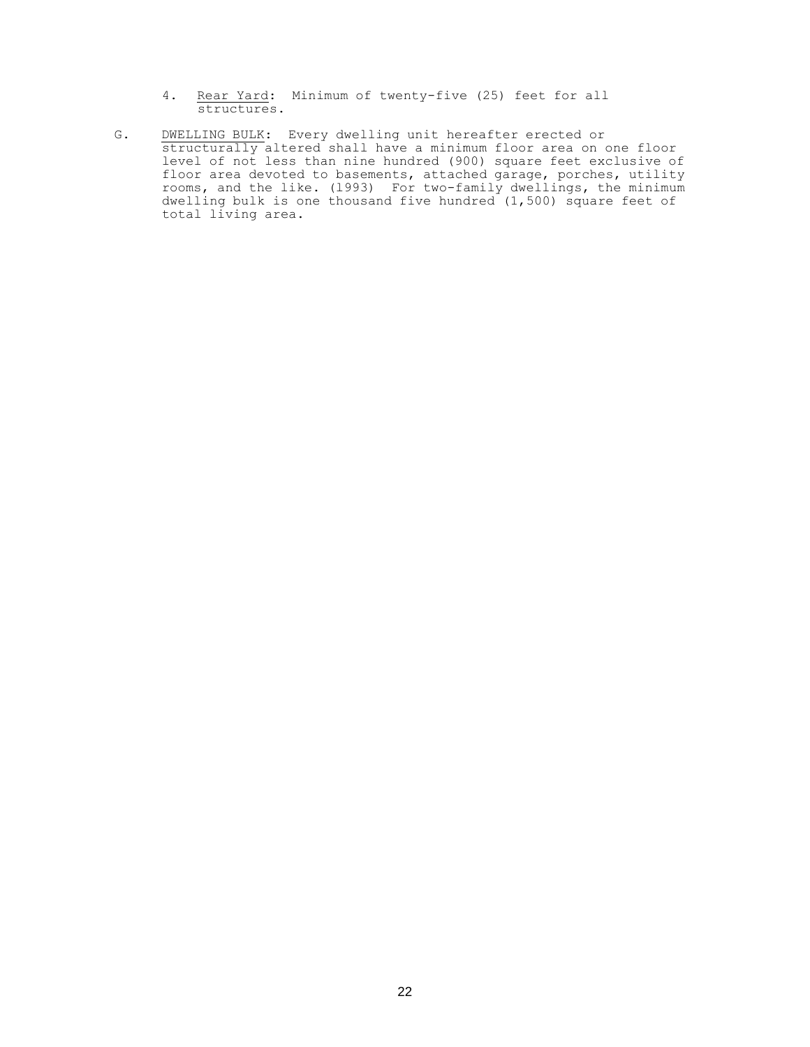- 4. Rear Yard: Minimum of twenty-five (25) feet for all structures.
- G. DWELLING BULK: Every dwelling unit hereafter erected or structurally altered shall have a minimum floor area on one floor level of not less than nine hundred (900) square feet exclusive of floor area devoted to basements, attached garage, porches, utility rooms, and the like. (l993) For two-family dwellings, the minimum dwelling bulk is one thousand five hundred (1,500) square feet of total living area.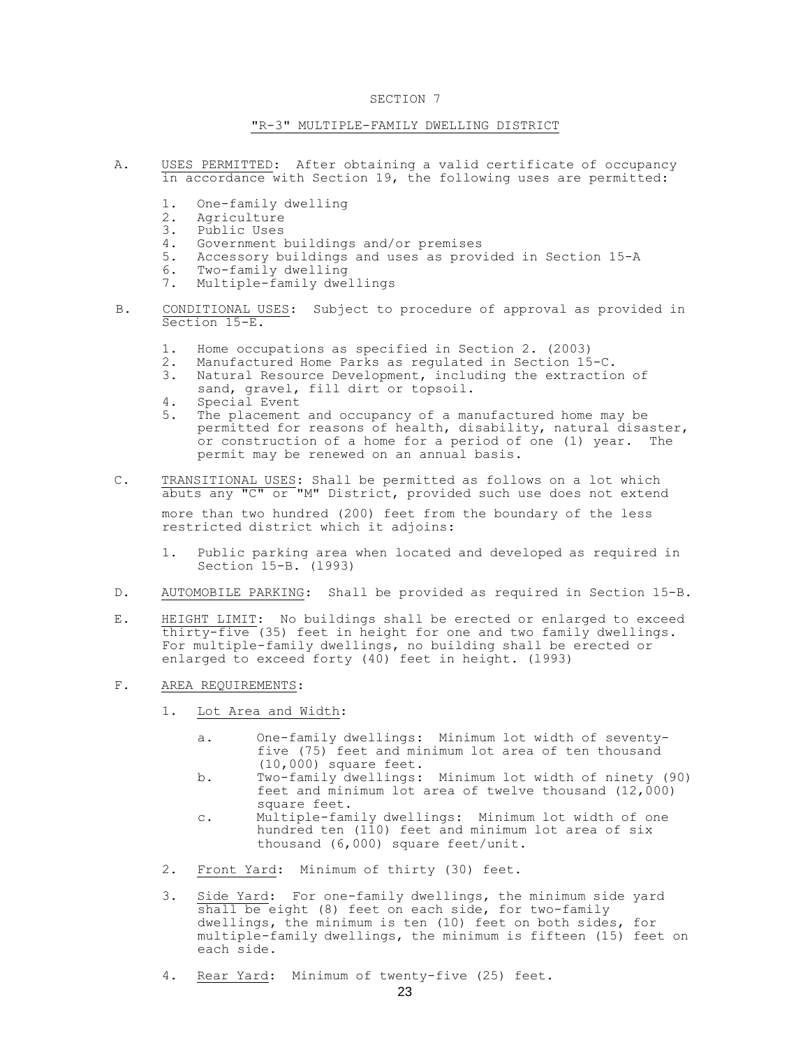### "R-3" MULTIPLE-FAMILY DWELLING DISTRICT

- A. USES PERMITTED: After obtaining a valid certificate of occupancy in accordance with Section 19, the following uses are permitted:
	- 1. One-family dwelling
	- 2. Agriculture<br>3. Public Uses
	- Public Uses
	- 4. Government buildings and/or premises<br>5. Accessory buildings and uses as prov.
	- Accessory buildings and uses as provided in Section 15-A
	- 6. Two-family dwelling
	- 7. Multiple-family dwellings
- B. CONDITIONAL USES: Subject to procedure of approval as provided in Section 15-E.
	- 1. Home occupations as specified in Section 2. (2003)
	- 2. Manufactured Home Parks as regulated in Section 15-C.
	- 3. Natural Resource Development, including the extraction of sand, gravel, fill dirt or topsoil.
	- 4. Special Event
	- 5. The placement and occupancy of a manufactured home may be permitted for reasons of health, disability, natural disaster, or construction of a home for a period of one (1) year. The permit may be renewed on an annual basis.
- C. TRANSITIONAL USES: Shall be permitted as follows on a lot which abuts any "C" or "M" District, provided such use does not extend more than two hundred (200) feet from the boundary of the less restricted district which it adjoins:
	- 1. Public parking area when located and developed as required in Section 15-B. (l993)
- D. AUTOMOBILE PARKING: Shall be provided as required in Section 15-B.
- E. HEIGHT LIMIT: No buildings shall be erected or enlarged to exceed thirty-five (35) feet in height for one and two family dwellings. For multiple-family dwellings, no building shall be erected or enlarged to exceed forty (40) feet in height. (l993)
- F. AREA REQUIREMENTS:
	- 1. Lot Area and Width:
		- a. One-family dwellings: Minimum lot width of seventyfive (75) feet and minimum lot area of ten thousand (10,000) square feet.
		- b. Two-family dwellings: Minimum lot width of ninety (90) feet and minimum lot area of twelve thousand  $(12,000)$ square feet.
		- c. Multiple-family dwellings: Minimum lot width of one hundred ten (110) feet and minimum lot area of six thousand (6,000) square feet/unit.
	- 2. Front Yard: Minimum of thirty (30) feet.
	- 3. Side Yard: For one-family dwellings, the minimum side yard shall be eight (8) feet on each side, for two-family dwellings, the minimum is ten (10) feet on both sides, for multiple-family dwellings, the minimum is fifteen (15) feet on each side.
	- 4. Rear Yard: Minimum of twenty-five (25) feet.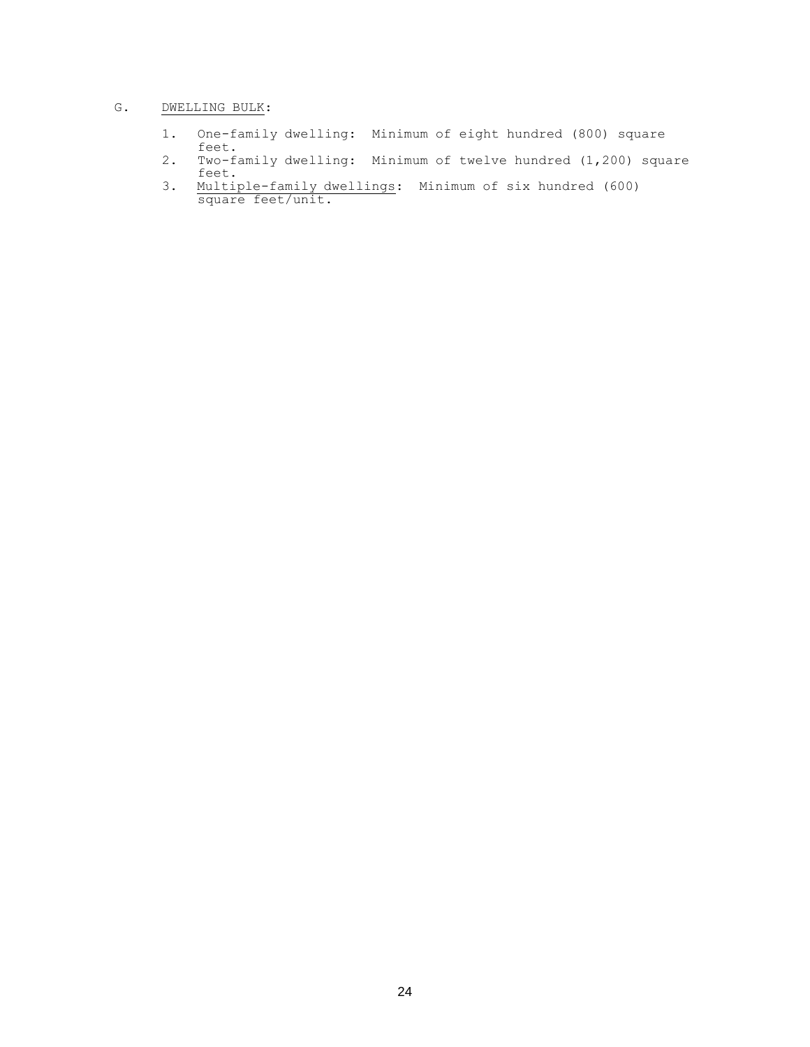# G. DWELLING BULK:

- 1. One-family dwelling: Minimum of eight hundred (800) square feet.
- 2. Two-family dwelling: Minimum of twelve hundred (1,200) square feet.
- 3. Multiple-family dwellings: Minimum of six hundred (600) square feet/unit.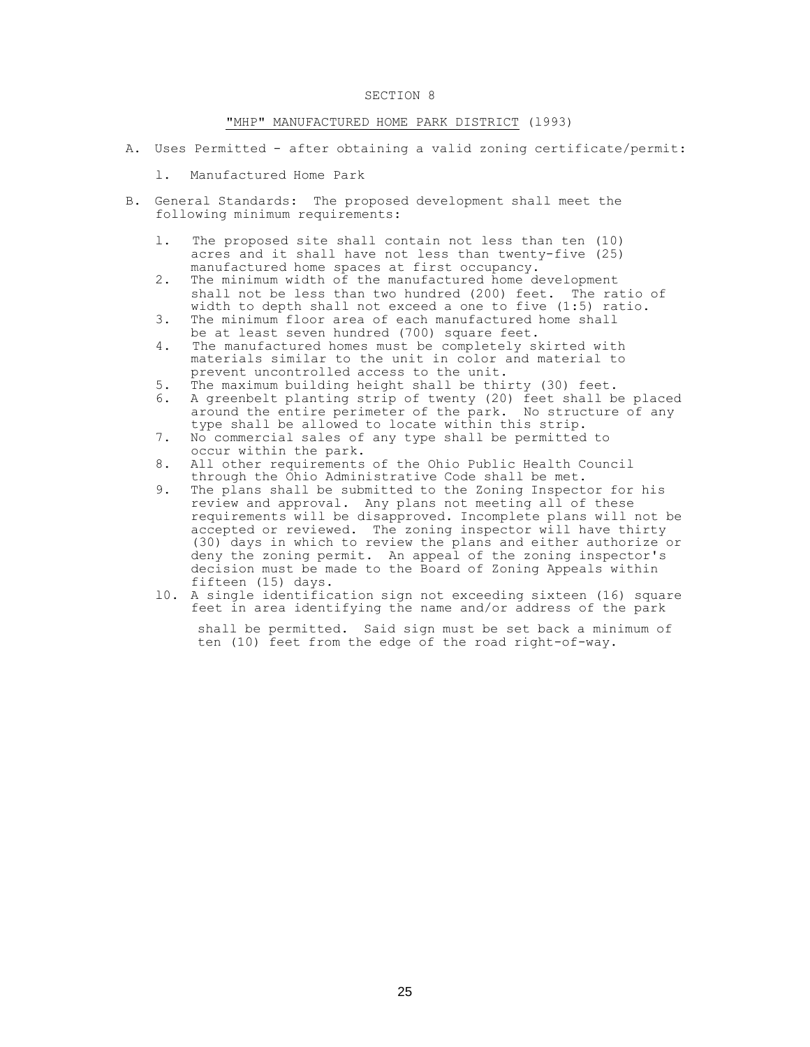### "MHP" MANUFACTURED HOME PARK DISTRICT (l993)

- A. Uses Permitted after obtaining a valid zoning certificate/permit:
	- l. Manufactured Home Park
- B. General Standards: The proposed development shall meet the following minimum requirements:
	- l. The proposed site shall contain not less than ten (10) acres and it shall have not less than twenty-five (25) manufactured home spaces at first occupancy.
	- 2. The minimum width of the manufactured home development shall not be less than two hundred (200) feet. The ratio of width to depth shall not exceed a one to five (1:5) ratio.
	- 3. The minimum floor area of each manufactured home shall be at least seven hundred (700) square feet.
	- 4. The manufactured homes must be completely skirted with materials similar to the unit in color and material to prevent uncontrolled access to the unit.
	- 5. The maximum building height shall be thirty (30) feet.
	- 6. A greenbelt planting strip of twenty (20) feet shall be placed around the entire perimeter of the park. No structure of any type shall be allowed to locate within this strip.
	- 7. No commercial sales of any type shall be permitted to occur within the park.
	- 8. All other requirements of the Ohio Public Health Council through the Ohio Administrative Code shall be met.
	- 9. The plans shall be submitted to the Zoning Inspector for his review and approval. Any plans not meeting all of these requirements will be disapproved. Incomplete plans will not be accepted or reviewed. The zoning inspector will have thirty (30) days in which to review the plans and either authorize or deny the zoning permit. An appeal of the zoning inspector's decision must be made to the Board of Zoning Appeals within fifteen (15) days.
	- l0. A single identification sign not exceeding sixteen (16) square feet in area identifying the name and/or address of the park

shall be permitted. Said sign must be set back a minimum of ten (10) feet from the edge of the road right-of-way.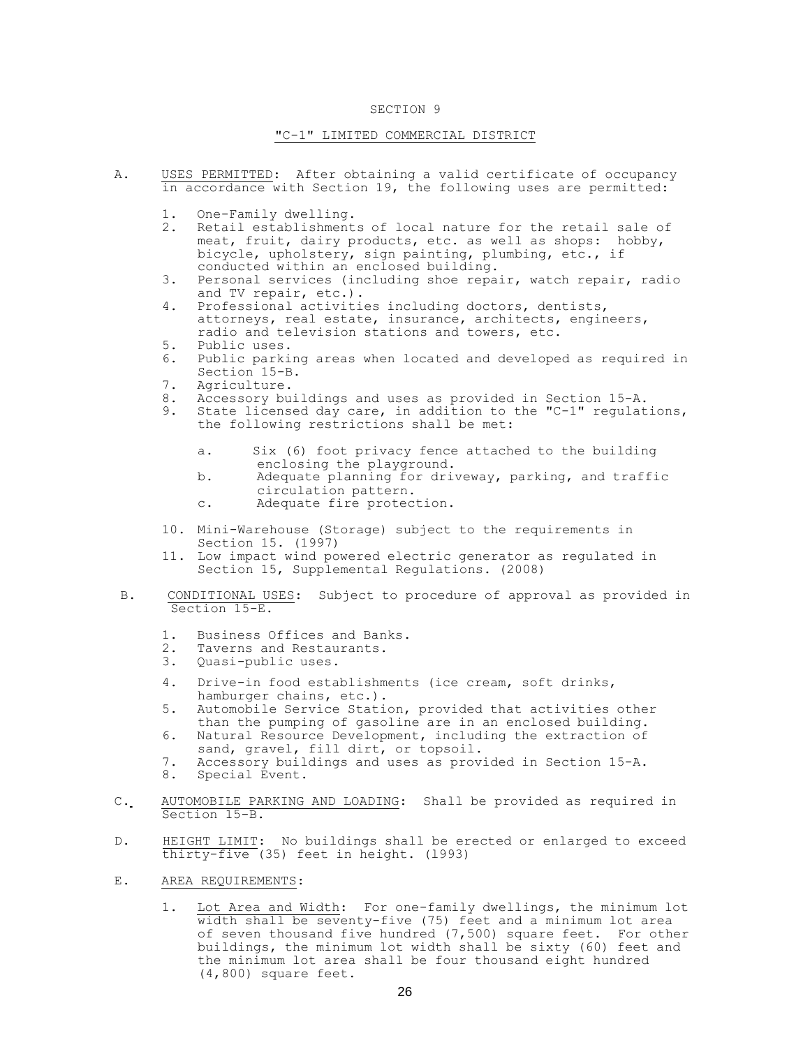#### "C-1" LIMITED COMMERCIAL DISTRICT

- A. USES PERMITTED: After obtaining a valid certificate of occupancy in accordance with Section 19, the following uses are permitted:
	- 1. One-Family dwelling.
	- 2. Retail establishments of local nature for the retail sale of meat, fruit, dairy products, etc. as well as shops: hobby, bicycle, upholstery, sign painting, plumbing, etc., if conducted within an enclosed building.
	- 3. Personal services (including shoe repair, watch repair, radio and TV repair, etc.).
	- 4. Professional activities including doctors, dentists, attorneys, real estate, insurance, architects, engineers, radio and television stations and towers, etc.
	- 5. Public uses.
	- 6. Public parking areas when located and developed as required in Section 15-B.
	- 7. Agriculture.
	- 8. Accessory buildings and uses as provided in Section 15-A.
	- 9. State licensed day care, in addition to the "C-1" regulations, the following restrictions shall be met:
		- a. Six (6) foot privacy fence attached to the building enclosing the playground.
		- b. Adequate planning for driveway, parking, and traffic circulation pattern.
		- c. Adequate fire protection.
	- 10. Mini-Warehouse (Storage) subject to the requirements in Section 15. (1997)
	- 11. Low impact wind powered electric generator as regulated in Section 15, Supplemental Regulations. (2008)
- B. CONDITIONAL USES: Subject to procedure of approval as provided in Section 15-E.
	- 1. Business Offices and Banks.
	- 2. Taverns and Restaurants.<br>3. Quasi-public uses.
	- Quasi-public uses.
	- 4. Drive-in food establishments (ice cream, soft drinks, hamburger chains, etc.).
	- 5. Automobile Service Station, provided that activities other than the pumping of gasoline are in an enclosed building.
	- 6. Natural Resource Development, including the extraction of sand, gravel, fill dirt, or topsoil.
	- 7. Accessory buildings and uses as provided in Section 15-A.
	- 8. Special Event.
- C. AUTOMOBILE PARKING AND LOADING: Shall be provided as required in Section 15-B.
- D. HEIGHT LIMIT: No buildings shall be erected or enlarged to exceed thirty-five (35) feet in height. (l993)
- E. AREA REQUIREMENTS:
	- 1. Lot Area and Width: For one-family dwellings, the minimum lot width shall be seventy-five (75) feet and a minimum lot area of seven thousand five hundred (7,500) square feet. For other buildings, the minimum lot width shall be sixty (60) feet and the minimum lot area shall be four thousand eight hundred (4,800) square feet.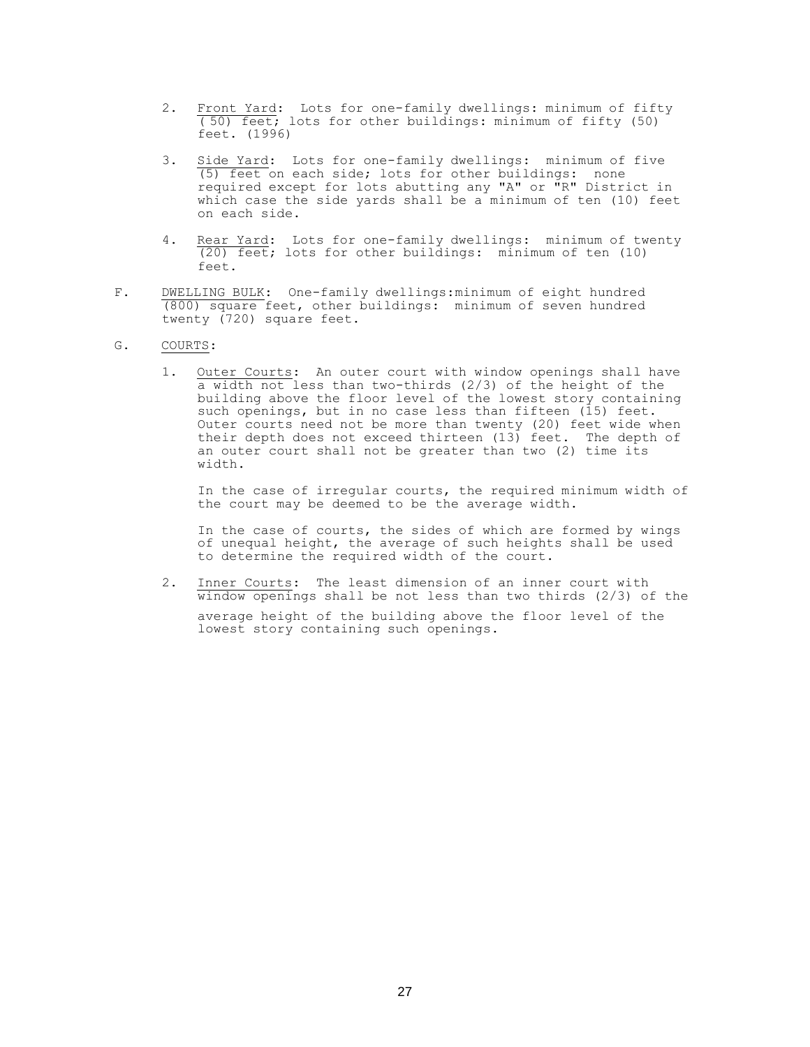- 2. Front Yard: Lots for one-family dwellings: minimum of fifty ( 50) feet; lots for other buildings: minimum of fifty (50) feet. (1996)
- 3. Side Yard: Lots for one-family dwellings: minimum of five (5) feet on each side; lots for other buildings: none required except for lots abutting any "A" or "R" District in which case the side yards shall be a minimum of ten (10) feet on each side.
- 4. Rear Yard: Lots for one-family dwellings: minimum of twenty (20) feet; lots for other buildings: minimum of ten (10) feet.
- F. DWELLING BULK: One-family dwellings:minimum of eight hundred (800) square feet, other buildings: minimum of seven hundred twenty (720) square feet.

## G. COURTS:

1. Outer Courts: An outer court with window openings shall have a width not less than two-thirds (2/3) of the height of the building above the floor level of the lowest story containing such openings, but in no case less than fifteen (15) feet. Outer courts need not be more than twenty (20) feet wide when their depth does not exceed thirteen (13) feet. The depth of an outer court shall not be greater than two (2) time its width.

In the case of irregular courts, the required minimum width of the court may be deemed to be the average width.

In the case of courts, the sides of which are formed by wings of unequal height, the average of such heights shall be used to determine the required width of the court.

2. Inner Courts: The least dimension of an inner court with  $\overline{\text{window opening}}$  shall be not less than two thirds (2/3) of the average height of the building above the floor level of the lowest story containing such openings.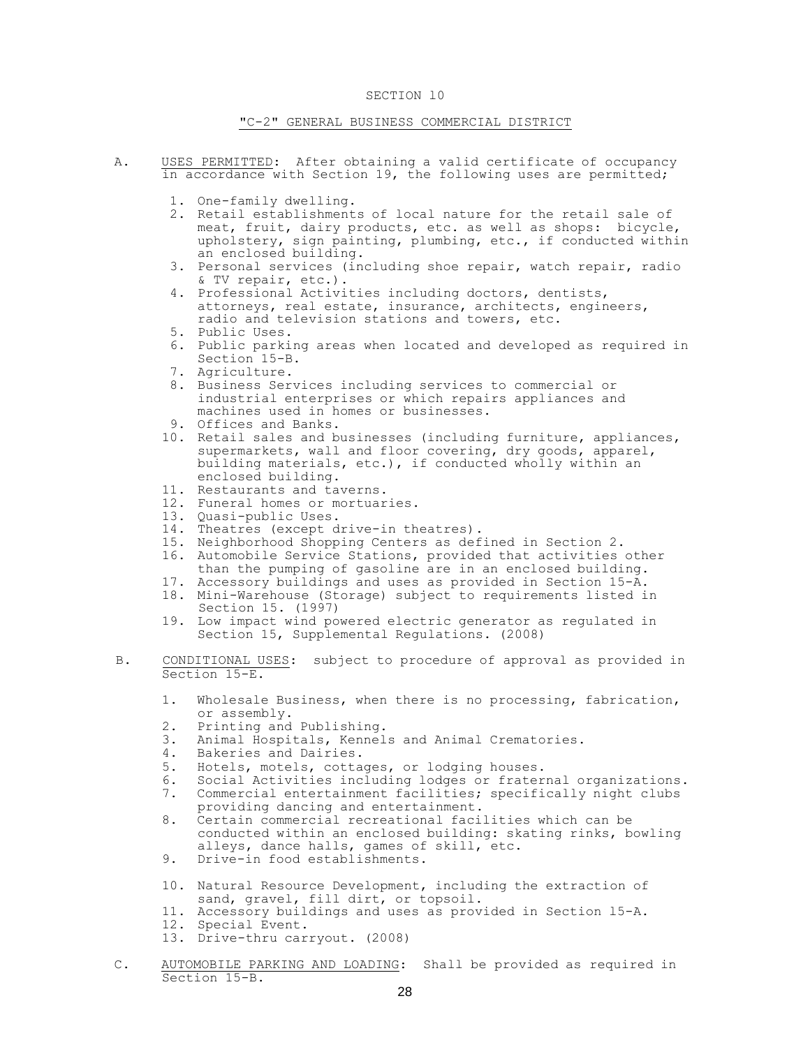## "C-2" GENERAL BUSINESS COMMERCIAL DISTRICT

- A. USES PERMITTED: After obtaining a valid certificate of occupancy in accordance with Section 19, the following uses are permitted;
	- 1. One-family dwelling.
	- 2. Retail establishments of local nature for the retail sale of meat, fruit, dairy products, etc. as well as shops: bicycle, upholstery, sign painting, plumbing, etc., if conducted within an enclosed building.
	- 3. Personal services (including shoe repair, watch repair, radio & TV repair, etc.).
	- 4. Professional Activities including doctors, dentists, attorneys, real estate, insurance, architects, engineers, radio and television stations and towers, etc.
	- 5. Public Uses.
	- 6. Public parking areas when located and developed as required in Section 15-B.
	- 7. Agriculture.
	- 8. Business Services including services to commercial or industrial enterprises or which repairs appliances and machines used in homes or businesses.
	- 9. Offices and Banks.
	- 10. Retail sales and businesses (including furniture, appliances, supermarkets, wall and floor covering, dry goods, apparel, building materials, etc.), if conducted wholly within an enclosed building.
	- 11. Restaurants and taverns.
	- 12. Funeral homes or mortuaries.
	- 13. Quasi-public Uses.
	- 14. Theatres (except drive-in theatres).
	- 15. Neighborhood Shopping Centers as defined in Section 2.
	- 16. Automobile Service Stations, provided that activities other than the pumping of gasoline are in an enclosed building.
	- 17. Accessory buildings and uses as provided in Section 15-A. 18. Mini-Warehouse (Storage) subject to requirements listed in Section 15. (1997)
	- 19. Low impact wind powered electric generator as regulated in Section 15, Supplemental Regulations. (2008)
- B. CONDITIONAL USES: subject to procedure of approval as provided in Section 15-E.
	- 1. Wholesale Business, when there is no processing, fabrication, or assembly.
	- 2. Printing and Publishing.
	- 3. Animal Hospitals, Kennels and Animal Crematories.
	- 4. Bakeries and Dairies.
	- 5. Hotels, motels, cottages, or lodging houses.
	- 6. Social Activities including lodges or fraternal organizations.
	- 7. Commercial entertainment facilities; specifically night clubs providing dancing and entertainment.
	- 8. Certain commercial recreational facilities which can be conducted within an enclosed building: skating rinks, bowling alleys, dance halls, games of skill, etc.
	- 9. Drive-in food establishments.
	- 10. Natural Resource Development, including the extraction of sand, gravel, fill dirt, or topsoil.
	- 11. Accessory buildings and uses as provided in Section l5-A.
	- 12. Special Event.
	- 13. Drive-thru carryout. (2008)
- C. AUTOMOBILE PARKING AND LOADING: Shall be provided as required in Section 15-B.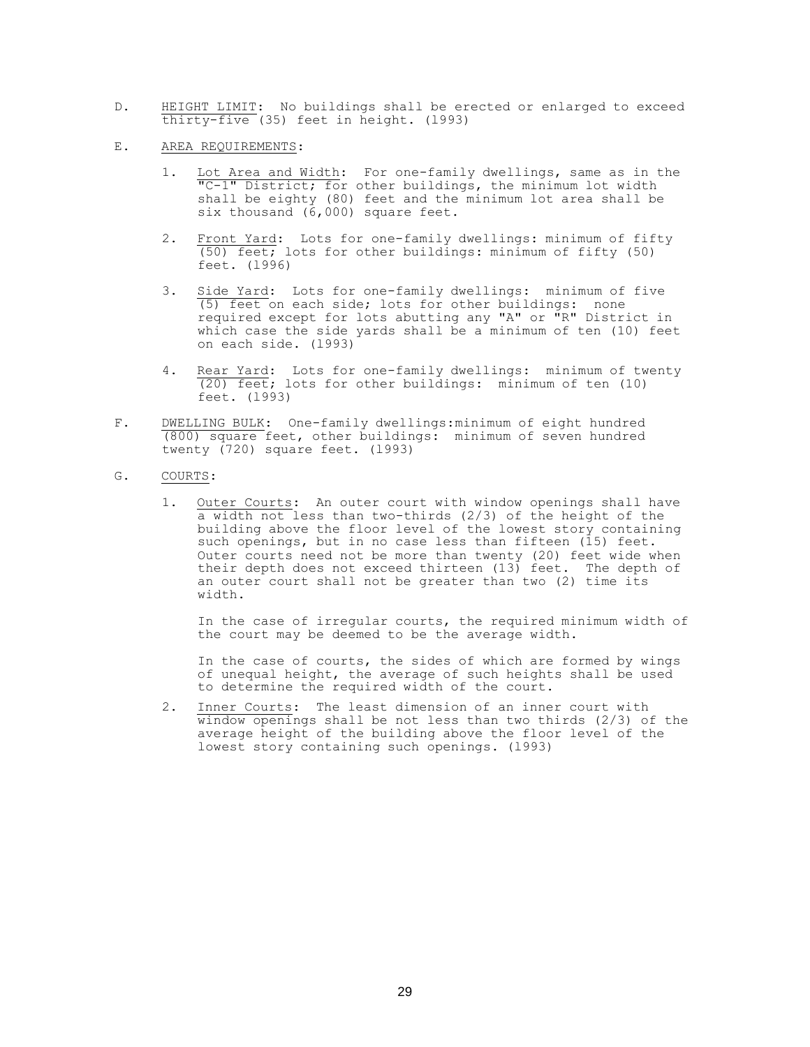- D. HEIGHT LIMIT: No buildings shall be erected or enlarged to exceed thirty-five (35) feet in height. (l993)
- E. AREA REQUIREMENTS:
	- 1. Lot Area and Width: For one-family dwellings, same as in the TC-1" District; for other buildings, the minimum lot width shall be eighty (80) feet and the minimum lot area shall be six thousand (6,000) square feet.
	- 2. Front Yard: Lots for one-family dwellings: minimum of fifty (50) feet; lots for other buildings: minimum of fifty (50) feet. (l996)
	- 3. Side Yard: Lots for one-family dwellings: minimum of five (5) feet on each side; lots for other buildings: none required except for lots abutting any "A" or "R" District in which case the side yards shall be a minimum of ten (10) feet on each side. (l993)
	- 4. Rear Yard: Lots for one-family dwellings: minimum of twenty (20) feet; lots for other buildings: minimum of ten (10) feet. (l993)
- F. DWELLING BULK: One-family dwellings:minimum of eight hundred (800) square feet, other buildings: minimum of seven hundred twenty (720) square feet. (1993)
- G. COURTS:
	- 1. Outer Courts: An outer court with window openings shall have a width not less than two-thirds (2/3) of the height of the building above the floor level of the lowest story containing such openings, but in no case less than fifteen (15) feet. Outer courts need not be more than twenty (20) feet wide when their depth does not exceed thirteen (13) feet. The depth of an outer court shall not be greater than two (2) time its width.

In the case of irregular courts, the required minimum width of the court may be deemed to be the average width.

In the case of courts, the sides of which are formed by wings of unequal height, the average of such heights shall be used to determine the required width of the court.

2. Inner Courts: The least dimension of an inner court with window openings shall be not less than two thirds (2/3) of the average height of the building above the floor level of the lowest story containing such openings. (l993)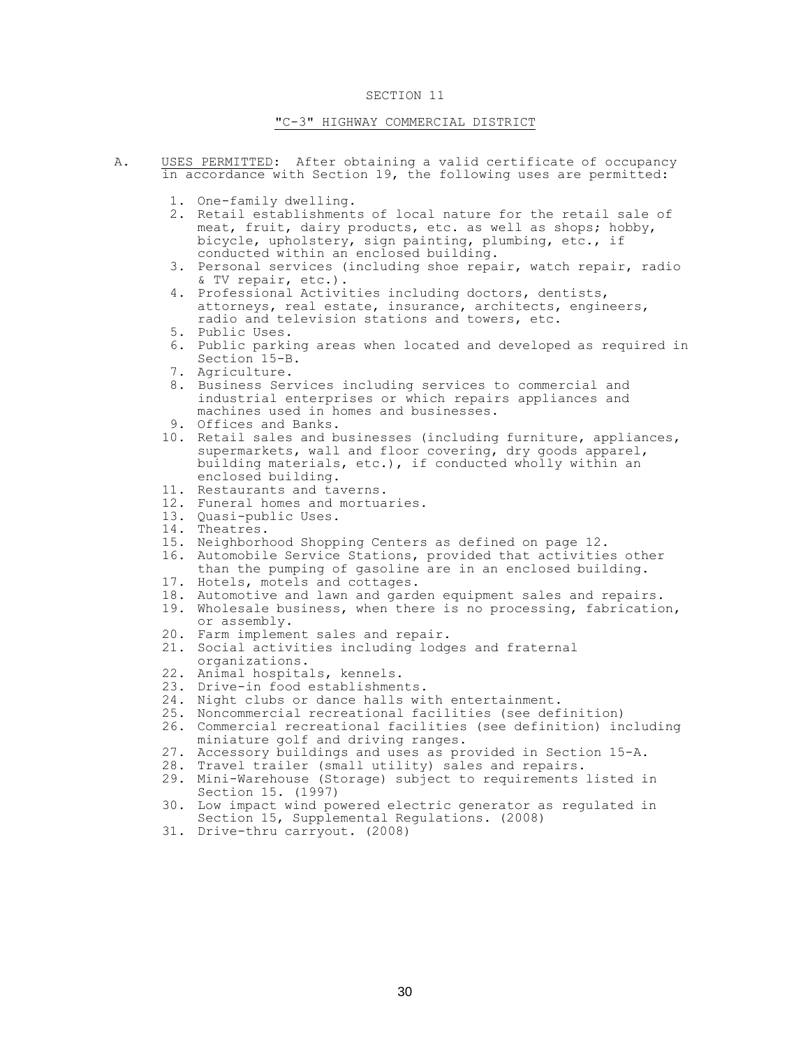## "C-3" HIGHWAY COMMERCIAL DISTRICT

- A. USES PERMITTED: After obtaining a valid certificate of occupancy in accordance with Section 19, the following uses are permitted:
	- 1. One-family dwelling.
	- 2. Retail establishments of local nature for the retail sale of meat, fruit, dairy products, etc. as well as shops; hobby, bicycle, upholstery, sign painting, plumbing, etc., if conducted within an enclosed building.
	- 3. Personal services (including shoe repair, watch repair, radio & TV repair, etc.).
	- 4. Professional Activities including doctors, dentists, attorneys, real estate, insurance, architects, engineers, radio and television stations and towers, etc.
	- 5. Public Uses.
	- 6. Public parking areas when located and developed as required in Section 15-B.
	- 7. Agriculture.
	- 8. Business Services including services to commercial and industrial enterprises or which repairs appliances and machines used in homes and businesses.
	- 9. Offices and Banks.
	- 10. Retail sales and businesses (including furniture, appliances, supermarkets, wall and floor covering, dry goods apparel, building materials, etc.), if conducted wholly within an enclosed building.
	- 11. Restaurants and taverns.
	- 12. Funeral homes and mortuaries.
	- 13. Quasi-public Uses.
	- 14. Theatres.
	- 15. Neighborhood Shopping Centers as defined on page 12.
	- 16. Automobile Service Stations, provided that activities other than the pumping of gasoline are in an enclosed building.
	- 17. Hotels, motels and cottages.
	- 18. Automotive and lawn and garden equipment sales and repairs.
	- 19. Wholesale business, when there is no processing, fabrication, or assembly.
	- 20. Farm implement sales and repair.
	- 21. Social activities including lodges and fraternal organizations.
	- 22. Animal hospitals, kennels.
	- 23. Drive-in food establishments.
	- 24. Night clubs or dance halls with entertainment.
	- 25. Noncommercial recreational facilities (see definition)
	- 26. Commercial recreational facilities (see definition) including miniature golf and driving ranges.
	- 27. Accessory buildings and uses as provided in Section 15-A.
	- 28. Travel trailer (small utility) sales and repairs.
	- 29. Mini-Warehouse (Storage) subject to requirements listed in Section 15. (1997)
	- 30. Low impact wind powered electric generator as regulated in Section 15, Supplemental Regulations. (2008)
	- 31. Drive-thru carryout. (2008)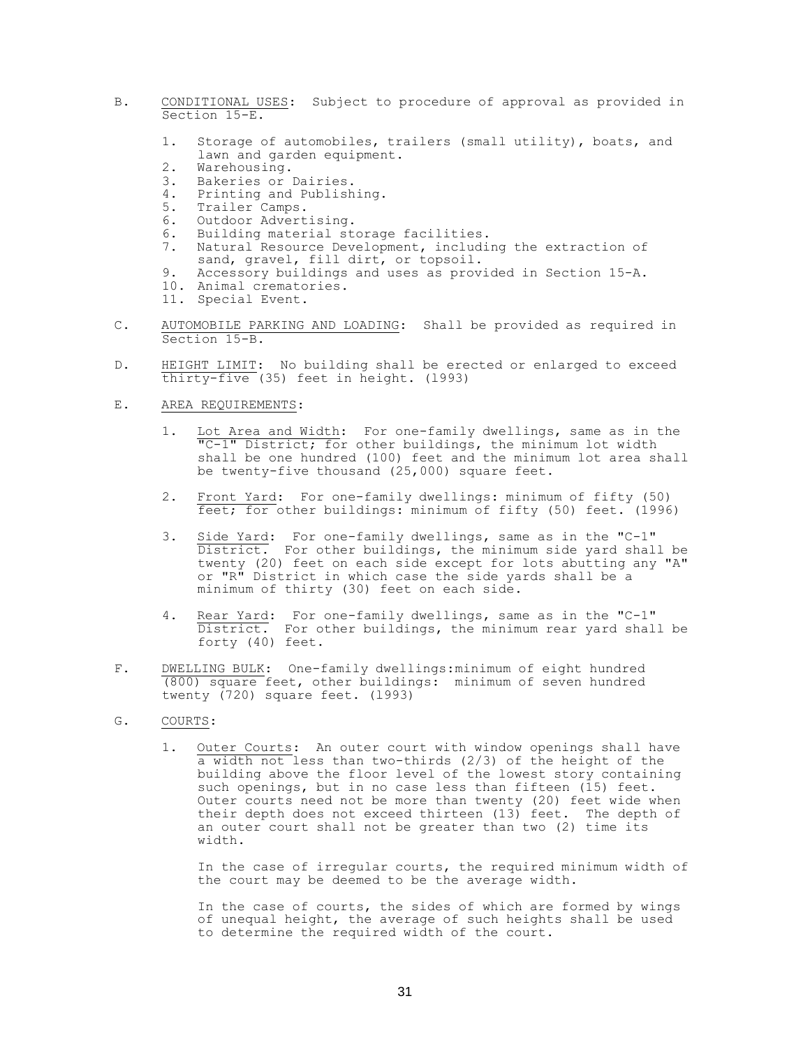- B. CONDITIONAL USES: Subject to procedure of approval as provided in Section 15-E.
	- 1. Storage of automobiles, trailers (small utility), boats, and lawn and garden equipment.
	- 2. Warehousing.
	- 3. Bakeries or Dairies.
	- 4. Printing and Publishing.<br>5. Trailer Camps.
	- Trailer Camps.
	- 6. Outdoor Advertising.
	- 6. Building material storage facilities.
	- 7. Natural Resource Development, including the extraction of sand, gravel, fill dirt, or topsoil.
	- 9. Accessory buildings and uses as provided in Section 15-A.
	- 10. Animal crematories.
	- 11. Special Event.
- C. AUTOMOBILE PARKING AND LOADING: Shall be provided as required in Section 15-B.
- D. HEIGHT LIMIT: No building shall be erected or enlarged to exceed thirty-five (35) feet in height. (l993)

### E. AREA REQUIREMENTS:

- 1. Lot Area and Width: For one-family dwellings, same as in the "C-1" District; for other buildings, the minimum lot width shall be one hundred (100) feet and the minimum lot area shall be twenty-five thousand (25,000) square feet.
- 2. Front Yard: For one-family dwellings: minimum of fifty (50) feet; for other buildings: minimum of fifty (50) feet. (1996)
- 3. Side Yard: For one-family dwellings, same as in the "C-1" District. For other buildings, the minimum side yard shall be twenty (20) feet on each side except for lots abutting any "A" or "R" District in which case the side yards shall be a minimum of thirty (30) feet on each side.
- 4. Rear Yard: For one-family dwellings, same as in the "C-1" District. For other buildings, the minimum rear yard shall be forty (40) feet.
- F. DWELLING BULK: One-family dwellings:minimum of eight hundred (800) square feet, other buildings: minimum of seven hundred twenty (720) square feet. (l993)
- G. COURTS:
	- 1. Outer Courts: An outer court with window openings shall have a width not less than two-thirds (2/3) of the height of the building above the floor level of the lowest story containing such openings, but in no case less than fifteen (15) feet. Outer courts need not be more than twenty (20) feet wide when their depth does not exceed thirteen  $(13)$  feet. The depth of an outer court shall not be greater than two (2) time its width.

In the case of irregular courts, the required minimum width of the court may be deemed to be the average width.

In the case of courts, the sides of which are formed by wings of unequal height, the average of such heights shall be used to determine the required width of the court.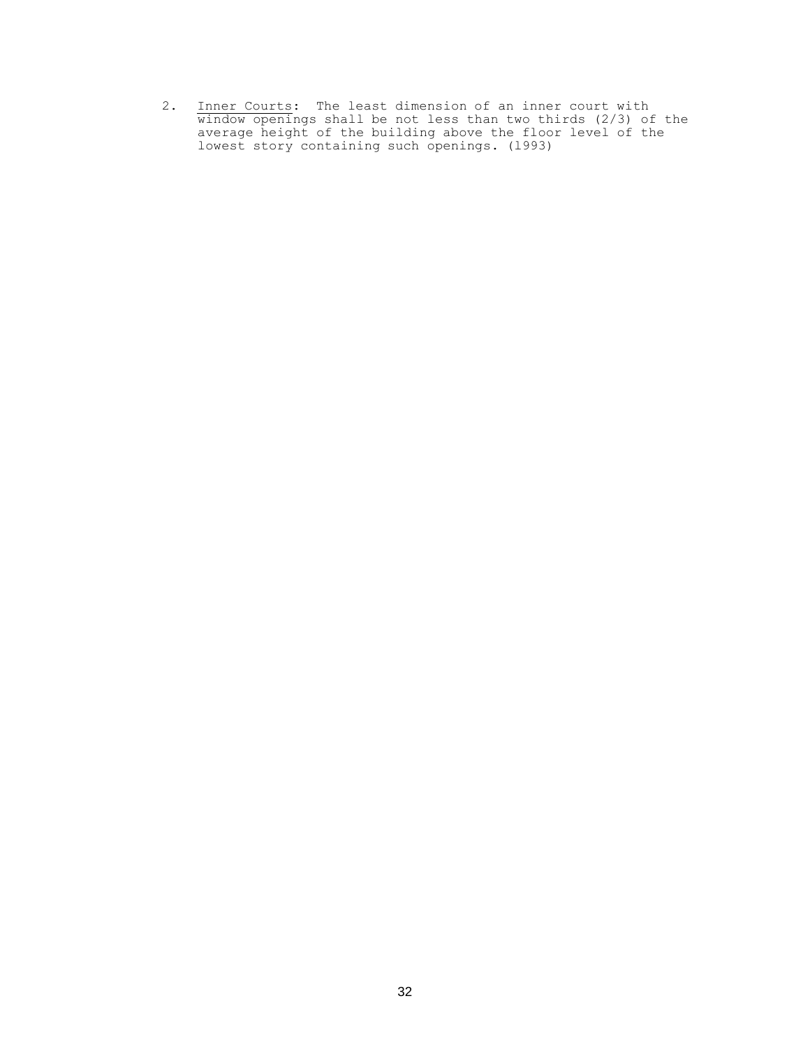2. Inner Courts: The least dimension of an inner court with window openings shall be not less than two thirds (2/3) of the average height of the building above the floor level of the lowest story containing such openings. (l993)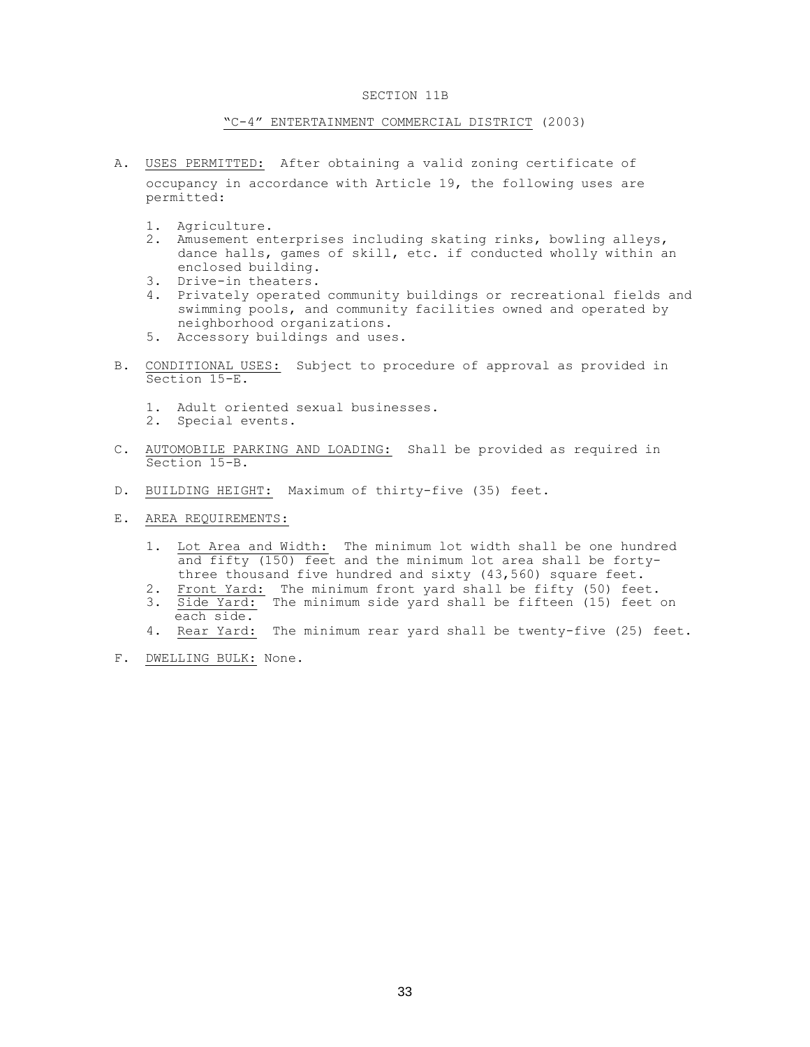## SECTION 11B

### "C-4" ENTERTAINMENT COMMERCIAL DISTRICT (2003)

- A. USES PERMITTED: After obtaining a valid zoning certificate of occupancy in accordance with Article 19, the following uses are permitted:
	- 1. Agriculture.
	- 2. Amusement enterprises including skating rinks, bowling alleys, dance halls, games of skill, etc. if conducted wholly within an enclosed building.
	- 3. Drive-in theaters.
	- 4. Privately operated community buildings or recreational fields and swimming pools, and community facilities owned and operated by neighborhood organizations.
	- 5. Accessory buildings and uses.
- B. CONDITIONAL USES: Subject to procedure of approval as provided in Section 15-E.
	- 1. Adult oriented sexual businesses.
	- 2. Special events.
- C. AUTOMOBILE PARKING AND LOADING: Shall be provided as required in Section 15-B.
- D. BUILDING HEIGHT: Maximum of thirty-five (35) feet.
- E. AREA REQUIREMENTS:
	- 1. Lot Area and Width: The minimum lot width shall be one hundred and fifty (150) feet and the minimum lot area shall be fortythree thousand five hundred and sixty (43,560) square feet.
	- 2. Front Yard: The minimum front yard shall be fifty (50) feet.
	- 3. Side Yard: The minimum side yard shall be fifteen (15) feet on each side.
	- 4. Rear Yard: The minimum rear yard shall be twenty-five (25) feet.
- F. DWELLING BULK: None.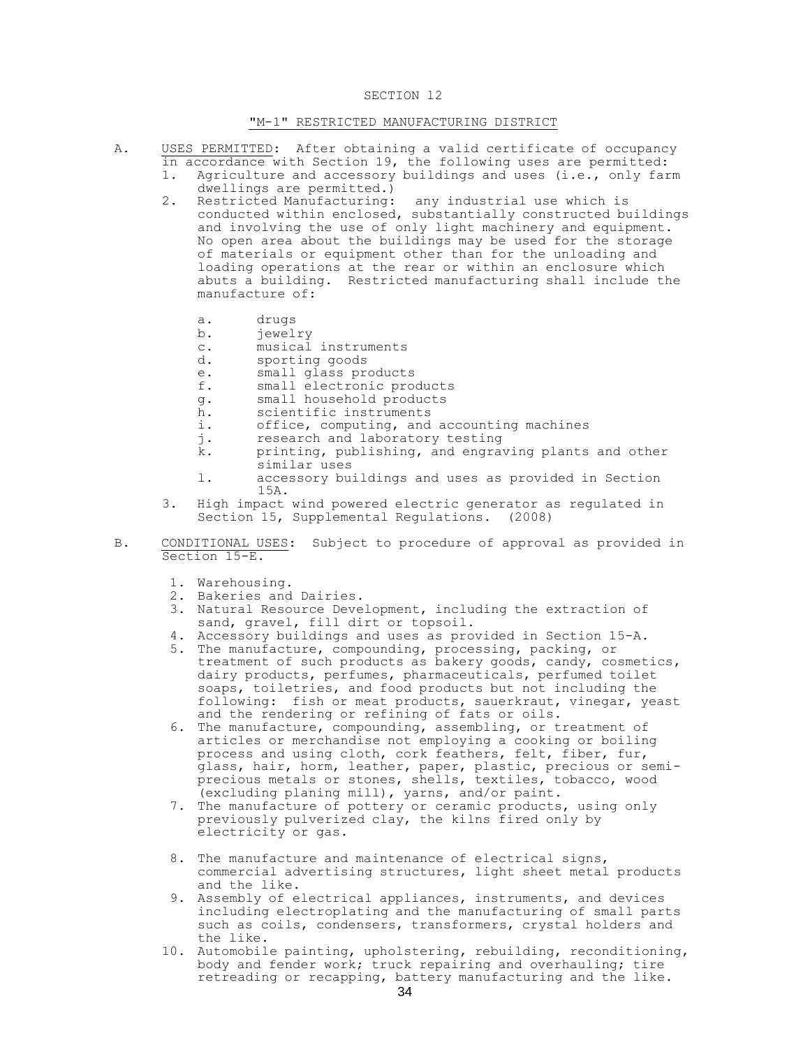## SECTION l2

# "M-1" RESTRICTED MANUFACTURING DISTRICT

- A. USES PERMITTED: After obtaining a valid certificate of occupancy in accordance with Section 19, the following uses are permitted:
	- 1. Agriculture and accessory buildings and uses (i.e., only farm dwellings are permitted.)
	- 2. Restricted Manufacturing: any industrial use which is conducted within enclosed, substantially constructed buildings and involving the use of only light machinery and equipment. No open area about the buildings may be used for the storage of materials or equipment other than for the unloading and loading operations at the rear or within an enclosure which abuts a building. Restricted manufacturing shall include the manufacture of:
		- a. drugs
		- b. jewelry
		- c. musical instruments
		- d. sporting goods<br>e. small glass pro
		- small glass products
		- f. small electronic products
		- g. small household products
		- h. scientific instruments
		- i. office, computing, and accounting machines<br>i. research and laboratory testing
		- j. research and laboratory testing<br>k. printing, publishing, and engrat
		- printing, publishing, and engraving plants and other similar uses
		- l. accessory buildings and uses as provided in Section 15A.
	- 3. High impact wind powered electric generator as regulated in Section 15, Supplemental Regulations. (2008)
- B. CONDITIONAL USES: Subject to procedure of approval as provided in Section 15-E.
	- 1. Warehousing.
	- 2. Bakeries and Dairies.
	- 3. Natural Resource Development, including the extraction of sand, gravel, fill dirt or topsoil.
	- 4. Accessory buildings and uses as provided in Section 15-A.
	- 5. The manufacture, compounding, processing, packing, or treatment of such products as bakery goods, candy, cosmetics, dairy products, perfumes, pharmaceuticals, perfumed toilet soaps, toiletries, and food products but not including the following: fish or meat products, sauerkraut, vinegar, yeast and the rendering or refining of fats or oils.
	- 6. The manufacture, compounding, assembling, or treatment of articles or merchandise not employing a cooking or boiling process and using cloth, cork feathers, felt, fiber, fur, glass, hair, horm, leather, paper, plastic, precious or semiprecious metals or stones, shells, textiles, tobacco, wood (excluding planing mill), yarns, and/or paint.
	- 7. The manufacture of pottery or ceramic products, using only previously pulverized clay, the kilns fired only by electricity or gas.
	- 8. The manufacture and maintenance of electrical signs, commercial advertising structures, light sheet metal products and the like.
	- 9. Assembly of electrical appliances, instruments, and devices including electroplating and the manufacturing of small parts such as coils, condensers, transformers, crystal holders and the like.
	- 10. Automobile painting, upholstering, rebuilding, reconditioning, body and fender work; truck repairing and overhauling; tire retreading or recapping, battery manufacturing and the like.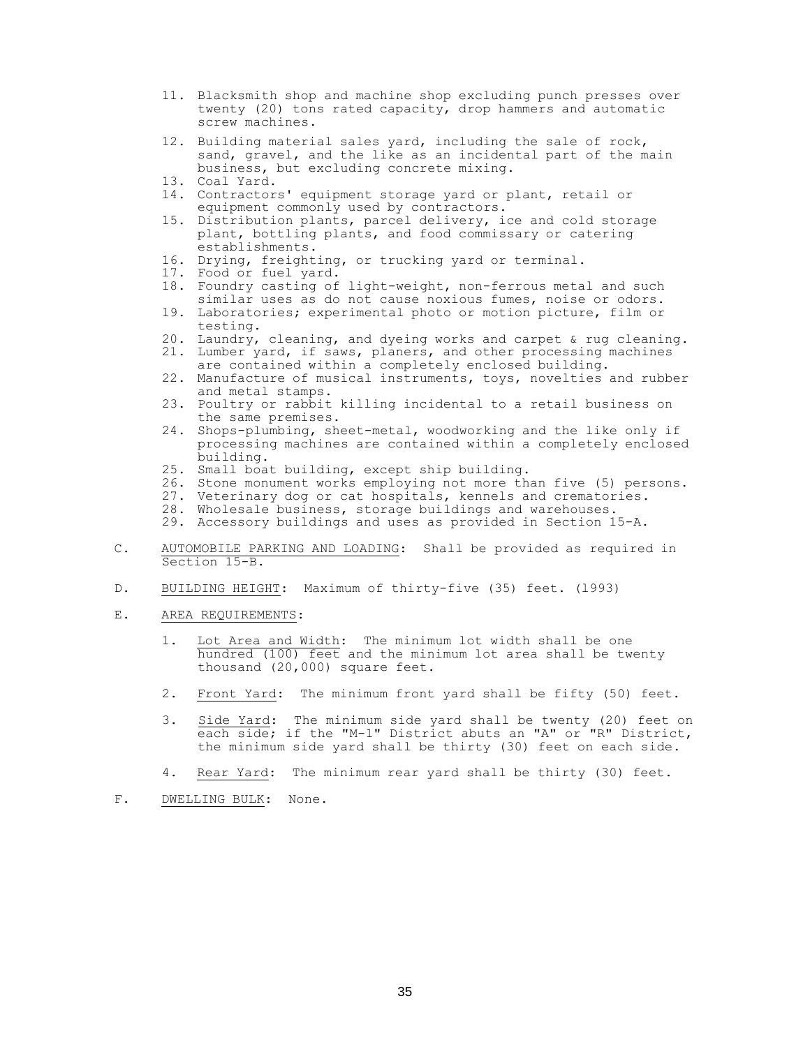- 11. Blacksmith shop and machine shop excluding punch presses over twenty (20) tons rated capacity, drop hammers and automatic screw machines.
- 12. Building material sales yard, including the sale of rock, sand, gravel, and the like as an incidental part of the main business, but excluding concrete mixing.
- 13. Coal Yard.
- 14. Contractors' equipment storage yard or plant, retail or equipment commonly used by contractors.
- 15. Distribution plants, parcel delivery, ice and cold storage plant, bottling plants, and food commissary or catering establishments.
- 16. Drying, freighting, or trucking yard or terminal.
- 17. Food or fuel yard.
- 18. Foundry casting of light-weight, non-ferrous metal and such similar uses as do not cause noxious fumes, noise or odors.
- 19. Laboratories; experimental photo or motion picture, film or testing.
- 20. Laundry, cleaning, and dyeing works and carpet & rug cleaning.
- 21. Lumber yard, if saws, planers, and other processing machines are contained within a completely enclosed building.
- 22. Manufacture of musical instruments, toys, novelties and rubber and metal stamps.
- 23. Poultry or rabbit killing incidental to a retail business on the same premises.
- 24. Shops-plumbing, sheet-metal, woodworking and the like only if processing machines are contained within a completely enclosed building.
- 25. Small boat building, except ship building.
- 26. Stone monument works employing not more than five (5) persons.
- 27. Veterinary dog or cat hospitals, kennels and crematories.
- 28. Wholesale business, storage buildings and warehouses.
- 29. Accessory buildings and uses as provided in Section 15-A.
- C. AUTOMOBILE PARKING AND LOADING: Shall be provided as required in Section 15-B.
- D. BUILDING HEIGHT: Maximum of thirty-five (35) feet. (l993)
- E. AREA REQUIREMENTS:
	- 1. Lot Area and Width: The minimum lot width shall be one hundred (100) feet and the minimum lot area shall be twenty thousand (20,000) square feet.
	- 2. Front Yard: The minimum front yard shall be fifty (50) feet.
	- 3. Side Yard: The minimum side yard shall be twenty (20) feet on each side; if the "M-1" District abuts an "A" or "R" District, the minimum side yard shall be thirty (30) feet on each side.
	- 4. Rear Yard: The minimum rear yard shall be thirty (30) feet.
- F. DWELLING BULK: None.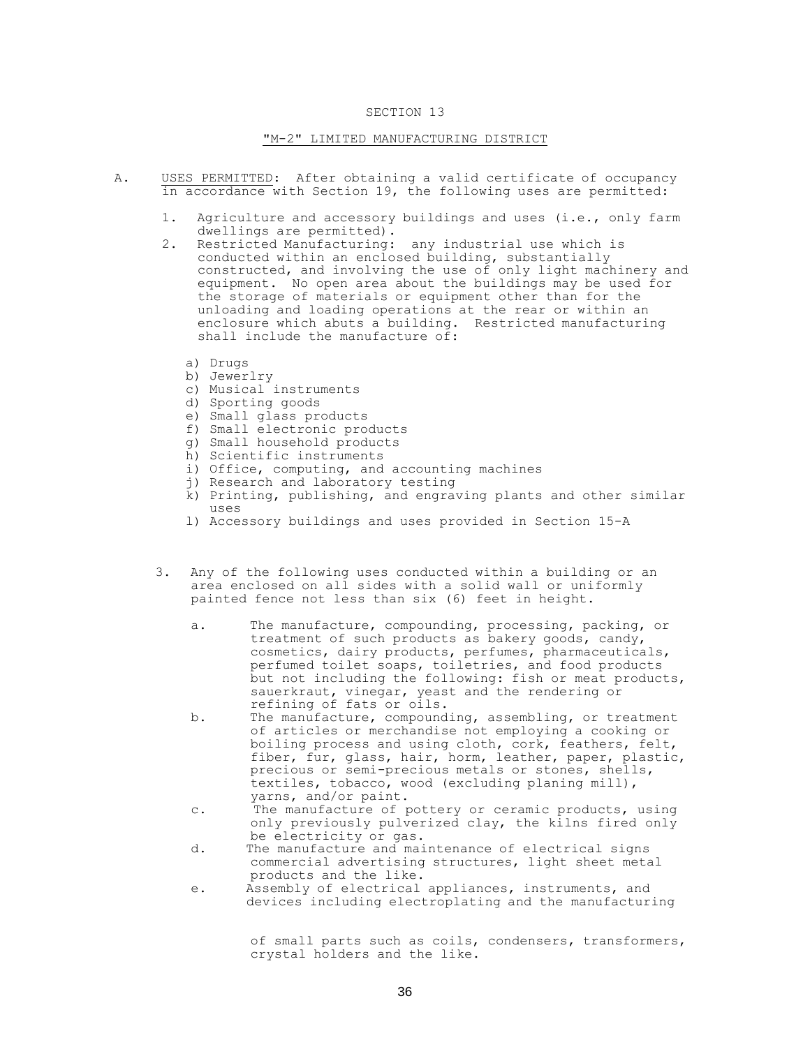## "M-2" LIMITED MANUFACTURING DISTRICT

- A. USES PERMITTED: After obtaining a valid certificate of occupancy in accordance with Section 19, the following uses are permitted:
	- 1. Agriculture and accessory buildings and uses (i.e., only farm dwellings are permitted).
	- 2. Restricted Manufacturing: any industrial use which is conducted within an enclosed building, substantially constructed, and involving the use of only light machinery and equipment. No open area about the buildings may be used for the storage of materials or equipment other than for the unloading and loading operations at the rear or within an enclosure which abuts a building. Restricted manufacturing shall include the manufacture of:
		- a) Drugs
		- b) Jewerlry
		- c) Musical instruments
		- d) Sporting goods
		- e) Small glass products
		- f) Small electronic products
		- g) Small household products
		- h) Scientific instruments
		- i) Office, computing, and accounting machines
		- j) Research and laboratory testing
		- k) Printing, publishing, and engraving plants and other similar uses
		- l) Accessory buildings and uses provided in Section 15-A
	- 3. Any of the following uses conducted within a building or an area enclosed on all sides with a solid wall or uniformly painted fence not less than six (6) feet in height.
		- a. The manufacture, compounding, processing, packing, or treatment of such products as bakery goods, candy, cosmetics, dairy products, perfumes, pharmaceuticals, perfumed toilet soaps, toiletries, and food products but not including the following: fish or meat products, sauerkraut, vinegar, yeast and the rendering or refining of fats or oils.
		- b. The manufacture, compounding, assembling, or treatment of articles or merchandise not employing a cooking or boiling process and using cloth, cork, feathers, felt, fiber, fur, glass, hair, horm, leather, paper, plastic, precious or semi-precious metals or stones, shells, textiles, tobacco, wood (excluding planing mill), yarns, and/or paint.
		- c. The manufacture of pottery or ceramic products, using only previously pulverized clay, the kilns fired only be electricity or gas.
		- d. The manufacture and maintenance of electrical signs commercial advertising structures, light sheet metal products and the like.
		- e. Assembly of electrical appliances, instruments, and devices including electroplating and the manufacturing

of small parts such as coils, condensers, transformers, crystal holders and the like.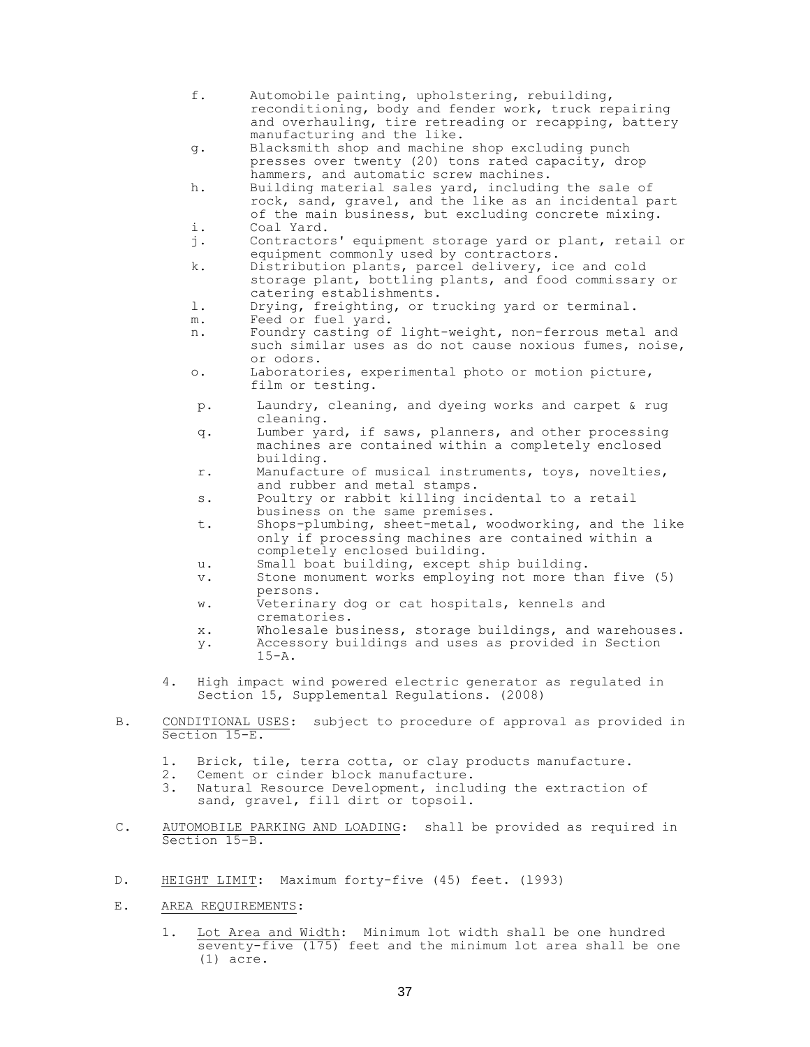- f. Automobile painting, upholstering, rebuilding, reconditioning, body and fender work, truck repairing and overhauling, tire retreading or recapping, battery manufacturing and the like.
- g. Blacksmith shop and machine shop excluding punch presses over twenty (20) tons rated capacity, drop hammers, and automatic screw machines.
- h. Building material sales yard, including the sale of rock, sand, gravel, and the like as an incidental part of the main business, but excluding concrete mixing. i. Coal Yard.
- j. Contractors' equipment storage yard or plant, retail or equipment commonly used by contractors.
- k. Distribution plants, parcel delivery, ice and cold storage plant, bottling plants, and food commissary or catering establishments.
- l. Drying, freighting, or trucking yard or terminal.
- m. Feed or fuel yard.
- n. Foundry casting of light-weight, non-ferrous metal and such similar uses as do not cause noxious fumes, noise, or odors.
- o. Laboratories, experimental photo or motion picture, film or testing.
- p. Laundry, cleaning, and dyeing works and carpet & rug cleaning.
- q. Lumber yard, if saws, planners, and other processing machines are contained within a completely enclosed building.
- r. Manufacture of musical instruments, toys, novelties, and rubber and metal stamps.
- s. Poultry or rabbit killing incidental to a retail business on the same premises.
- t. Shops-plumbing, sheet-metal, woodworking, and the like only if processing machines are contained within a completely enclosed building.
- u. Small boat building, except ship building.
- v. Stone monument works employing not more than five (5) persons.
- w. Veterinary dog or cat hospitals, kennels and crematories.
- x. Wholesale business, storage buildings, and warehouses.
- y. Accessory buildings and uses as provided in Section 15-A.
- 4. High impact wind powered electric generator as regulated in Section 15, Supplemental Regulations. (2008)
- B. CONDITIONAL USES: subject to procedure of approval as provided in Section 15-E.
	- 1. Brick, tile, terra cotta, or clay products manufacture.
	- 2. Cement or cinder block manufacture.
	- 3. Natural Resource Development, including the extraction of sand, gravel, fill dirt or topsoil.
- C. AUTOMOBILE PARKING AND LOADING: shall be provided as required in Section 15-B.
- D. HEIGHT LIMIT: Maximum forty-five (45) feet. (l993)
- E. AREA REQUIREMENTS:
	- 1. Lot Area and Width: Minimum lot width shall be one hundred seventy-five (175) feet and the minimum lot area shall be one (1) acre.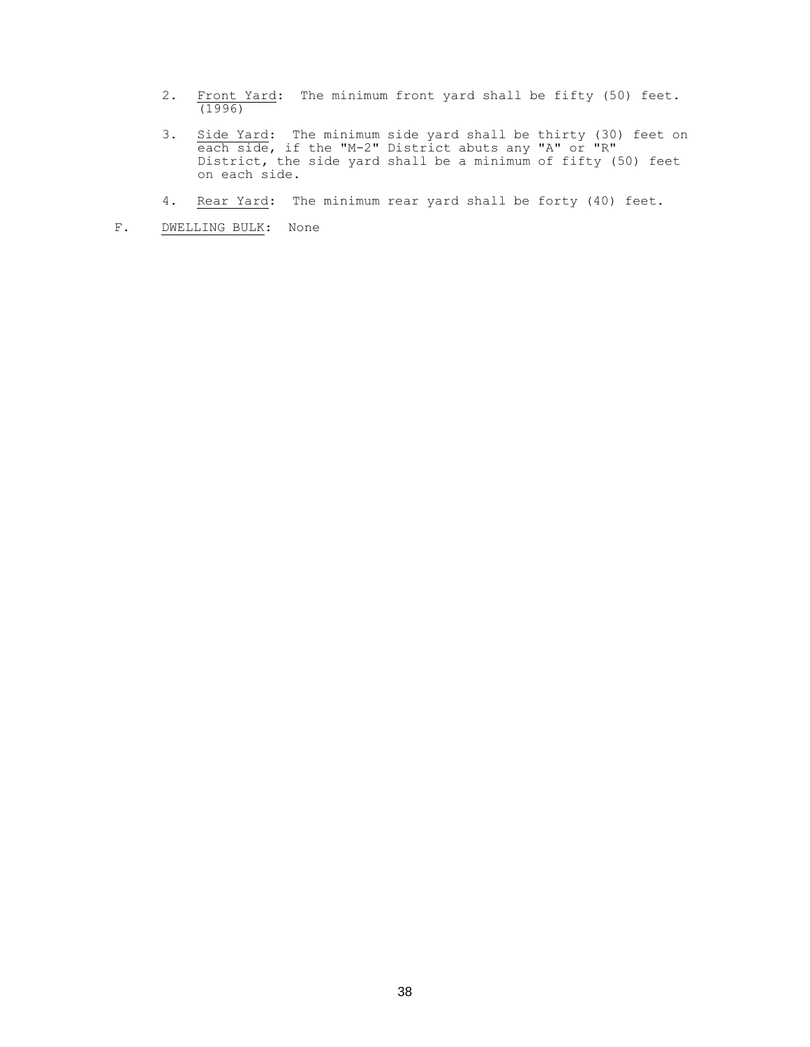- 2. Front Yard: The minimum front yard shall be fifty (50) feet. (1996)
- 3. Side Yard: The minimum side yard shall be thirty (30) feet on each side, if the "M-2" District abuts any "A" or "R" District, the side yard shall be a minimum of fifty (50) feet on each side.
- 4. Rear Yard: The minimum rear yard shall be forty (40) feet.
- F. DWELLING BULK: None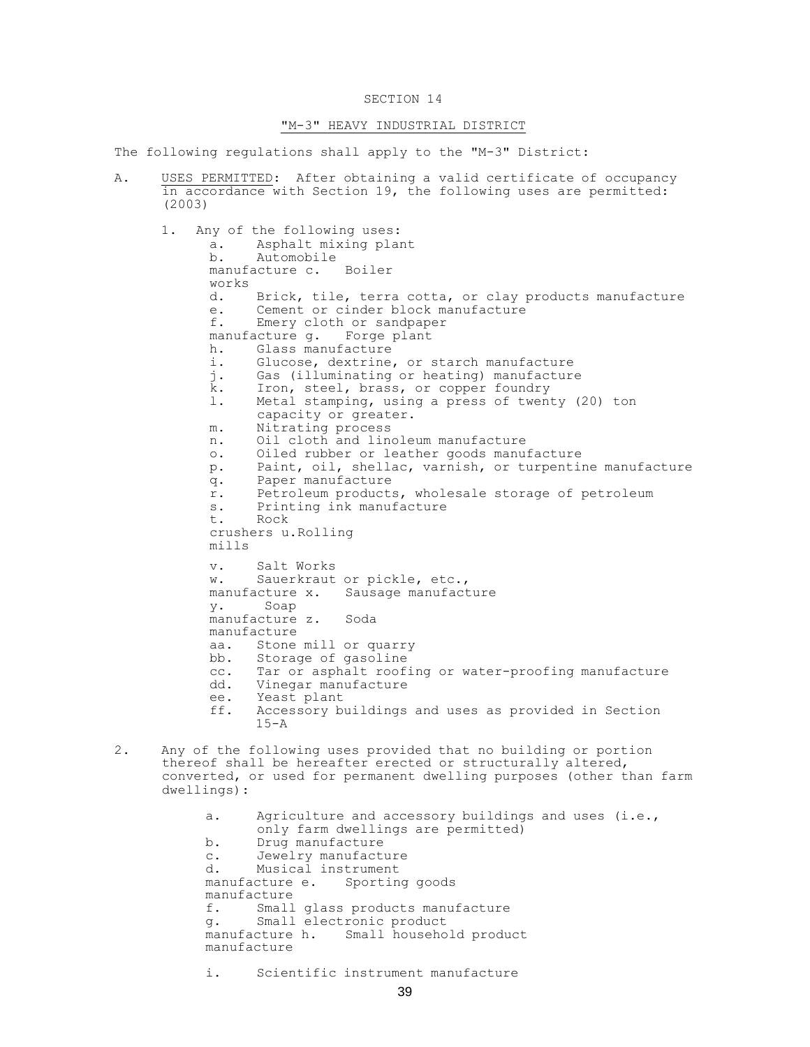## SECTION 14

## "M-3" HEAVY INDUSTRIAL DISTRICT

The following regulations shall apply to the "M-3" District:

- A. USES PERMITTED: After obtaining a valid certificate of occupancy in accordance with Section 19, the following uses are permitted: (2003) 1. Any of the following uses: a. Asphalt mixing plant b. Automobile manufacture c. Boiler works<br>d. Brick, tile, terra cotta, or clay products manufacture e. Cement or cinder block manufacture f. Emery cloth or sandpaper manufacture g. Forge plant h. Glass manufacture i. Glucose, dextrine, or starch manufacture j. Gas (illuminating or heating) manufacture k. Iron, steel, brass, or copper foundry l. Metal stamping, using a press of twenty (20) ton capacity or greater. m. Nitrating process n. Oil cloth and linoleum manufacture o. Oiled rubber or leather goods manufacture p. Paint, oil, shellac, varnish, or turpentine manufacture q. Paper manufacture r. Petroleum products, wholesale storage of petroleum s. Printing ink manufacture t. Rock crushers u.Rolling mills v. Salt Works w. Sauerkraut or pickle, etc., manufacture x. Sausage manufacture y. Soap manufacture z. Soda manufacture aa. Stone mill or quarry bb. Storage of gasoline<br>cc. Tar or asphalt roof: Tar or asphalt roofing or water-proofing manufacture dd. Vinegar manufacture ee. Yeast plant ff. Accessory buildings and uses as provided in Section  $15 - A$ 2. Any of the following uses provided that no building or portion thereof shall be hereafter erected or structurally altered, converted, or used for permanent dwelling purposes (other than farm dwellings): a. Agriculture and accessory buildings and uses (i.e., only farm dwellings are permitted)
	- b. Drug manufacture
	- c. Jewelry manufacture

d. Musical instrument manufacture e. Sporting goods manufacture f. Small glass products manufacture g. Small electronic product manufacture h. Small household product manufacture

i. Scientific instrument manufacture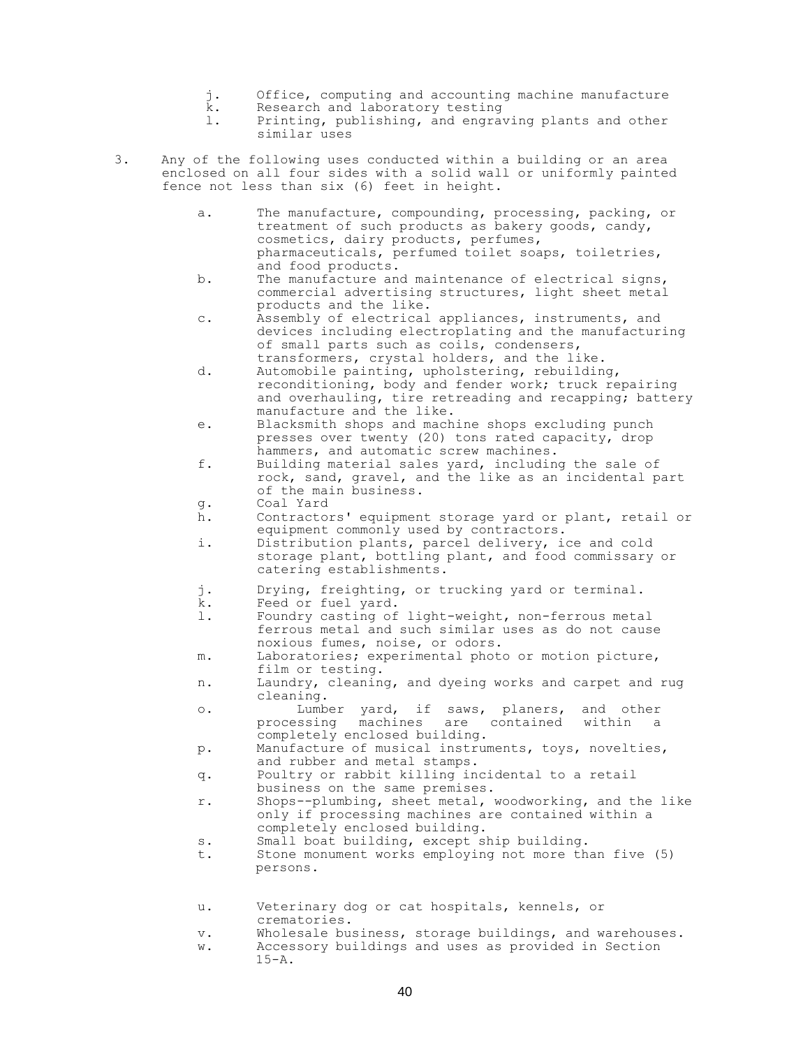- j. Office, computing and accounting machine manufacture
- k. Research and laboratory testing
- l. Printing, publishing, and engraving plants and other similar uses
- 3. Any of the following uses conducted within a building or an area enclosed on all four sides with a solid wall or uniformly painted fence not less than six (6) feet in height.
	- a. The manufacture, compounding, processing, packing, or treatment of such products as bakery goods, candy, cosmetics, dairy products, perfumes, pharmaceuticals, perfumed toilet soaps, toiletries, and food products.
	- b. The manufacture and maintenance of electrical signs, commercial advertising structures, light sheet metal products and the like.
	- c. Assembly of electrical appliances, instruments, and devices including electroplating and the manufacturing of small parts such as coils, condensers, transformers, crystal holders, and the like.
	- d. Automobile painting, upholstering, rebuilding, reconditioning, body and fender work; truck repairing and overhauling, tire retreading and recapping; battery manufacture and the like.
	- e. Blacksmith shops and machine shops excluding punch presses over twenty (20) tons rated capacity, drop hammers, and automatic screw machines.
	- f. Building material sales yard, including the sale of rock, sand, gravel, and the like as an incidental part of the main business.
	- g. Coal Yard
	- h. Contractors' equipment storage yard or plant, retail or equipment commonly used by contractors.
	- i. Distribution plants, parcel delivery, ice and cold storage plant, bottling plant, and food commissary or catering establishments.
	- j. Drying, freighting, or trucking yard or terminal.
	- k. Feed or fuel yard.
	- l. Foundry casting of light-weight, non-ferrous metal ferrous metal and such similar uses as do not cause noxious fumes, noise, or odors.
	- m. Laboratories; experimental photo or motion picture, film or testing.
	- n. Laundry, cleaning, and dyeing works and carpet and rug cleaning.
	- o. Lumber yard, if saws, planers, and other processing machines are contained within completely enclosed building.
	- p. Manufacture of musical instruments, toys, novelties, and rubber and metal stamps.
	- q. Poultry or rabbit killing incidental to a retail business on the same premises.
	- r. Shops--plumbing, sheet metal, woodworking, and the like only if processing machines are contained within a completely enclosed building.
	- s. Small boat building, except ship building.
	- t. Stone monument works employing not more than five (5) persons.
	- u. Veterinary dog or cat hospitals, kennels, or crematories.
	- v. Wholesale business, storage buildings, and warehouses.
	- w. Accessory buildings and uses as provided in Section  $15 - A$ .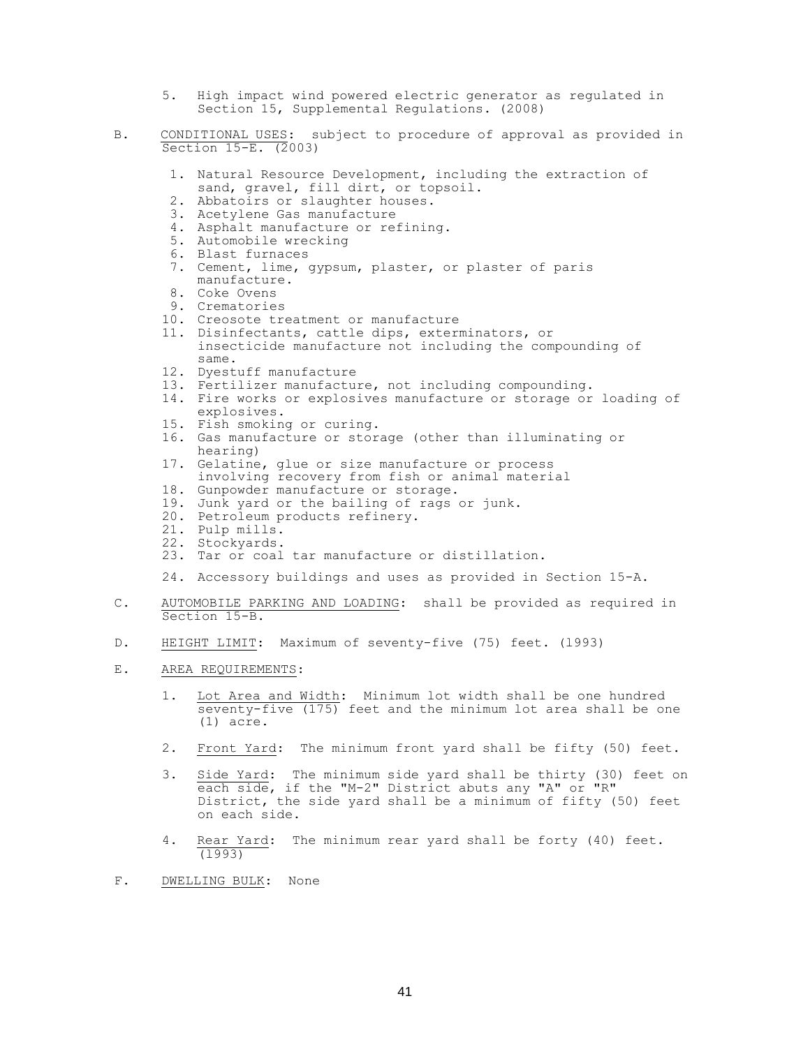- 5. High impact wind powered electric generator as regulated in Section 15, Supplemental Regulations. (2008)
- B. CONDITIONAL USES: subject to procedure of approval as provided in Section 15-E. (2003)
	- 1. Natural Resource Development, including the extraction of sand, gravel, fill dirt, or topsoil.
	- 2. Abbatoirs or slaughter houses.
	- 3. Acetylene Gas manufacture
	- 4. Asphalt manufacture or refining.
	- 5. Automobile wrecking
	- 6. Blast furnaces
	- 7. Cement, lime, gypsum, plaster, or plaster of paris manufacture.
	- 8. Coke Ovens
	- 9. Crematories
	- 10. Creosote treatment or manufacture
	- 11. Disinfectants, cattle dips, exterminators, or insecticide manufacture not including the compounding of same.
	- 12. Dyestuff manufacture
	- 13. Fertilizer manufacture, not including compounding.
	- 14. Fire works or explosives manufacture or storage or loading of explosives.
	- 15. Fish smoking or curing.
	- 16. Gas manufacture or storage (other than illuminating or hearing)
	- 17. Gelatine, glue or size manufacture or process involving recovery from fish or animal material
	- 18. Gunpowder manufacture or storage.
	- 19. Junk yard or the bailing of rags or junk.
	- 20. Petroleum products refinery.
	- 21. Pulp mills.
	- 22. Stockyards.
	- 23. Tar or coal tar manufacture or distillation.

24. Accessory buildings and uses as provided in Section 15-A.

- C. AUTOMOBILE PARKING AND LOADING: shall be provided as required in Section 15-B.
- D. HEIGHT LIMIT: Maximum of seventy-five (75) feet. (l993)
- E. AREA REQUIREMENTS:
	- 1. Lot Area and Width: Minimum lot width shall be one hundred seventy-five (175) feet and the minimum lot area shall be one (1) acre.
	- 2. Front Yard: The minimum front yard shall be fifty (50) feet.
	- 3. Side Yard: The minimum side yard shall be thirty (30) feet on each side, if the "M-2" District abuts any "A" or "R" District, the side yard shall be a minimum of fifty (50) feet on each side.
	- 4. Rear Yard: The minimum rear yard shall be forty (40) feet. (l993)
- F. DWELLING BULK: None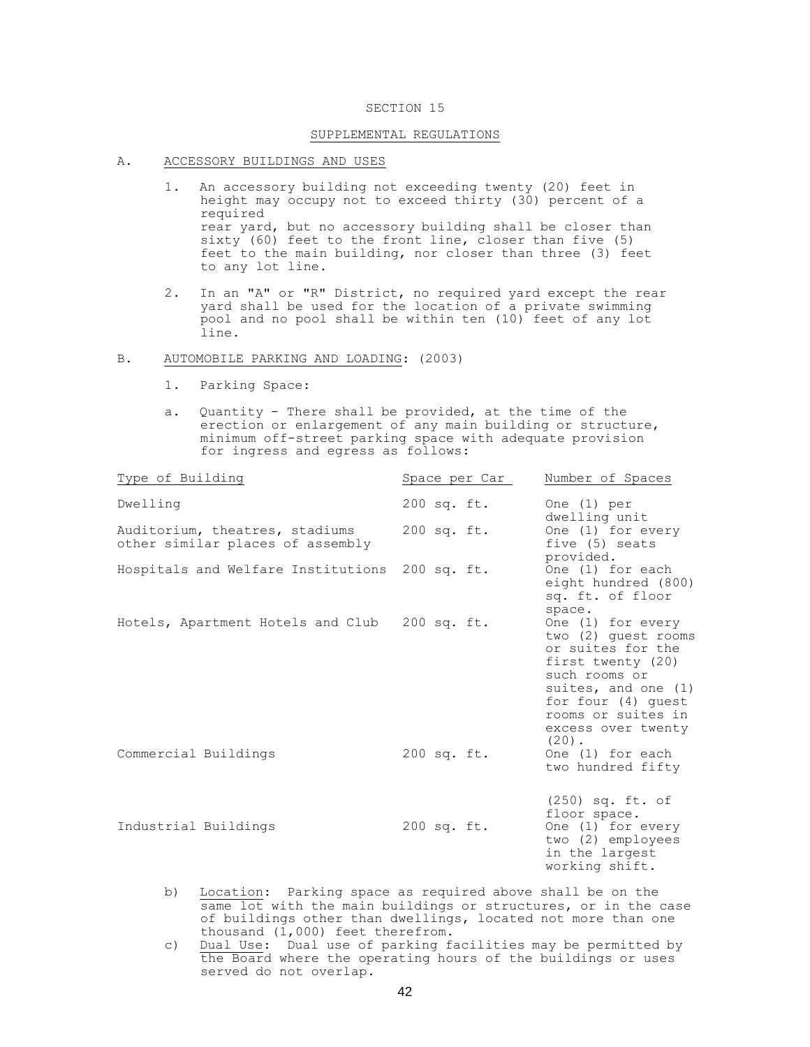#### SECTION 15

#### SUPPLEMENTAL REGULATIONS

- A. ACCESSORY BUILDINGS AND USES
	- 1. An accessory building not exceeding twenty (20) feet in height may occupy not to exceed thirty (30) percent of a required rear yard, but no accessory building shall be closer than sixty (60) feet to the front line, closer than five (5) feet to the main building, nor closer than three (3) feet to any lot line.
	- 2. In an "A" or "R" District, no required yard except the rear yard shall be used for the location of a private swimming pool and no pool shall be within ten (10) feet of any lot line.

#### B. AUTOMOBILE PARKING AND LOADING: (2003)

- 1. Parking Space:
- a. Quantity There shall be provided, at the time of the erection or enlargement of any main building or structure, minimum off-street parking space with adequate provision for ingress and egress as follows:

| Type of Building                                                   | Space per Car | Number of Spaces                                                                                                                                                                                         |
|--------------------------------------------------------------------|---------------|----------------------------------------------------------------------------------------------------------------------------------------------------------------------------------------------------------|
| Dwelling                                                           | $200$ sq. ft. | One $(1)$ per<br>dwelling unit                                                                                                                                                                           |
| Auditorium, theatres, stadiums<br>other similar places of assembly | 200 sq. ft.   | One (1) for every<br>five (5) seats<br>provided.                                                                                                                                                         |
| Hospitals and Welfare Institutions 200 sq. ft.                     |               | One (1) for each<br>eight hundred (800)<br>sq. ft. of floor<br>space.                                                                                                                                    |
| Hotels, Apartment Hotels and Club 200 sq. ft.                      |               | One (1) for every<br>two (2) quest rooms<br>or suites for the<br>first twenty (20)<br>such rooms or<br>suites, and one (1)<br>for four (4) quest<br>rooms or suites in<br>excess over twenty<br>$(20)$ . |
| Commercial Buildings                                               | 200 sq. ft.   | One (1) for each<br>two hundred fifty                                                                                                                                                                    |
| Industrial Buildings                                               | 200 sq. ft.   | $(250)$ sq. ft. of<br>floor space.<br>One (1) for every<br>two (2) employees<br>in the largest<br>working shift.                                                                                         |

- b) Location: Parking space as required above shall be on the same lot with the main buildings or structures, or in the case of buildings other than dwellings, located not more than one thousand (1,000) feet therefrom.
- c) Dual Use: Dual use of parking facilities may be permitted by the Board where the operating hours of the buildings or uses served do not overlap.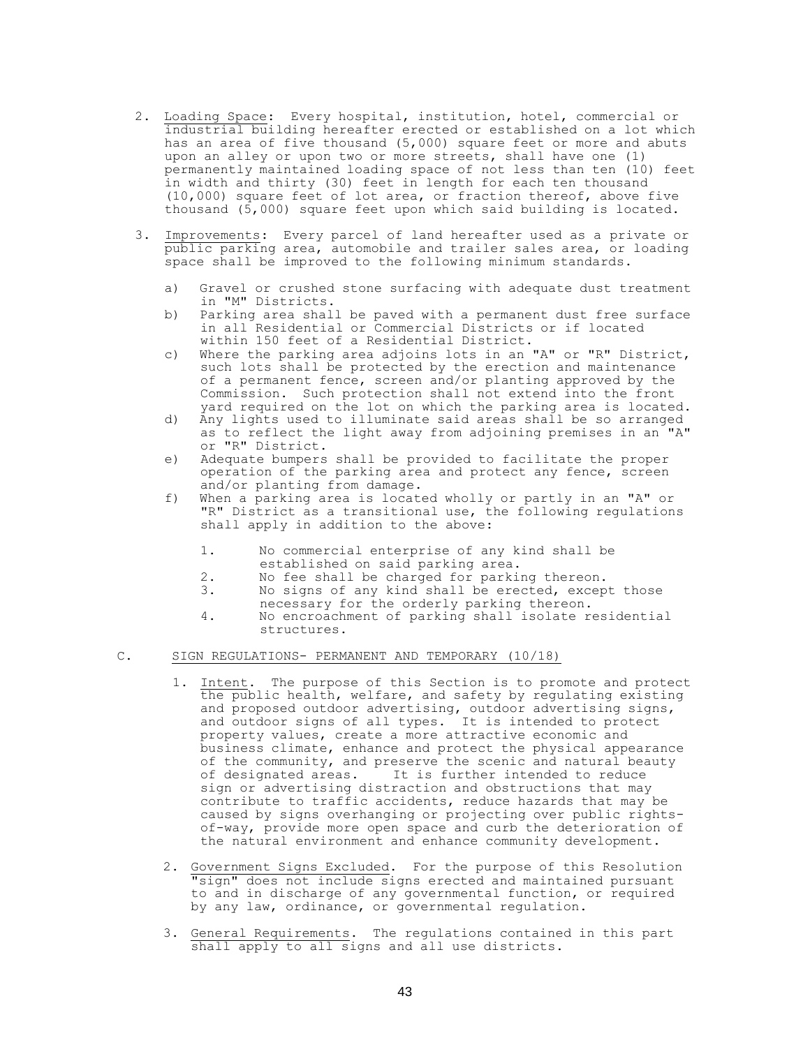- 2. Loading Space: Every hospital, institution, hotel, commercial or industrial building hereafter erected or established on a lot which has an area of five thousand (5,000) square feet or more and abuts upon an alley or upon two or more streets, shall have one (1) permanently maintained loading space of not less than ten (10) feet in width and thirty (30) feet in length for each ten thousand (10,000) square feet of lot area, or fraction thereof, above five thousand (5,000) square feet upon which said building is located.
- 3. Improvements: Every parcel of land hereafter used as a private or public parking area, automobile and trailer sales area, or loading space shall be improved to the following minimum standards.
	- a) Gravel or crushed stone surfacing with adequate dust treatment in "M" Districts.
	- b) Parking area shall be paved with a permanent dust free surface in all Residential or Commercial Districts or if located within 150 feet of a Residential District.
	- c) Where the parking area adjoins lots in an "A" or "R" District, such lots shall be protected by the erection and maintenance of a permanent fence, screen and/or planting approved by the Commission. Such protection shall not extend into the front yard required on the lot on which the parking area is located.
	- d) Any lights used to illuminate said areas shall be so arranged as to reflect the light away from adjoining premises in an "A" or "R" District.
	- e) Adequate bumpers shall be provided to facilitate the proper operation of the parking area and protect any fence, screen and/or planting from damage.
	- f) When a parking area is located wholly or partly in an "A" or "R" District as a transitional use, the following regulations shall apply in addition to the above:
		- 1. No commercial enterprise of any kind shall be established on said parking area.
		- 2. No fee shall be charged for parking thereon.
		- 3. No signs of any kind shall be erected, except those necessary for the orderly parking thereon.
		- 4. No encroachment of parking shall isolate residential structures.

## C. SIGN REGULATIONS- PERMANENT AND TEMPORARY (10/18)

- 1. Intent. The purpose of this Section is to promote and protect the public health, welfare, and safety by regulating existing and proposed outdoor advertising, outdoor advertising signs, and outdoor signs of all types. It is intended to protect property values, create a more attractive economic and business climate, enhance and protect the physical appearance of the community, and preserve the scenic and natural beauty of designated areas. It is further intended to reduce sign or advertising distraction and obstructions that may contribute to traffic accidents, reduce hazards that may be caused by signs overhanging or projecting over public rightsof-way, provide more open space and curb the deterioration of the natural environment and enhance community development.
- 2. Government Signs Excluded. For the purpose of this Resolution "sign" does not include signs erected and maintained pursuant to and in discharge of any governmental function, or required by any law, ordinance, or governmental regulation.
- 3. General Requirements. The regulations contained in this part shall apply to all signs and all use districts.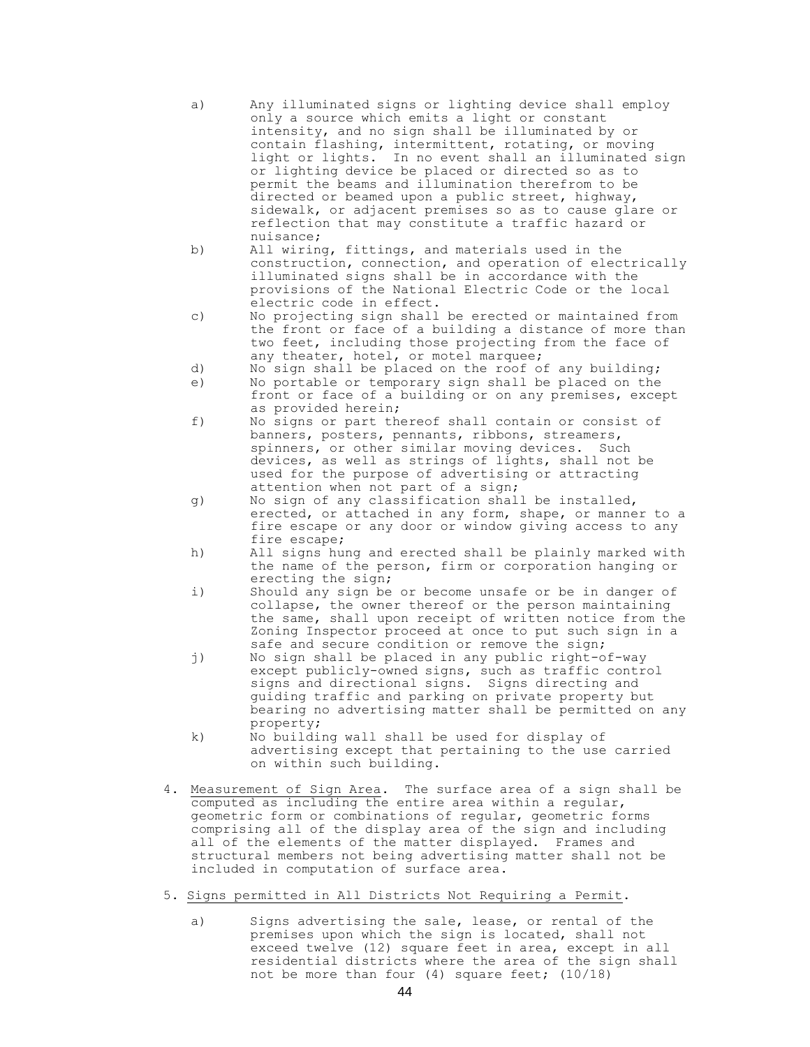| a) | Any illuminated signs or lighting device shall employ  |
|----|--------------------------------------------------------|
|    | only a source which emits a light or constant          |
|    | intensity, and no sign shall be illuminated by or      |
|    | contain flashing, intermittent, rotating, or moving    |
|    | light or lights. In no event shall an illuminated sign |
|    | or lighting device be placed or directed so as to      |
|    | permit the beams and illumination therefrom to be      |
|    | directed or beamed upon a public street, highway,      |
|    | sidewalk, or adjacent premises so as to cause glare or |
|    | reflection that may constitute a traffic hazard or     |
|    | nuisance;                                              |

- b) All wiring, fittings, and materials used in the construction, connection, and operation of electrically illuminated signs shall be in accordance with the provisions of the National Electric Code or the local electric code in effect.
- c) No projecting sign shall be erected or maintained from the front or face of a building a distance of more than two feet, including those projecting from the face of any theater, hotel, or motel marquee;
- d) No sign shall be placed on the roof of any building;
- e) No portable or temporary sign shall be placed on the front or face of a building or on any premises, except as provided herein;
- f) No signs or part thereof shall contain or consist of banners, posters, pennants, ribbons, streamers, spinners, or other similar moving devices. Such devices, as well as strings of lights, shall not be used for the purpose of advertising or attracting attention when not part of a sign;
- g) No sign of any classification shall be installed, erected, or attached in any form, shape, or manner to a fire escape or any door or window giving access to any fire escape;
- h) All signs hung and erected shall be plainly marked with the name of the person, firm or corporation hanging or erecting the sign;
- i) Should any sign be or become unsafe or be in danger of collapse, the owner thereof or the person maintaining the same, shall upon receipt of written notice from the Zoning Inspector proceed at once to put such sign in a safe and secure condition or remove the sign;
- j) No sign shall be placed in any public right-of-way except publicly-owned signs, such as traffic control signs and directional signs. Signs directing and guiding traffic and parking on private property but bearing no advertising matter shall be permitted on any property;
- k) No building wall shall be used for display of advertising except that pertaining to the use carried on within such building.
- 4. Measurement of Sign Area. The surface area of a sign shall be computed as including the entire area within a regular, geometric form or combinations of regular, geometric forms comprising all of the display area of the sign and including all of the elements of the matter displayed. Frames and structural members not being advertising matter shall not be included in computation of surface area.
- 5. Signs permitted in All Districts Not Requiring a Permit.
	- a) Signs advertising the sale, lease, or rental of the premises upon which the sign is located, shall not exceed twelve (12) square feet in area, except in all residential districts where the area of the sign shall not be more than four (4) square feet; (10/18)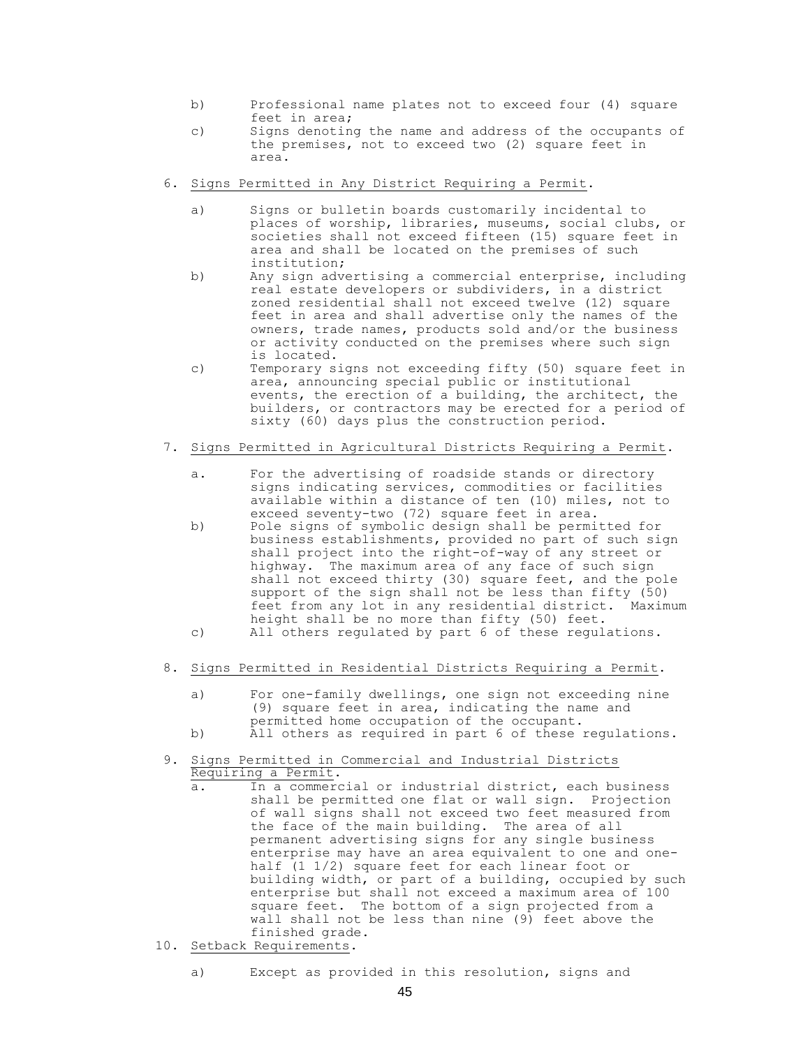- b) Professional name plates not to exceed four (4) square feet in area;
- c) Signs denoting the name and address of the occupants of the premises, not to exceed two (2) square feet in area.
- 6. Signs Permitted in Any District Requiring a Permit.
	- a) Signs or bulletin boards customarily incidental to places of worship, libraries, museums, social clubs, or societies shall not exceed fifteen (15) square feet in area and shall be located on the premises of such institution;
	- b) Any sign advertising a commercial enterprise, including real estate developers or subdividers, in a district zoned residential shall not exceed twelve (12) square feet in area and shall advertise only the names of the owners, trade names, products sold and/or the business or activity conducted on the premises where such sign is located.
	- c) Temporary signs not exceeding fifty (50) square feet in area, announcing special public or institutional events, the erection of a building, the architect, the builders, or contractors may be erected for a period of sixty (60) days plus the construction period.
- 7. Signs Permitted in Agricultural Districts Requiring a Permit.
	- a. For the advertising of roadside stands or directory signs indicating services, commodities or facilities available within a distance of ten (10) miles, not to exceed seventy-two (72) square feet in area.
	- b) Pole signs of symbolic design shall be permitted for business establishments, provided no part of such sign shall project into the right-of-way of any street or highway. The maximum area of any face of such sign shall not exceed thirty (30) square feet, and the pole support of the sign shall not be less than fifty (50) feet from any lot in any residential district. Maximum height shall be no more than fifty (50) feet.
	- c) All others regulated by part 6 of these regulations.
- 8. Signs Permitted in Residential Districts Requiring a Permit.
	- a) For one-family dwellings, one sign not exceeding nine (9) square feet in area, indicating the name and permitted home occupation of the occupant.
	- b) All others as required in part 6 of these regulations.
- 9. Signs Permitted in Commercial and Industrial Districts Requiring a Permit.
	- a. In a commercial or industrial district, each business shall be permitted one flat or wall sign. Projection of wall signs shall not exceed two feet measured from the face of the main building. The area of all permanent advertising signs for any single business enterprise may have an area equivalent to one and onehalf (1 1/2) square feet for each linear foot or building width, or part of a building, occupied by such enterprise but shall not exceed a maximum area of 100 square feet. The bottom of a sign projected from a wall shall not be less than nine (9) feet above the finished grade.
- 10. Setback Requirements.
	- a) Except as provided in this resolution, signs and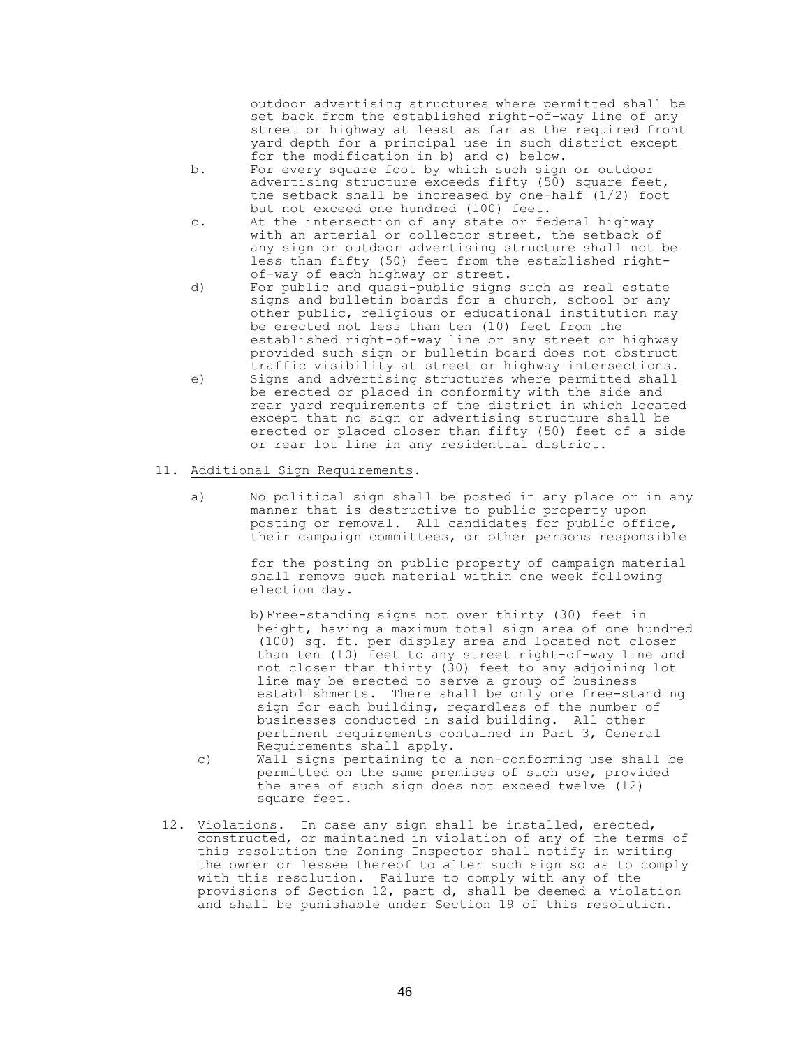outdoor advertising structures where permitted shall be set back from the established right-of-way line of any street or highway at least as far as the required front yard depth for a principal use in such district except for the modification in b) and c) below.

- b. For every square foot by which such sign or outdoor advertising structure exceeds fifty (50) square feet, the setback shall be increased by one-half  $(1/2)$  foot but not exceed one hundred (100) feet.
- c. At the intersection of any state or federal highway with an arterial or collector street, the setback of any sign or outdoor advertising structure shall not be less than fifty (50) feet from the established rightof-way of each highway or street.
- d) For public and quasi-public signs such as real estate signs and bulletin boards for a church, school or any other public, religious or educational institution may be erected not less than ten (10) feet from the established right-of-way line or any street or highway provided such sign or bulletin board does not obstruct traffic visibility at street or highway intersections.
- e) Signs and advertising structures where permitted shall be erected or placed in conformity with the side and rear yard requirements of the district in which located except that no sign or advertising structure shall be erected or placed closer than fifty (50) feet of a side or rear lot line in any residential district.
- 11. Additional Sign Requirements.
	- a) No political sign shall be posted in any place or in any manner that is destructive to public property upon posting or removal. All candidates for public office, their campaign committees, or other persons responsible

for the posting on public property of campaign material shall remove such material within one week following election day.

- b)Free-standing signs not over thirty (30) feet in height, having a maximum total sign area of one hundred (100) sq. ft. per display area and located not closer than ten (10) feet to any street right-of-way line and not closer than thirty (30) feet to any adjoining lot line may be erected to serve a group of business establishments. There shall be only one free-standing sign for each building, regardless of the number of businesses conducted in said building. All other pertinent requirements contained in Part 3, General Requirements shall apply.
- c) Wall signs pertaining to a non-conforming use shall be permitted on the same premises of such use, provided the area of such sign does not exceed twelve (12) square feet.
- 12. Violations. In case any sign shall be installed, erected, constructed, or maintained in violation of any of the terms of this resolution the Zoning Inspector shall notify in writing the owner or lessee thereof to alter such sign so as to comply with this resolution. Failure to comply with any of the provisions of Section 12, part d, shall be deemed a violation and shall be punishable under Section 19 of this resolution.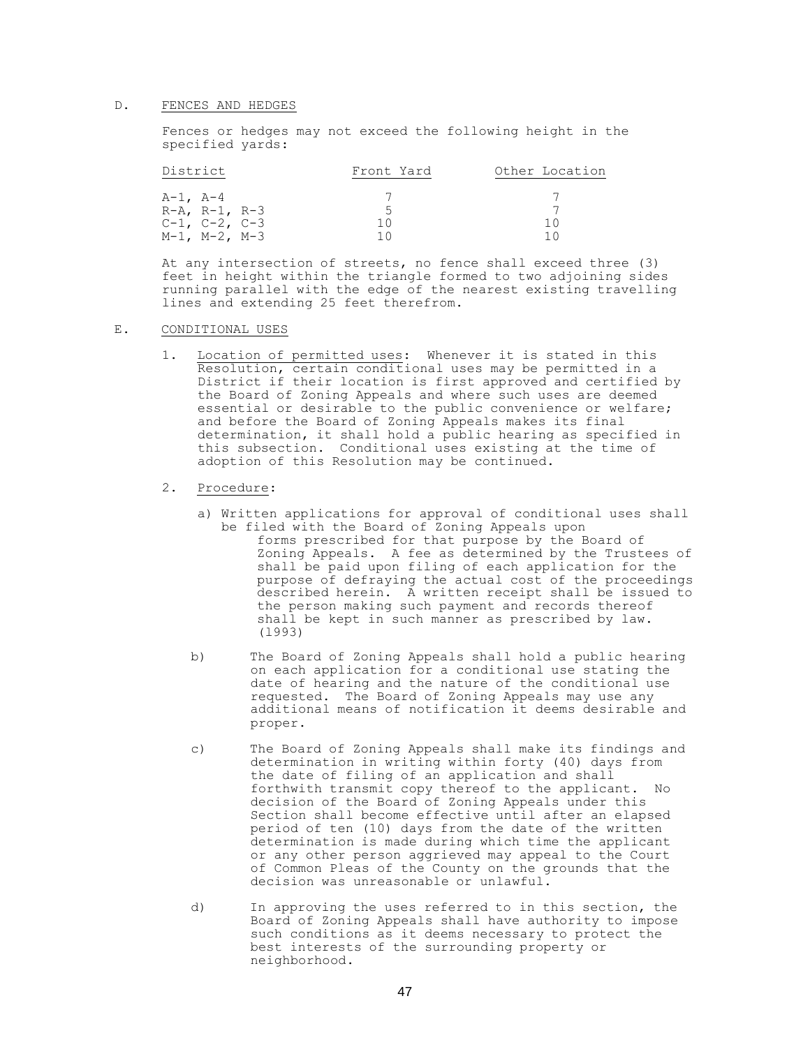#### D. FENCES AND HEDGES

Fences or hedges may not exceed the following height in the specified yards:

| District              | Front Yard | Other Location |
|-----------------------|------------|----------------|
|                       |            |                |
| $A-1$ , $A-4$         |            |                |
| $R-A$ , $R-1$ , $R-3$ |            |                |
| $C-1$ , $C-2$ , $C-3$ | 1 ()       | 10             |
| $M-1$ , $M-2$ , $M-3$ | 1 N        |                |

At any intersection of streets, no fence shall exceed three (3) feet in height within the triangle formed to two adjoining sides running parallel with the edge of the nearest existing travelling lines and extending 25 feet therefrom.

# E. CONDITIONAL USES

- 1. Location of permitted uses: Whenever it is stated in this Resolution, certain conditional uses may be permitted in a District if their location is first approved and certified by the Board of Zoning Appeals and where such uses are deemed essential or desirable to the public convenience or welfare; and before the Board of Zoning Appeals makes its final determination, it shall hold a public hearing as specified in this subsection. Conditional uses existing at the time of adoption of this Resolution may be continued.
- 2. Procedure:
	- a) Written applications for approval of conditional uses shall be filed with the Board of Zoning Appeals upon forms prescribed for that purpose by the Board of Zoning Appeals. A fee as determined by the Trustees of shall be paid upon filing of each application for the purpose of defraying the actual cost of the proceedings described herein. A written receipt shall be issued to the person making such payment and records thereof shall be kept in such manner as prescribed by law. (l993)
	- b) The Board of Zoning Appeals shall hold a public hearing on each application for a conditional use stating the date of hearing and the nature of the conditional use requested. The Board of Zoning Appeals may use any additional means of notification it deems desirable and proper.
	- c) The Board of Zoning Appeals shall make its findings and determination in writing within forty (40) days from the date of filing of an application and shall forthwith transmit copy thereof to the applicant. No decision of the Board of Zoning Appeals under this Section shall become effective until after an elapsed period of ten (10) days from the date of the written determination is made during which time the applicant or any other person aggrieved may appeal to the Court of Common Pleas of the County on the grounds that the decision was unreasonable or unlawful.
	- d) In approving the uses referred to in this section, the Board of Zoning Appeals shall have authority to impose such conditions as it deems necessary to protect the best interests of the surrounding property or neighborhood.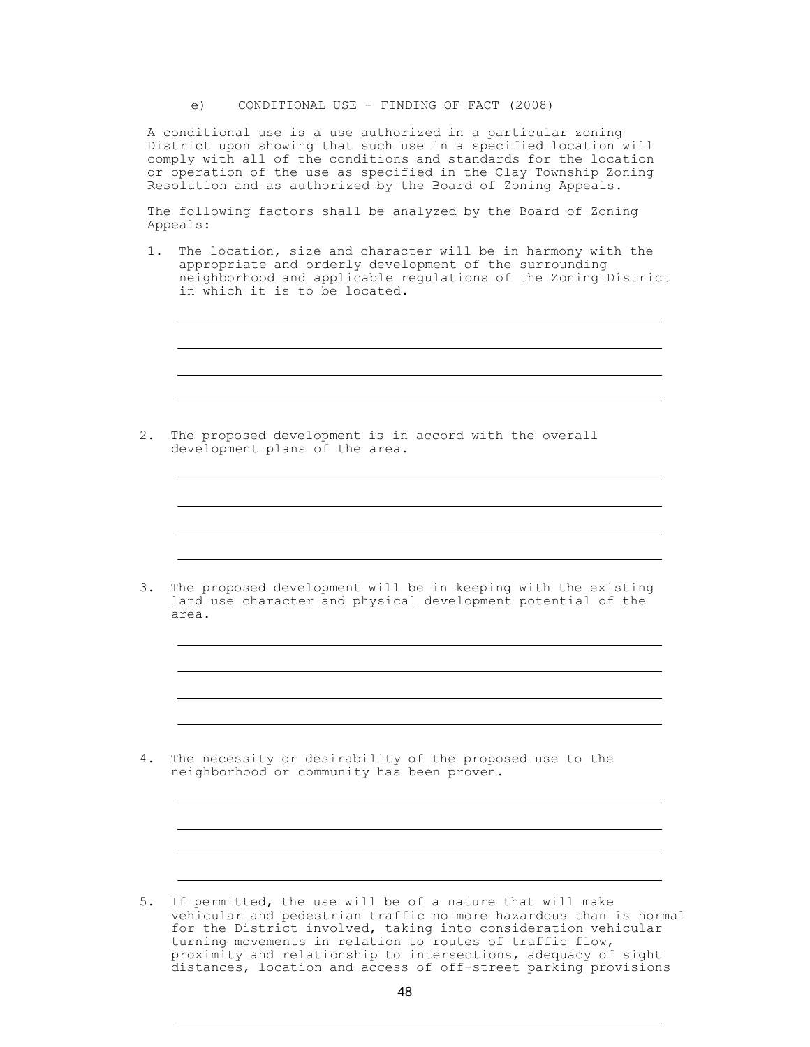e) CONDITIONAL USE - FINDING OF FACT (2008)

A conditional use is a use authorized in a particular zoning District upon showing that such use in a specified location will comply with all of the conditions and standards for the location or operation of the use as specified in the Clay Township Zoning Resolution and as authorized by the Board of Zoning Appeals.

The following factors shall be analyzed by the Board of Zoning Appeals:

1. The location, size and character will be in harmony with the appropriate and orderly development of the surrounding neighborhood and applicable regulations of the Zoning District in which it is to be located.

2. The proposed development is in accord with the overall development plans of the area.

3. The proposed development will be in keeping with the existing land use character and physical development potential of the area.

4. The necessity or desirability of the proposed use to the neighborhood or community has been proven.

5. If permitted, the use will be of a nature that will make vehicular and pedestrian traffic no more hazardous than is normal for the District involved, taking into consideration vehicular turning movements in relation to routes of traffic flow, proximity and relationship to intersections, adequacy of sight distances, location and access of off-street parking provisions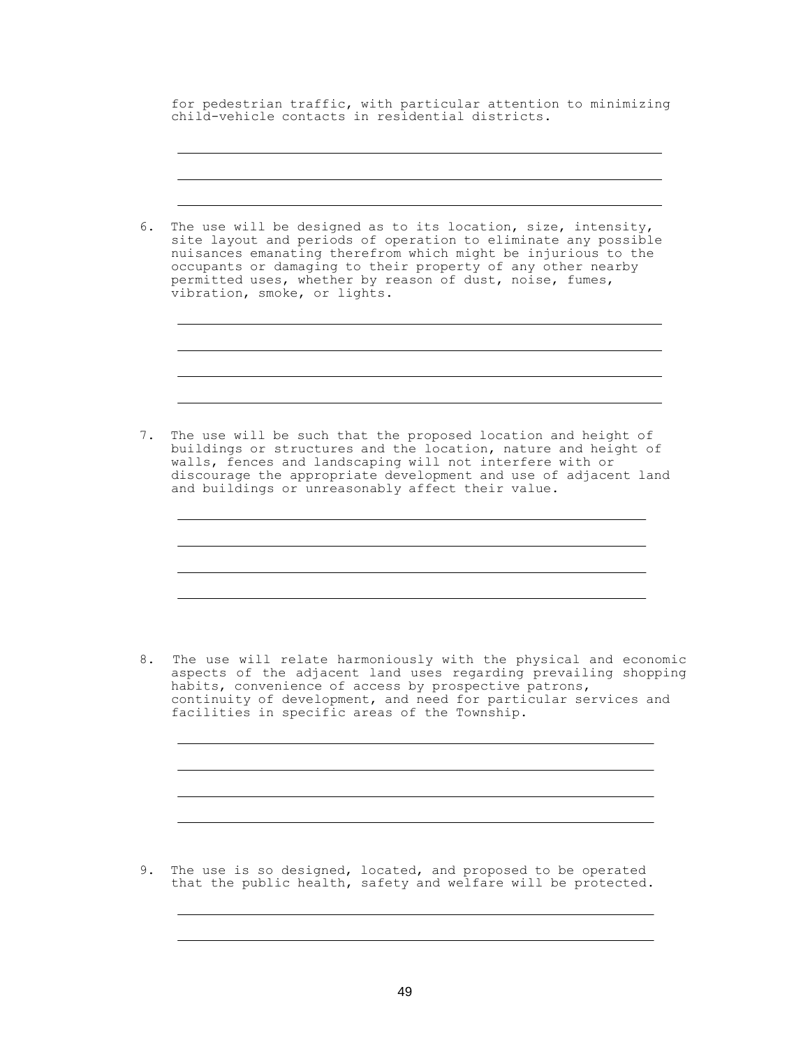for pedestrian traffic, with particular attention to minimizing child-vehicle contacts in residential districts.

6. The use will be designed as to its location, size, intensity, site layout and periods of operation to eliminate any possible nuisances emanating therefrom which might be injurious to the occupants or damaging to their property of any other nearby permitted uses, whether by reason of dust, noise, fumes, vibration, smoke, or lights. 7. The use will be such that the proposed location and height of buildings or structures and the location, nature and height of walls, fences and landscaping will not interfere with or discourage the appropriate development and use of adjacent land and buildings or unreasonably affect their value. 8. The use will relate harmoniously with the physical and economic aspects of the adjacent land uses regarding prevailing shopping habits, convenience of access by prospective patrons, continuity of development, and need for particular services and facilities in specific areas of the Township.

9. The use is so designed, located, and proposed to be operated that the public health, safety and welfare will be protected.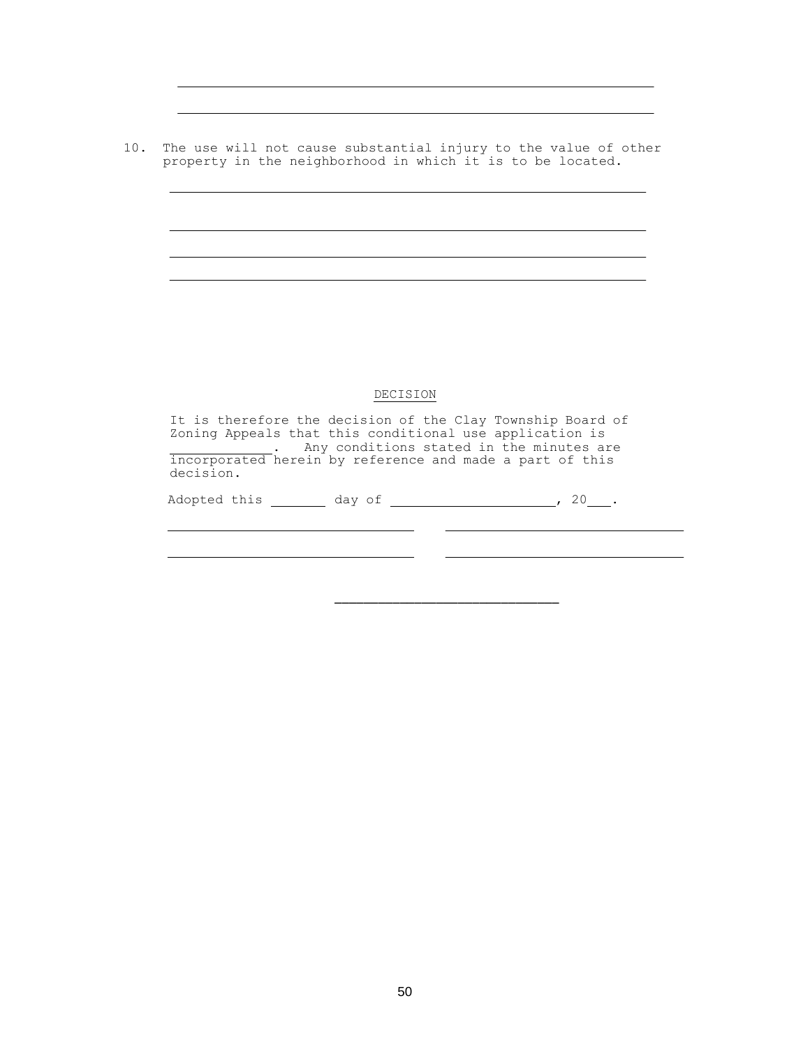10. The use will not cause substantial injury to the value of other property in the neighborhood in which it is to be located.

 $\overline{\phantom{a}}$ 

# DECISION

It is therefore the decision of the Clay Township Board of Zoning Appeals that this conditional use application is . Any conditions stated in the minutes are incorporated herein by reference and made a part of this decision. Adopted this \_\_\_\_\_\_\_\_ day of \_\_\_\_\_\_\_\_\_\_\_\_\_\_\_\_\_\_\_\_\_, 20\_\_\_.

\_\_\_\_\_\_\_\_\_\_\_\_\_\_\_\_\_\_\_\_\_\_\_\_\_\_\_\_\_\_\_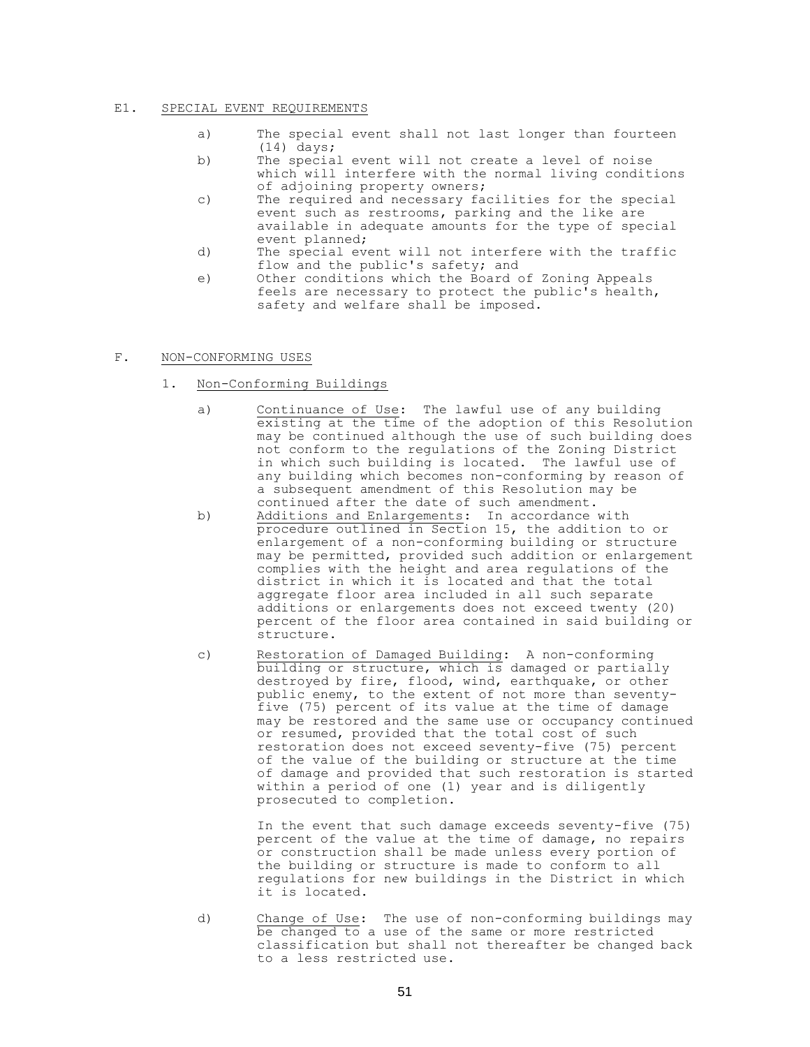## E1. SPECIAL EVENT REQUIREMENTS

- a) The special event shall not last longer than fourteen (14) days;
- b) The special event will not create a level of noise which will interfere with the normal living conditions of adjoining property owners;
- c) The required and necessary facilities for the special event such as restrooms, parking and the like are available in adequate amounts for the type of special event planned;
- d) The special event will not interfere with the traffic flow and the public's safety; and
- e) Other conditions which the Board of Zoning Appeals feels are necessary to protect the public's health, safety and welfare shall be imposed.

# F. NON-CONFORMING USES

- 1. Non-Conforming Buildings
	- a) Continuance of Use: The lawful use of any building existing at the time of the adoption of this Resolution may be continued although the use of such building does not conform to the regulations of the Zoning District in which such building is located. The lawful use of any building which becomes non-conforming by reason of a subsequent amendment of this Resolution may be continued after the date of such amendment.
	- b) Additions and Enlargements: In accordance with procedure outlined in Section 15, the addition to or enlargement of a non-conforming building or structure may be permitted, provided such addition or enlargement complies with the height and area regulations of the district in which it is located and that the total aggregate floor area included in all such separate additions or enlargements does not exceed twenty (20) percent of the floor area contained in said building or structure.
	- c) Restoration of Damaged Building: A non-conforming building or structure, which is damaged or partially destroyed by fire, flood, wind, earthquake, or other public enemy, to the extent of not more than seventyfive (75) percent of its value at the time of damage may be restored and the same use or occupancy continued or resumed, provided that the total cost of such restoration does not exceed seventy-five (75) percent of the value of the building or structure at the time of damage and provided that such restoration is started within a period of one (1) year and is diligently prosecuted to completion.

In the event that such damage exceeds seventy-five (75) percent of the value at the time of damage, no repairs or construction shall be made unless every portion of the building or structure is made to conform to all regulations for new buildings in the District in which it is located.

d) Change of Use: The use of non-conforming buildings may be changed to a use of the same or more restricted classification but shall not thereafter be changed back to a less restricted use.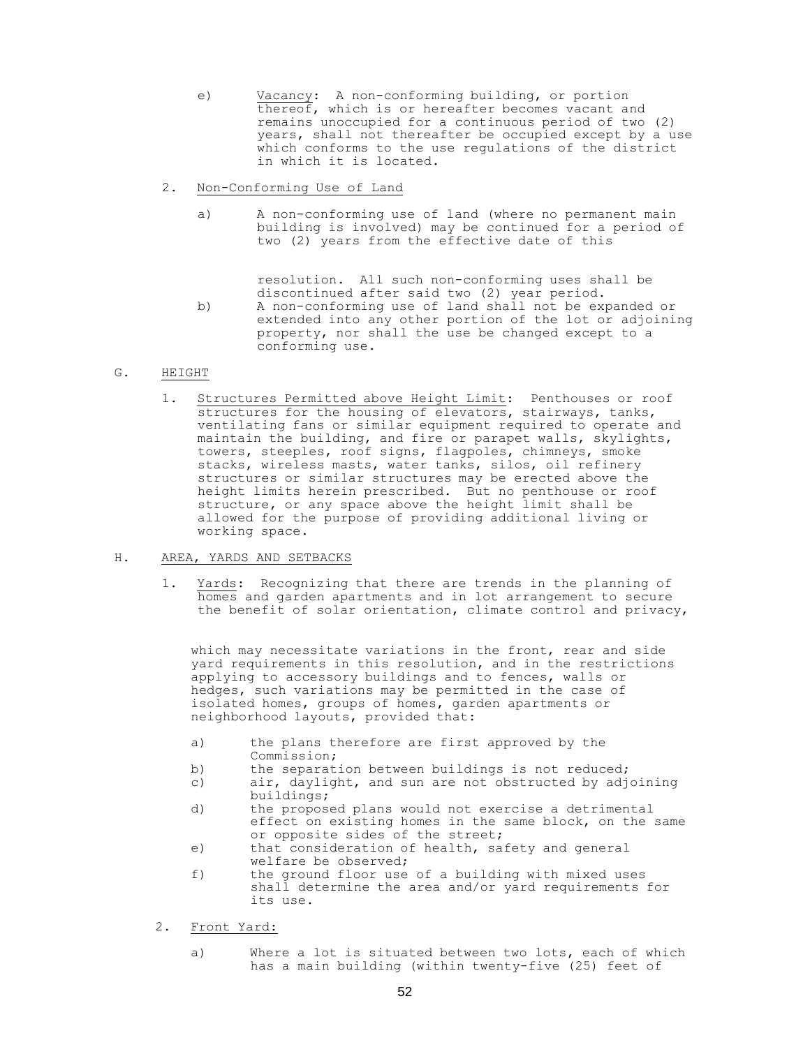- e) Vacancy: A non-conforming building, or portion thereof, which is or hereafter becomes vacant and remains unoccupied for a continuous period of two (2) years, shall not thereafter be occupied except by a use which conforms to the use regulations of the district in which it is located.
- 2. Non-Conforming Use of Land
	- a) A non-conforming use of land (where no permanent main building is involved) may be continued for a period of two (2) years from the effective date of this

resolution. All such non-conforming uses shall be discontinued after said two (2) year period.

b) A non-conforming use of land shall not be expanded or extended into any other portion of the lot or adjoining property, nor shall the use be changed except to a conforming use.

#### G. HEIGHT

1. Structures Permitted above Height Limit: Penthouses or roof structures for the housing of elevators, stairways, tanks, ventilating fans or similar equipment required to operate and maintain the building, and fire or parapet walls, skylights, towers, steeples, roof signs, flagpoles, chimneys, smoke stacks, wireless masts, water tanks, silos, oil refinery structures or similar structures may be erected above the height limits herein prescribed. But no penthouse or roof structure, or any space above the height limit shall be allowed for the purpose of providing additional living or working space.

#### H. AREA, YARDS AND SETBACKS

1. Yards: Recognizing that there are trends in the planning of homes and garden apartments and in lot arrangement to secure the benefit of solar orientation, climate control and privacy,

which may necessitate variations in the front, rear and side yard requirements in this resolution, and in the restrictions applying to accessory buildings and to fences, walls or hedges, such variations may be permitted in the case of isolated homes, groups of homes, garden apartments or neighborhood layouts, provided that:

- a) the plans therefore are first approved by the Commission;
- b) the separation between buildings is not reduced;
- c) air, daylight, and sun are not obstructed by adjoining buildings;
- d) the proposed plans would not exercise a detrimental effect on existing homes in the same block, on the same or opposite sides of the street;
- e) that consideration of health, safety and general welfare be observed;
- f) the ground floor use of a building with mixed uses shall determine the area and/or yard requirements for its use.
- 2. Front Yard:
	- a) Where a lot is situated between two lots, each of which has a main building (within twenty-five (25) feet of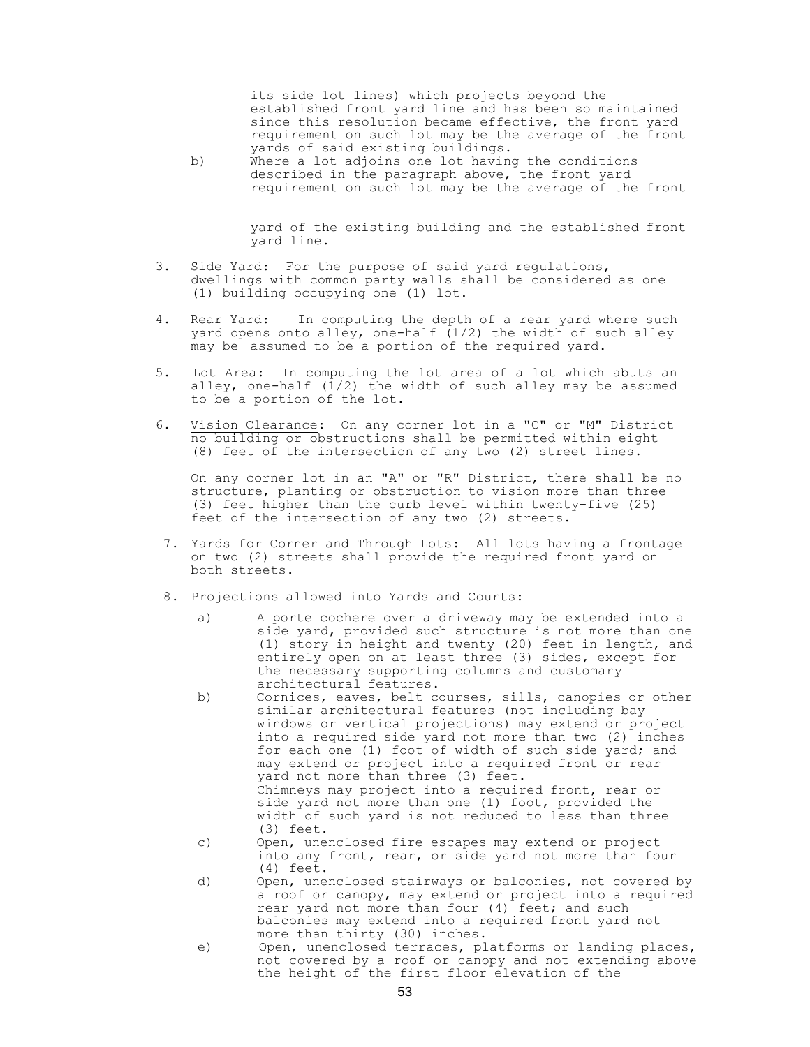its side lot lines) which projects beyond the established front yard line and has been so maintained since this resolution became effective, the front yard requirement on such lot may be the average of the front yards of said existing buildings.

b) Where a lot adjoins one lot having the conditions described in the paragraph above, the front yard requirement on such lot may be the average of the front

> yard of the existing building and the established front yard line.

- 3. Side Yard: For the purpose of said yard regulations, dwellings with common party walls shall be considered as one (1) building occupying one (1) lot.
- 4. Rear Yard: In computing the depth of a rear yard where such  $\overline{y}$ ard opens onto alley, one-half (1/2) the width of such alley may be assumed to be a portion of the required yard.
- 5. Lot Area: In computing the lot area of a lot which abuts an alley, one-half  $(1/2)$  the width of such alley may be assumed to be a portion of the lot.
- 6. Vision Clearance: On any corner lot in a "C" or "M" District no building or obstructions shall be permitted within eight (8) feet of the intersection of any two (2) street lines.

On any corner lot in an "A" or "R" District, there shall be no structure, planting or obstruction to vision more than three (3) feet higher than the curb level within twenty-five (25) feet of the intersection of any two (2) streets.

- 7. Yards for Corner and Through Lots: All lots having a frontage on two (2) streets shall provide the required front yard on both streets.
- 8. Projections allowed into Yards and Courts:
	- a) A porte cochere over a driveway may be extended into a side yard, provided such structure is not more than one (1) story in height and twenty (20) feet in length, and entirely open on at least three (3) sides, except for the necessary supporting columns and customary architectural features.
	- b) Cornices, eaves, belt courses, sills, canopies or other similar architectural features (not including bay windows or vertical projections) may extend or project into a required side yard not more than two (2) inches for each one (1) foot of width of such side yard; and may extend or project into a required front or rear yard not more than three (3) feet. Chimneys may project into a required front, rear or side yard not more than one (1) foot, provided the width of such yard is not reduced to less than three (3) feet.
	- c) Open, unenclosed fire escapes may extend or project into any front, rear, or side yard not more than four (4) feet.
	- d) Open, unenclosed stairways or balconies, not covered by a roof or canopy, may extend or project into a required rear yard not more than four (4) feet; and such balconies may extend into a required front yard not more than thirty (30) inches.
	- e) Open, unenclosed terraces, platforms or landing places, not covered by a roof or canopy and not extending above the height of the first floor elevation of the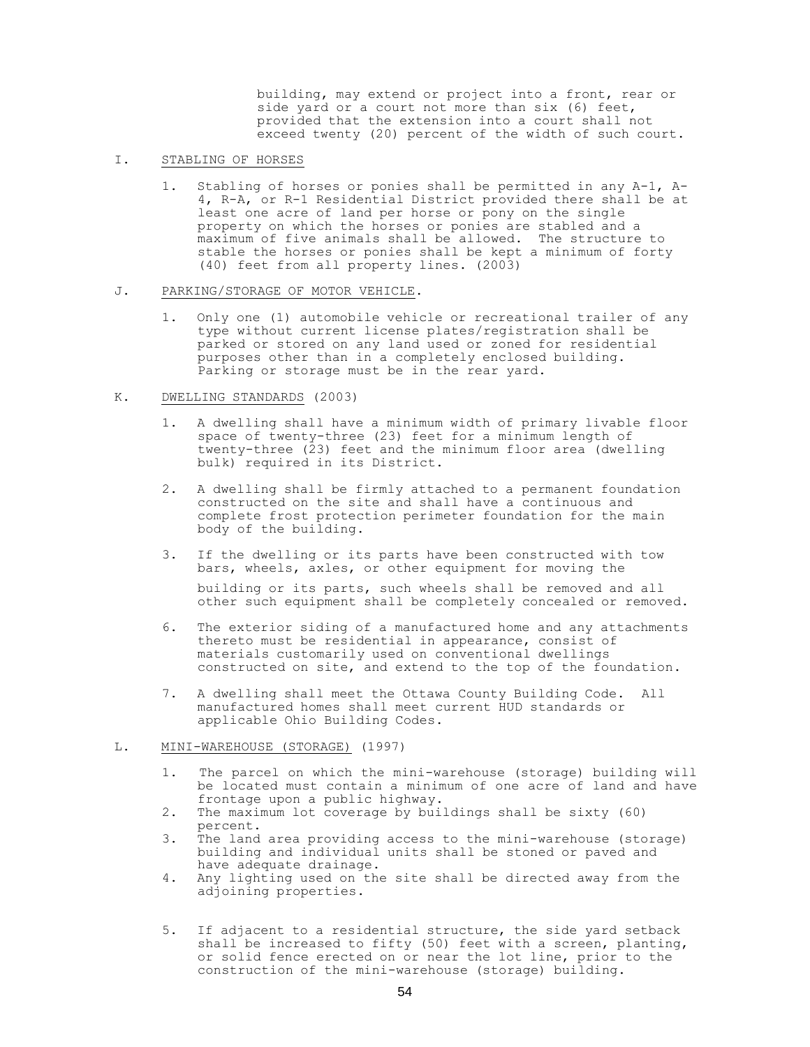building, may extend or project into a front, rear or side yard or a court not more than six (6) feet, provided that the extension into a court shall not exceed twenty (20) percent of the width of such court.

- I. STABLING OF HORSES
	- 1. Stabling of horses or ponies shall be permitted in any A-1, A-4, R-A, or R-1 Residential District provided there shall be at least one acre of land per horse or pony on the single property on which the horses or ponies are stabled and a maximum of five animals shall be allowed. The structure to stable the horses or ponies shall be kept a minimum of forty (40) feet from all property lines. (2003)

# J. PARKING/STORAGE OF MOTOR VEHICLE.

1. Only one (1) automobile vehicle or recreational trailer of any type without current license plates/registration shall be parked or stored on any land used or zoned for residential purposes other than in a completely enclosed building. Parking or storage must be in the rear yard.

# K. DWELLING STANDARDS (2003)

- 1. A dwelling shall have a minimum width of primary livable floor space of twenty-three (23) feet for a minimum length of twenty-three (23) feet and the minimum floor area (dwelling bulk) required in its District.
- 2. A dwelling shall be firmly attached to a permanent foundation constructed on the site and shall have a continuous and complete frost protection perimeter foundation for the main body of the building.
- 3. If the dwelling or its parts have been constructed with tow bars, wheels, axles, or other equipment for moving the building or its parts, such wheels shall be removed and all other such equipment shall be completely concealed or removed.
- 6. The exterior siding of a manufactured home and any attachments thereto must be residential in appearance, consist of materials customarily used on conventional dwellings constructed on site, and extend to the top of the foundation.
- 7. A dwelling shall meet the Ottawa County Building Code. All manufactured homes shall meet current HUD standards or applicable Ohio Building Codes.

# L. MINI-WAREHOUSE (STORAGE) (1997)

- 1. The parcel on which the mini-warehouse (storage) building will be located must contain a minimum of one acre of land and have frontage upon a public highway.
- 2. The maximum lot coverage by buildings shall be sixty (60) percent.
- 3. The land area providing access to the mini-warehouse (storage) building and individual units shall be stoned or paved and have adequate drainage.
- 4. Any lighting used on the site shall be directed away from the adjoining properties.
- 5. If adjacent to a residential structure, the side yard setback shall be increased to fifty (50) feet with a screen, planting, or solid fence erected on or near the lot line, prior to the construction of the mini-warehouse (storage) building.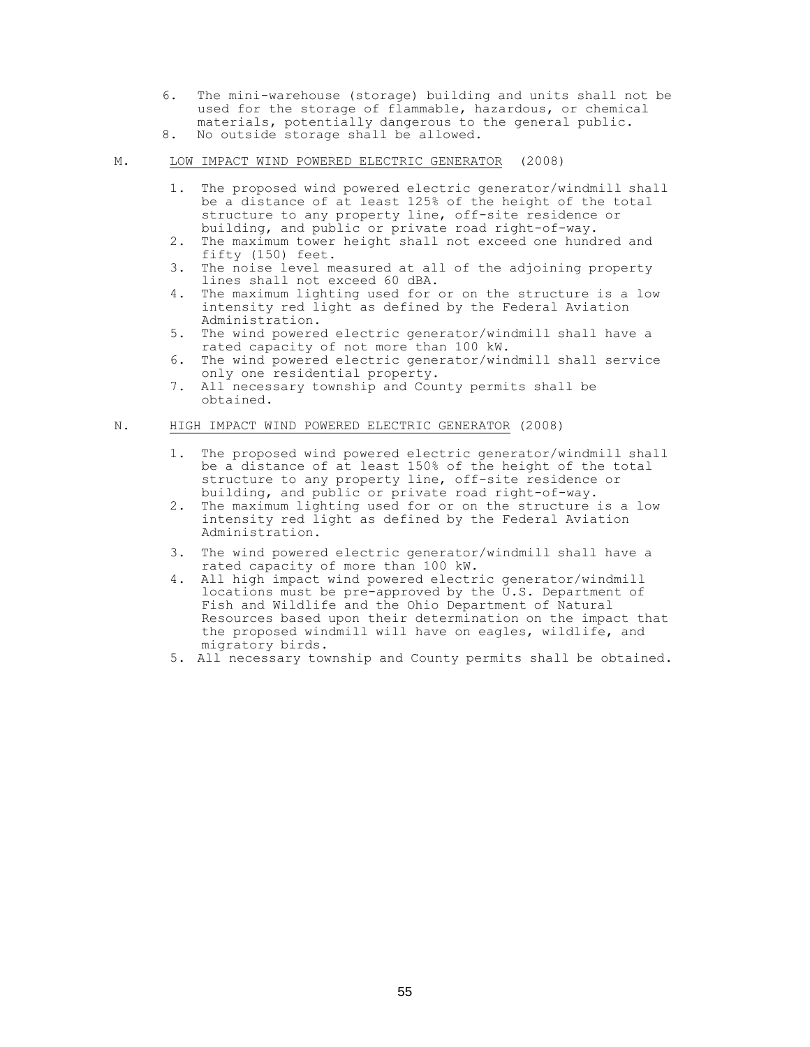- 6. The mini-warehouse (storage) building and units shall not be used for the storage of flammable, hazardous, or chemical materials, potentially dangerous to the general public.
- 8. No outside storage shall be allowed.

# M. LOW IMPACT WIND POWERED ELECTRIC GENERATOR (2008)

- 1. The proposed wind powered electric generator/windmill shall be a distance of at least 125% of the height of the total structure to any property line, off-site residence or building, and public or private road right-of-way.
- 2. The maximum tower height shall not exceed one hundred and fifty (150) feet.
- 3. The noise level measured at all of the adjoining property lines shall not exceed 60 dBA.
- 4. The maximum lighting used for or on the structure is a low intensity red light as defined by the Federal Aviation Administration.
- 5. The wind powered electric generator/windmill shall have a rated capacity of not more than 100 kW.
- 6. The wind powered electric generator/windmill shall service only one residential property.
- 7. All necessary township and County permits shall be obtained.

# N. HIGH IMPACT WIND POWERED ELECTRIC GENERATOR (2008)

- 1. The proposed wind powered electric generator/windmill shall be a distance of at least 150% of the height of the total structure to any property line, off-site residence or building, and public or private road right-of-way.
- 2. The maximum lighting used for or on the structure is a low intensity red light as defined by the Federal Aviation Administration.
- 3. The wind powered electric generator/windmill shall have a rated capacity of more than 100 kW.
- 4. All high impact wind powered electric generator/windmill locations must be pre-approved by the  $\overline{U}.S.$  Department of Fish and Wildlife and the Ohio Department of Natural Resources based upon their determination on the impact that the proposed windmill will have on eagles, wildlife, and migratory birds.
- 5. All necessary township and County permits shall be obtained.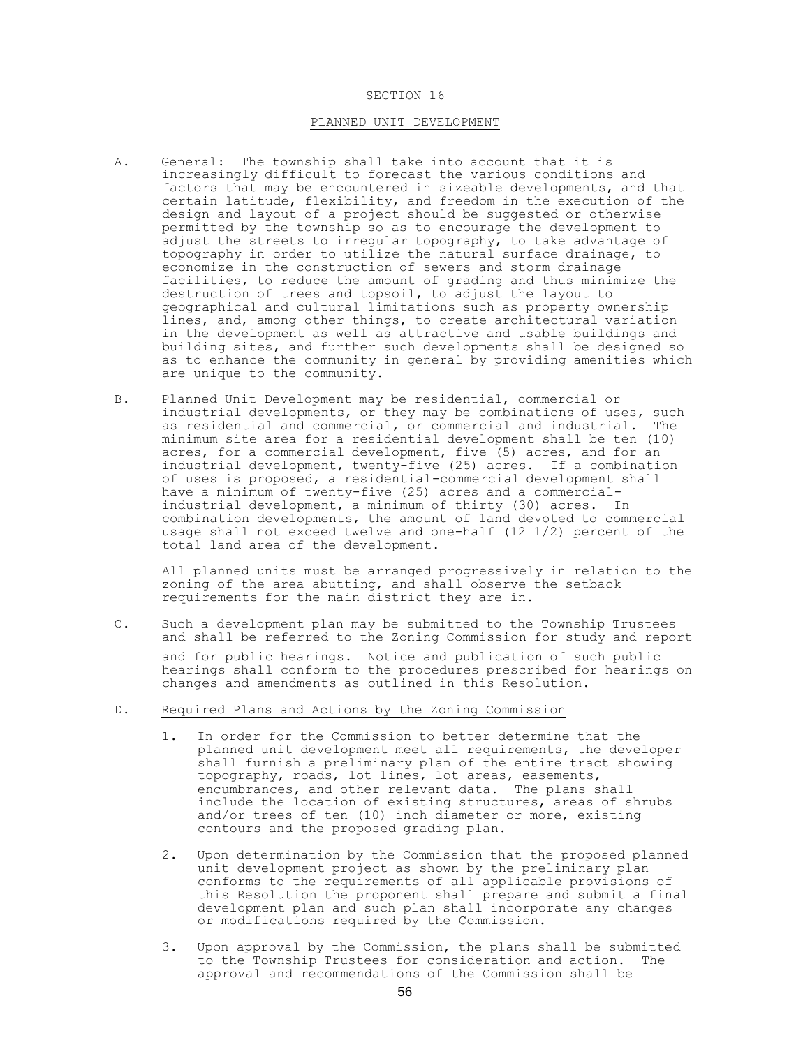### SECTION 16

## PLANNED UNIT DEVELOPMENT

- A. General: The township shall take into account that it is increasingly difficult to forecast the various conditions and factors that may be encountered in sizeable developments, and that certain latitude, flexibility, and freedom in the execution of the design and layout of a project should be suggested or otherwise permitted by the township so as to encourage the development to adjust the streets to irregular topography, to take advantage of topography in order to utilize the natural surface drainage, to economize in the construction of sewers and storm drainage facilities, to reduce the amount of grading and thus minimize the destruction of trees and topsoil, to adjust the layout to geographical and cultural limitations such as property ownership lines, and, among other things, to create architectural variation in the development as well as attractive and usable buildings and building sites, and further such developments shall be designed so as to enhance the community in general by providing amenities which are unique to the community.
- B. Planned Unit Development may be residential, commercial or industrial developments, or they may be combinations of uses, such as residential and commercial, or commercial and industrial. The minimum site area for a residential development shall be ten (10) acres, for a commercial development, five (5) acres, and for an industrial development, twenty-five (25) acres. If a combination of uses is proposed, a residential-commercial development shall have a minimum of twenty-five (25) acres and a commercialindustrial development, a minimum of thirty (30) acres. In combination developments, the amount of land devoted to commercial usage shall not exceed twelve and one-half (12 1/2) percent of the total land area of the development.

All planned units must be arranged progressively in relation to the zoning of the area abutting, and shall observe the setback requirements for the main district they are in.

C. Such a development plan may be submitted to the Township Trustees and shall be referred to the Zoning Commission for study and report and for public hearings. Notice and publication of such public hearings shall conform to the procedures prescribed for hearings on changes and amendments as outlined in this Resolution.

## D. Required Plans and Actions by the Zoning Commission

- 1. In order for the Commission to better determine that the planned unit development meet all requirements, the developer shall furnish a preliminary plan of the entire tract showing topography, roads, lot lines, lot areas, easements, encumbrances, and other relevant data. The plans shall include the location of existing structures, areas of shrubs and/or trees of ten (10) inch diameter or more, existing contours and the proposed grading plan.
- 2. Upon determination by the Commission that the proposed planned unit development project as shown by the preliminary plan conforms to the requirements of all applicable provisions of this Resolution the proponent shall prepare and submit a final development plan and such plan shall incorporate any changes or modifications required by the Commission.
- 3. Upon approval by the Commission, the plans shall be submitted to the Township Trustees for consideration and action. The approval and recommendations of the Commission shall be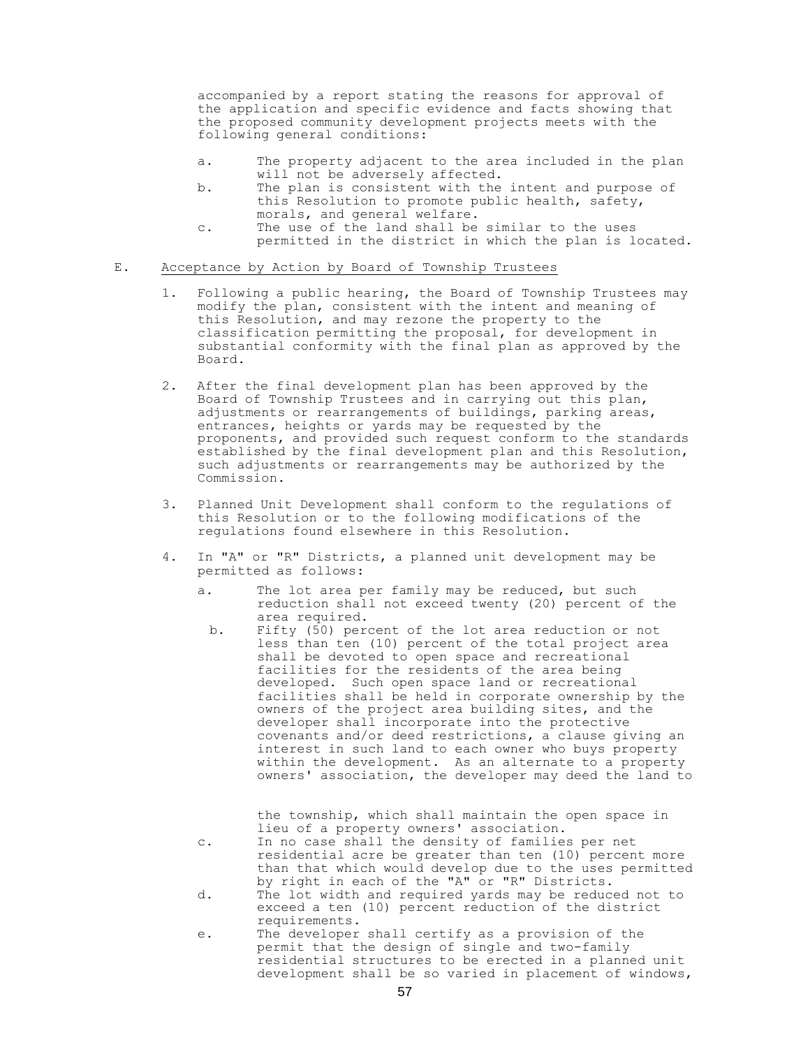accompanied by a report stating the reasons for approval of the application and specific evidence and facts showing that the proposed community development projects meets with the following general conditions:

- a. The property adjacent to the area included in the plan will not be adversely affected.
- b. The plan is consistent with the intent and purpose of this Resolution to promote public health, safety, morals, and general welfare.
- c. The use of the land shall be similar to the uses permitted in the district in which the plan is located.

#### E. Acceptance by Action by Board of Township Trustees

- 1. Following a public hearing, the Board of Township Trustees may modify the plan, consistent with the intent and meaning of this Resolution, and may rezone the property to the classification permitting the proposal, for development in substantial conformity with the final plan as approved by the Board.
- 2. After the final development plan has been approved by the Board of Township Trustees and in carrying out this plan, adjustments or rearrangements of buildings, parking areas, entrances, heights or yards may be requested by the proponents, and provided such request conform to the standards established by the final development plan and this Resolution, such adjustments or rearrangements may be authorized by the Commission.
- 3. Planned Unit Development shall conform to the regulations of this Resolution or to the following modifications of the regulations found elsewhere in this Resolution.
- 4. In "A" or "R" Districts, a planned unit development may be permitted as follows:
	- a. The lot area per family may be reduced, but such reduction shall not exceed twenty (20) percent of the area required.
		- b. Fifty (50) percent of the lot area reduction or not less than ten (10) percent of the total project area shall be devoted to open space and recreational facilities for the residents of the area being developed. Such open space land or recreational facilities shall be held in corporate ownership by the owners of the project area building sites, and the developer shall incorporate into the protective covenants and/or deed restrictions, a clause giving an interest in such land to each owner who buys property within the development. As an alternate to a property owners' association, the developer may deed the land to

the township, which shall maintain the open space in lieu of a property owners' association.

- c. In no case shall the density of families per net residential acre be greater than ten (10) percent more than that which would develop due to the uses permitted by right in each of the "A" or "R" Districts.
- d. The lot width and required yards may be reduced not to exceed a ten (10) percent reduction of the district requirements.
- e. The developer shall certify as a provision of the permit that the design of single and two-family residential structures to be erected in a planned unit development shall be so varied in placement of windows,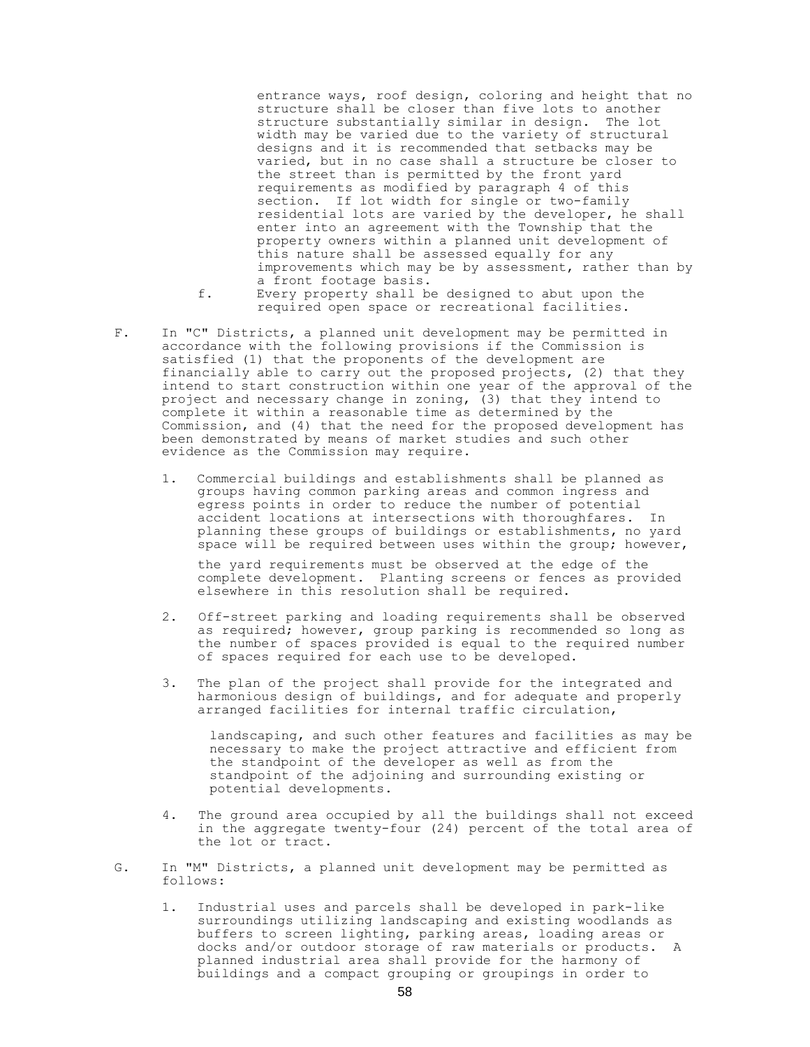entrance ways, roof design, coloring and height that no structure shall be closer than five lots to another structure substantially similar in design. The lot width may be varied due to the variety of structural designs and it is recommended that setbacks may be varied, but in no case shall a structure be closer to the street than is permitted by the front yard requirements as modified by paragraph 4 of this section. If lot width for single or two-family residential lots are varied by the developer, he shall enter into an agreement with the Township that the property owners within a planned unit development of this nature shall be assessed equally for any improvements which may be by assessment, rather than by a front footage basis.

- f. Every property shall be designed to abut upon the required open space or recreational facilities.
- F. In "C" Districts, a planned unit development may be permitted in accordance with the following provisions if the Commission is satisfied (1) that the proponents of the development are financially able to carry out the proposed projects, (2) that they intend to start construction within one year of the approval of the project and necessary change in zoning, (3) that they intend to complete it within a reasonable time as determined by the Commission, and (4) that the need for the proposed development has been demonstrated by means of market studies and such other evidence as the Commission may require.
	- 1. Commercial buildings and establishments shall be planned as groups having common parking areas and common ingress and egress points in order to reduce the number of potential accident locations at intersections with thoroughfares. In planning these groups of buildings or establishments, no yard space will be required between uses within the group; however,

the yard requirements must be observed at the edge of the complete development. Planting screens or fences as provided elsewhere in this resolution shall be required.

- 2. Off-street parking and loading requirements shall be observed as required; however, group parking is recommended so long as the number of spaces provided is equal to the required number of spaces required for each use to be developed.
- 3. The plan of the project shall provide for the integrated and harmonious design of buildings, and for adequate and properly arranged facilities for internal traffic circulation,

landscaping, and such other features and facilities as may be necessary to make the project attractive and efficient from the standpoint of the developer as well as from the standpoint of the adjoining and surrounding existing or potential developments.

- 4. The ground area occupied by all the buildings shall not exceed in the aggregate twenty-four (24) percent of the total area of the lot or tract.
- G. In "M" Districts, a planned unit development may be permitted as follows:
	- 1. Industrial uses and parcels shall be developed in park-like surroundings utilizing landscaping and existing woodlands as buffers to screen lighting, parking areas, loading areas or docks and/or outdoor storage of raw materials or products. A planned industrial area shall provide for the harmony of buildings and a compact grouping or groupings in order to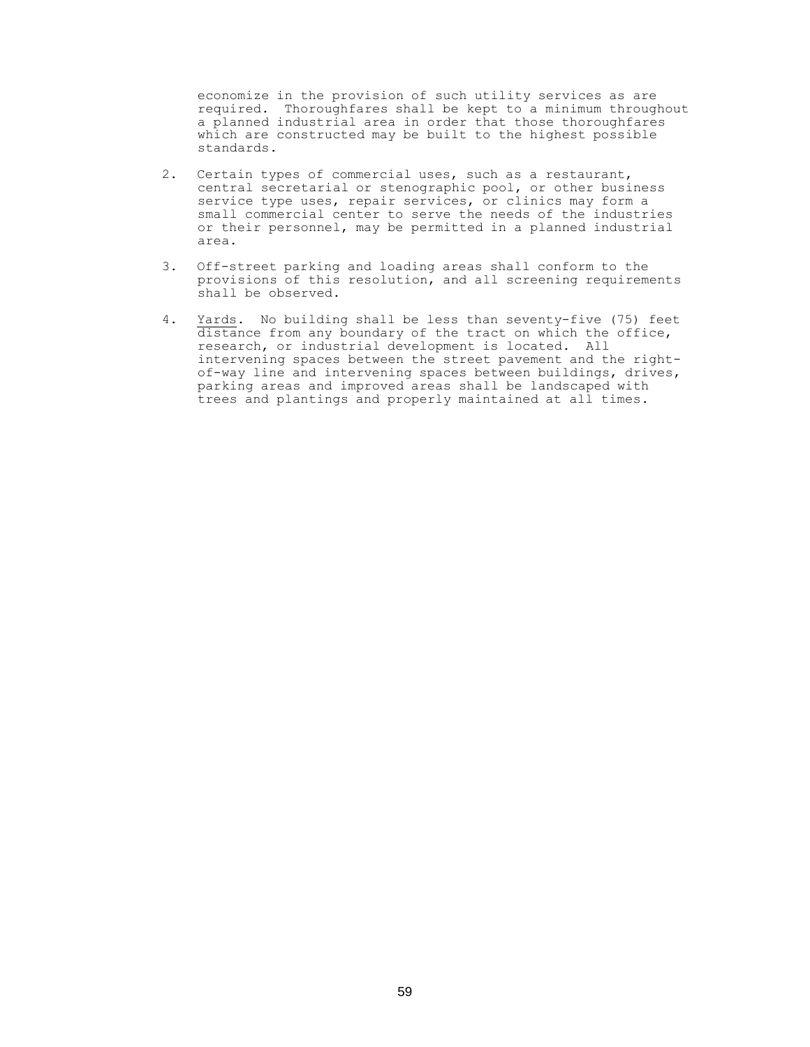economize in the provision of such utility services as are required. Thoroughfares shall be kept to a minimum throughout a planned industrial area in order that those thoroughfares which are constructed may be built to the highest possible standards.

- 2. Certain types of commercial uses, such as a restaurant, central secretarial or stenographic pool, or other business service type uses, repair services, or clinics may form a small commercial center to serve the needs of the industries or their personnel, may be permitted in a planned industrial area.
- 3. Off-street parking and loading areas shall conform to the provisions of this resolution, and all screening requirements shall be observed.
- 4. Yards. No building shall be less than seventy-five (75) feet distance from any boundary of the tract on which the office, research, or industrial development is located. All intervening spaces between the street pavement and the rightof-way line and intervening spaces between buildings, drives, parking areas and improved areas shall be landscaped with trees and plantings and properly maintained at all times.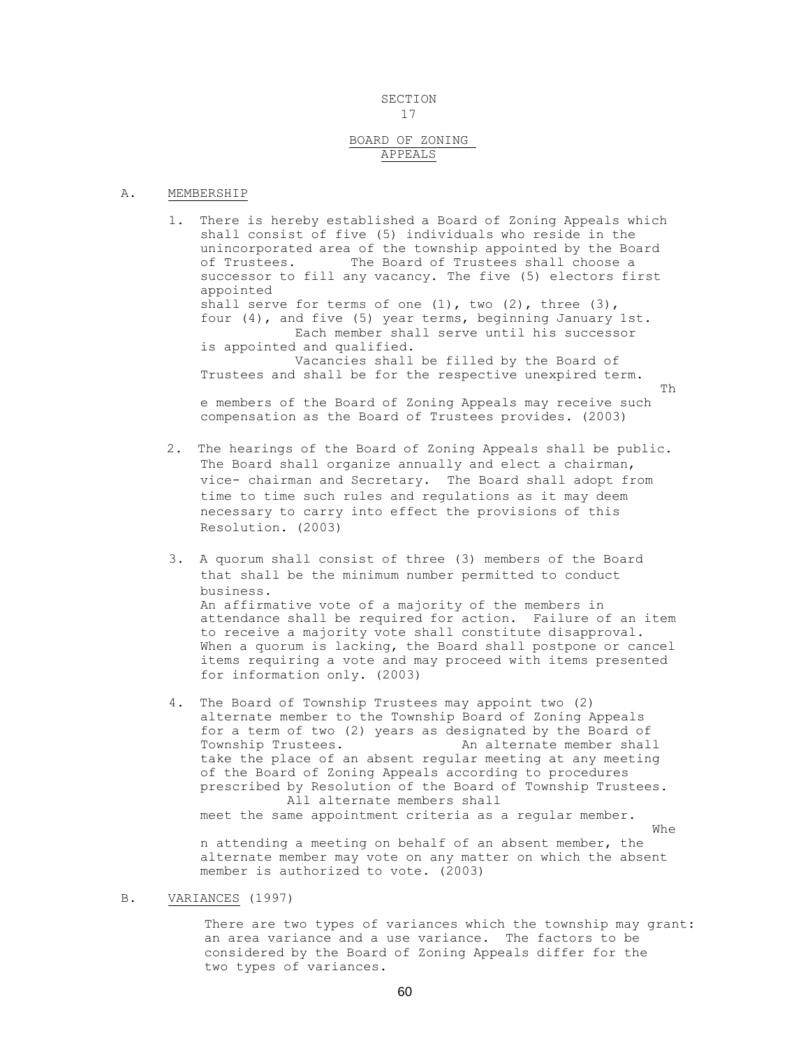#### SECTION 17

# BOARD OF ZONING APPEALS

#### A. MEMBERSHIP

1. There is hereby established a Board of Zoning Appeals which shall consist of five (5) individuals who reside in the unincorporated area of the township appointed by the Board of Trustees. The Board of Trustees shall choose a successor to fill any vacancy. The five (5) electors first appointed shall serve for terms of one (1), two (2), three (3), four (4), and five (5) year terms, beginning January 1st. Each member shall serve until his successor is appointed and qualified. Vacancies shall be filled by the Board of Trustees and shall be for the respective unexpired term. Th

e members of the Board of Zoning Appeals may receive such compensation as the Board of Trustees provides. (2003)

- 2. The hearings of the Board of Zoning Appeals shall be public. The Board shall organize annually and elect a chairman, vice- chairman and Secretary. The Board shall adopt from time to time such rules and regulations as it may deem necessary to carry into effect the provisions of this Resolution. (2003)
- 3. A quorum shall consist of three (3) members of the Board that shall be the minimum number permitted to conduct business. An affirmative vote of a majority of the members in attendance shall be required for action. Failure of an item to receive a majority vote shall constitute disapproval. When a quorum is lacking, the Board shall postpone or cancel items requiring a vote and may proceed with items presented for information only. (2003)
- 4. The Board of Township Trustees may appoint two (2) alternate member to the Township Board of Zoning Appeals for a term of two (2) years as designated by the Board of Township Trustees. An alternate member shall take the place of an absent regular meeting at any meeting of the Board of Zoning Appeals according to procedures prescribed by Resolution of the Board of Township Trustees. All alternate members shall meet the same appointment criteria as a regular member. Whe

n attending a meeting on behalf of an absent member, the alternate member may vote on any matter on which the absent member is authorized to vote. (2003)

## B. VARIANCES (1997)

There are two types of variances which the township may grant: an area variance and a use variance. The factors to be considered by the Board of Zoning Appeals differ for the two types of variances.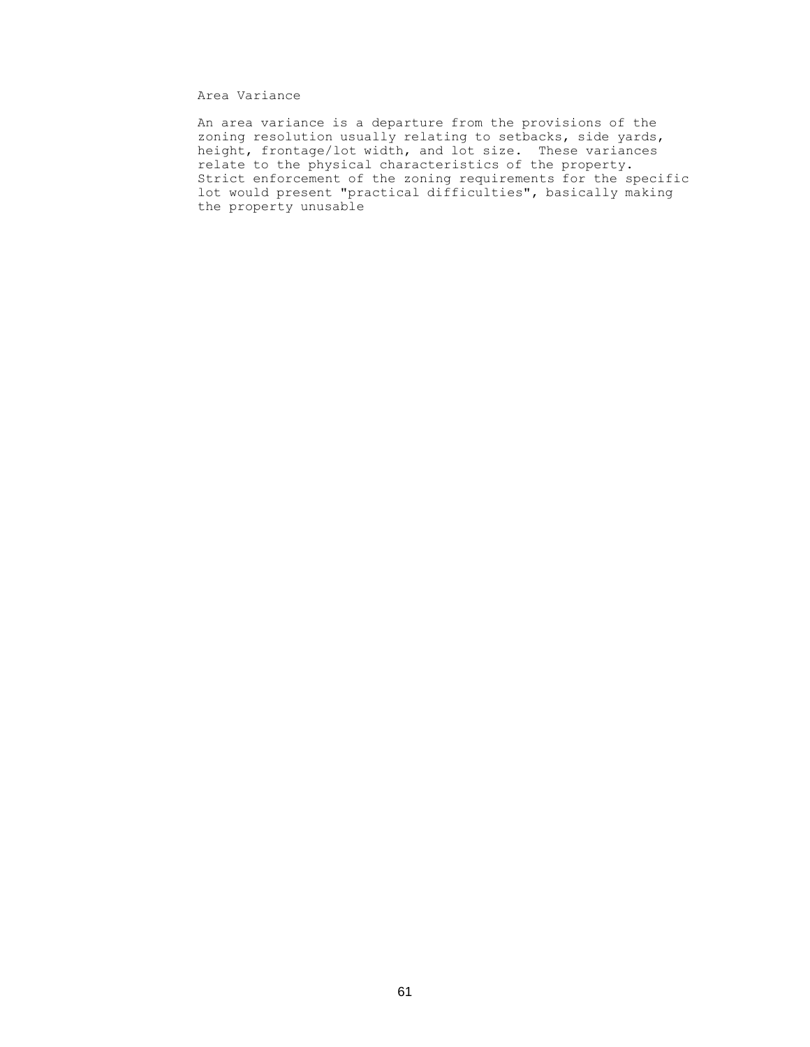# Area Variance

An area variance is a departure from the provisions of the zoning resolution usually relating to setbacks, side yards, height, frontage/lot width, and lot size. These variances relate to the physical characteristics of the property. Strict enforcement of the zoning requirements for the specific lot would present "practical difficulties", basically making the property unusable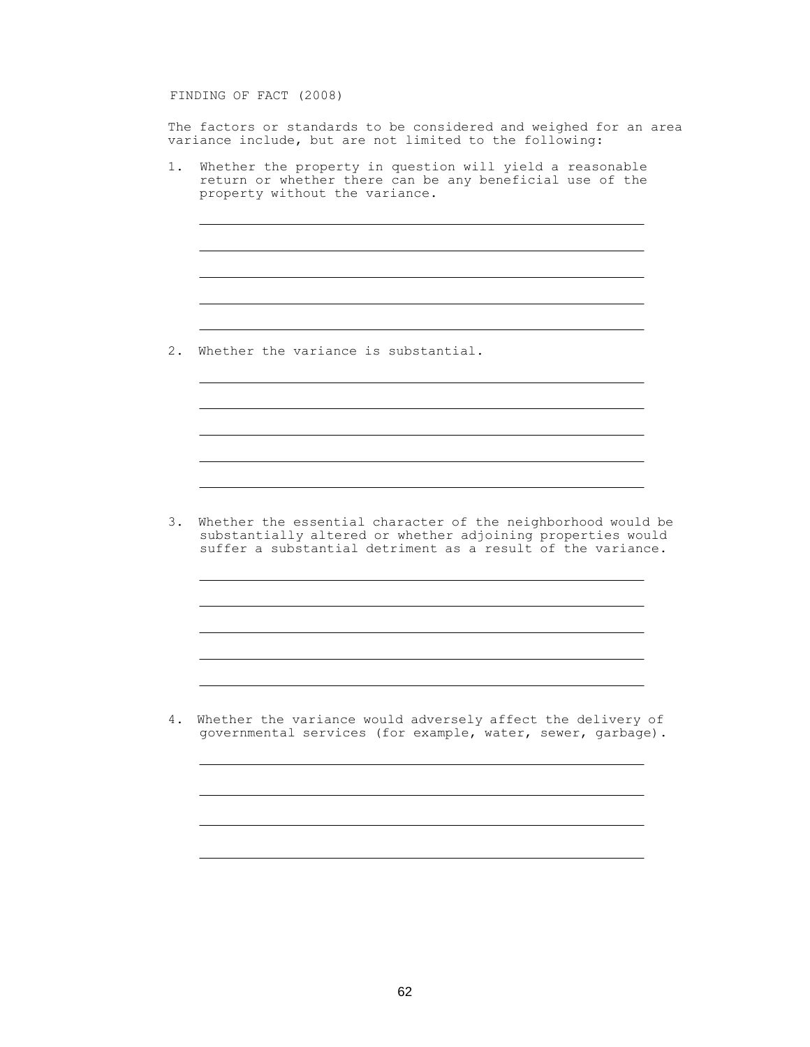FINDING OF FACT (2008)

The factors or standards to be considered and weighed for an area variance include, but are not limited to the following:

1. Whether the property in question will yield a reasonable return or whether there can be any beneficial use of the property without the variance.

2. Whether the variance is substantial.

3. Whether the essential character of the neighborhood would be substantially altered or whether adjoining properties would suffer a substantial detriment as a result of the variance.

4. Whether the variance would adversely affect the delivery of governmental services (for example, water, sewer, garbage).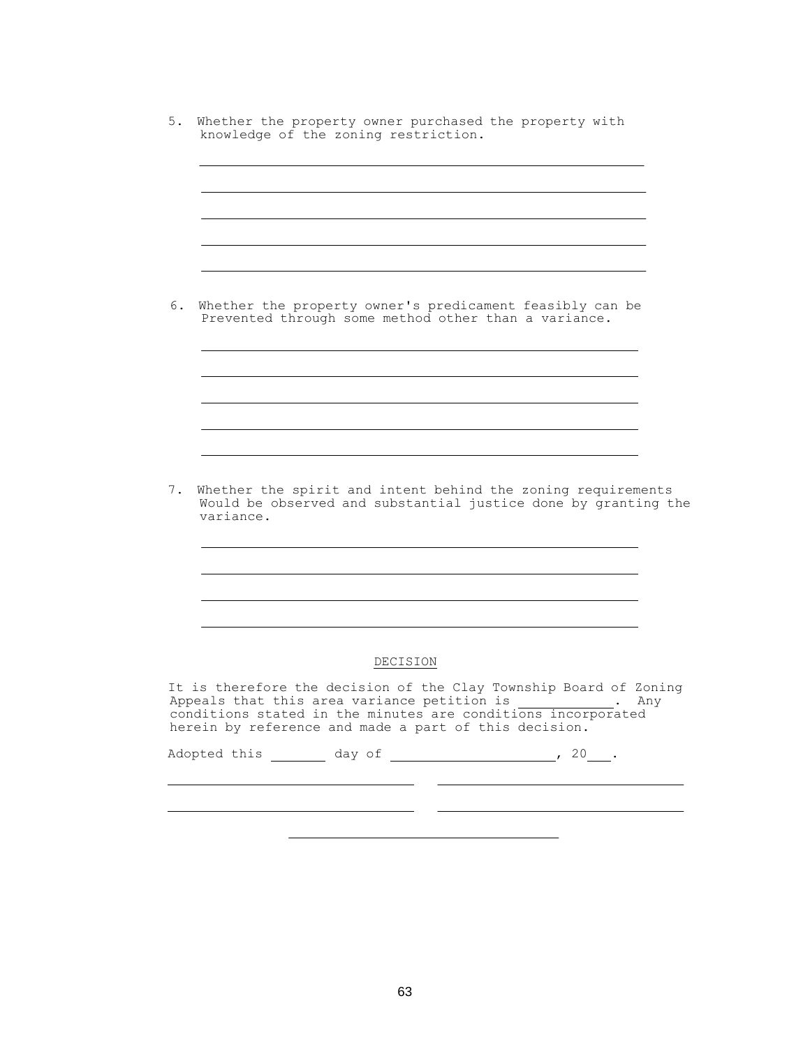|           | Whether the property owner's predicament feasibly can be                                                                                                                                                                                    |          |  |     |
|-----------|---------------------------------------------------------------------------------------------------------------------------------------------------------------------------------------------------------------------------------------------|----------|--|-----|
|           | Prevented through some method other than a variance.                                                                                                                                                                                        |          |  |     |
|           |                                                                                                                                                                                                                                             |          |  |     |
|           |                                                                                                                                                                                                                                             |          |  |     |
|           |                                                                                                                                                                                                                                             |          |  |     |
|           |                                                                                                                                                                                                                                             |          |  |     |
|           |                                                                                                                                                                                                                                             |          |  |     |
|           |                                                                                                                                                                                                                                             |          |  |     |
| variance. | Whether the spirit and intent behind the zoning requirements<br>Would be observed and substantial justice done by granting the                                                                                                              |          |  |     |
|           |                                                                                                                                                                                                                                             |          |  |     |
|           |                                                                                                                                                                                                                                             |          |  |     |
|           |                                                                                                                                                                                                                                             |          |  |     |
|           |                                                                                                                                                                                                                                             |          |  |     |
|           |                                                                                                                                                                                                                                             | DECISION |  |     |
|           | It is therefore the decision of the Clay Township Board of Zoning<br>Appeals that this area variance petition is .<br>conditions stated in the minutes are conditions incorporated<br>herein by reference and made a part of this decision. |          |  | Any |

63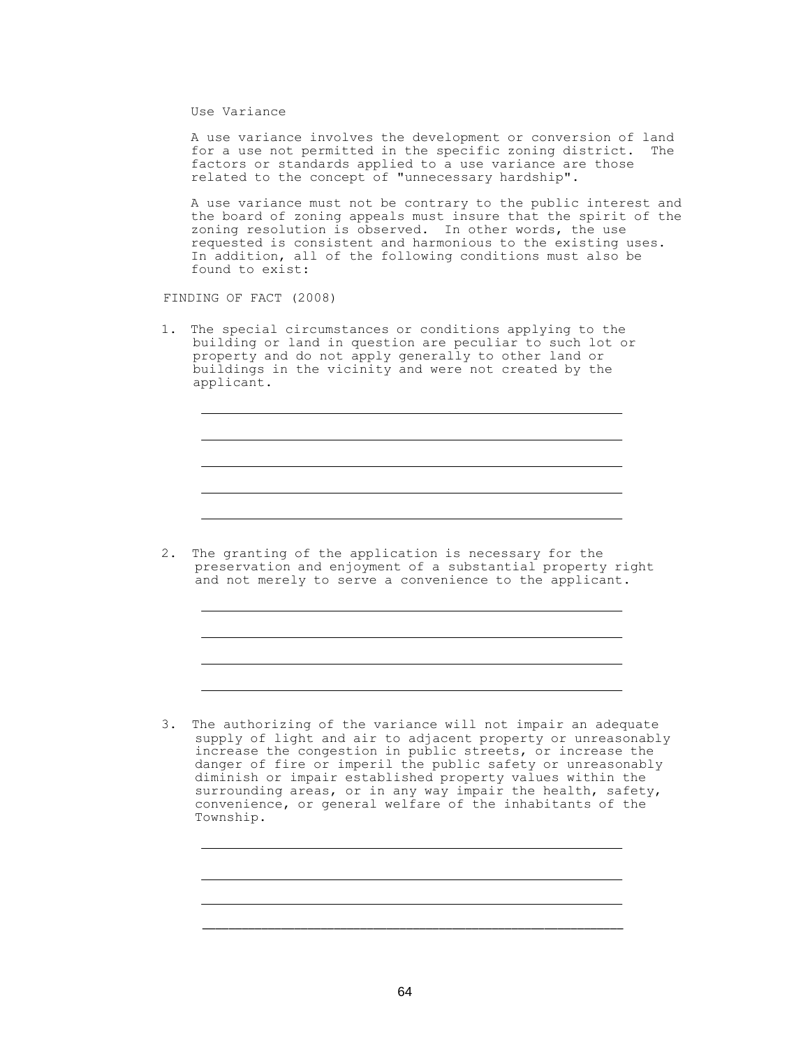Use Variance

A use variance involves the development or conversion of land for a use not permitted in the specific zoning district. The factors or standards applied to a use variance are those related to the concept of "unnecessary hardship".

A use variance must not be contrary to the public interest and the board of zoning appeals must insure that the spirit of the zoning resolution is observed. In other words, the use requested is consistent and harmonious to the existing uses. In addition, all of the following conditions must also be found to exist:

FINDING OF FACT (2008)

1. The special circumstances or conditions applying to the building or land in question are peculiar to such lot or property and do not apply generally to other land or buildings in the vicinity and were not created by the applicant.

2. The granting of the application is necessary for the preservation and enjoyment of a substantial property right and not merely to serve a convenience to the applicant.

3. The authorizing of the variance will not impair an adequate supply of light and air to adjacent property or unreasonably increase the congestion in public streets, or increase the danger of fire or imperil the public safety or unreasonably diminish or impair established property values within the surrounding areas, or in any way impair the health, safety, convenience, or general welfare of the inhabitants of the Township.

\_\_\_\_\_\_\_\_\_\_\_\_\_\_\_\_\_\_\_\_\_\_\_\_\_\_\_\_\_\_\_\_\_\_\_\_\_\_\_\_\_\_\_\_\_\_\_\_\_\_\_\_\_\_\_\_\_\_\_\_\_\_\_\_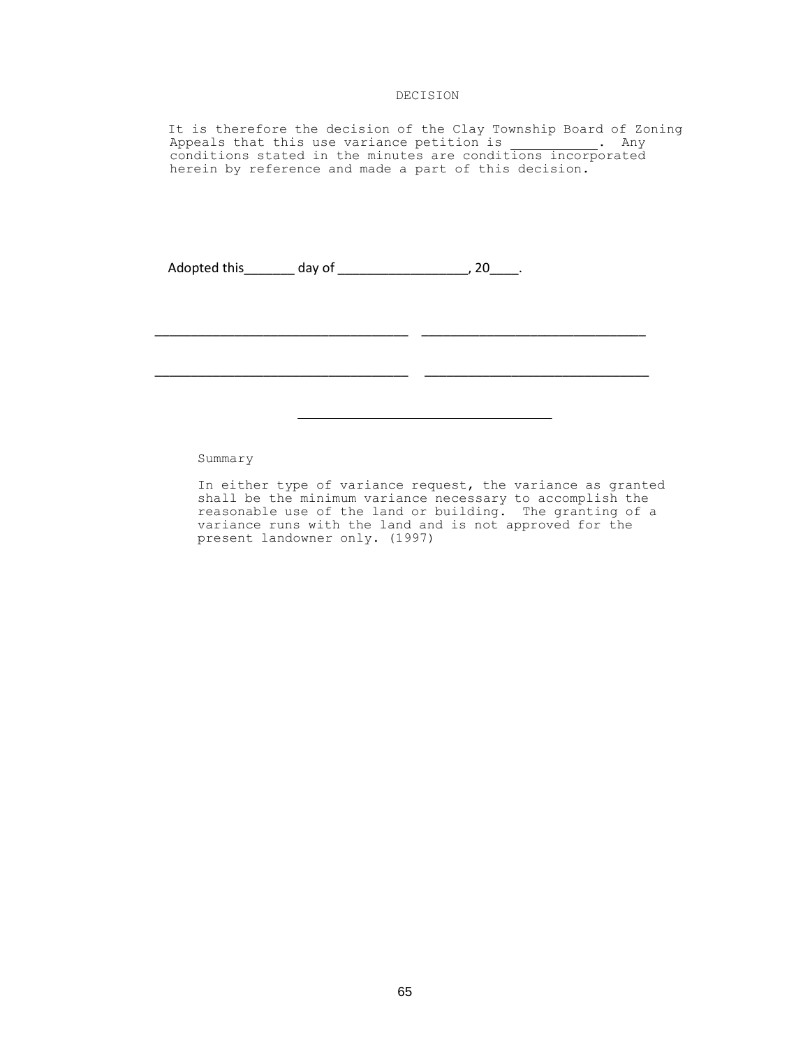# DECISION

It is therefore the decision of the Clay Township Board of Zoning Appeals that this use variance petition is . Any conditions stated in the minutes are conditions incorporated herein by reference and made a part of this decision.

\_\_\_\_\_\_\_\_\_\_\_\_\_\_\_\_\_\_\_\_\_\_\_\_\_\_\_\_\_\_\_\_\_\_\_ \_\_\_\_\_\_\_\_\_\_\_\_\_\_\_\_\_\_\_\_\_\_\_\_\_\_\_\_\_\_\_

\_\_\_\_\_\_\_\_\_\_\_\_\_\_\_\_\_\_\_\_\_\_\_\_\_\_\_\_\_\_\_\_\_\_\_ \_\_\_\_\_\_\_\_\_\_\_\_\_\_\_\_\_\_\_\_\_\_\_\_\_\_\_\_\_\_\_

Adopted this \_\_\_\_\_\_\_\_ day of \_\_\_\_\_\_\_\_\_\_\_\_\_\_\_\_\_\_\_\_\_\_, 20\_\_\_\_\_.

Summary

In either type of variance request, the variance as granted shall be the minimum variance necessary to accomplish the reasonable use of the land or building. The granting of a variance runs with the land and is not approved for the present landowner only. (1997)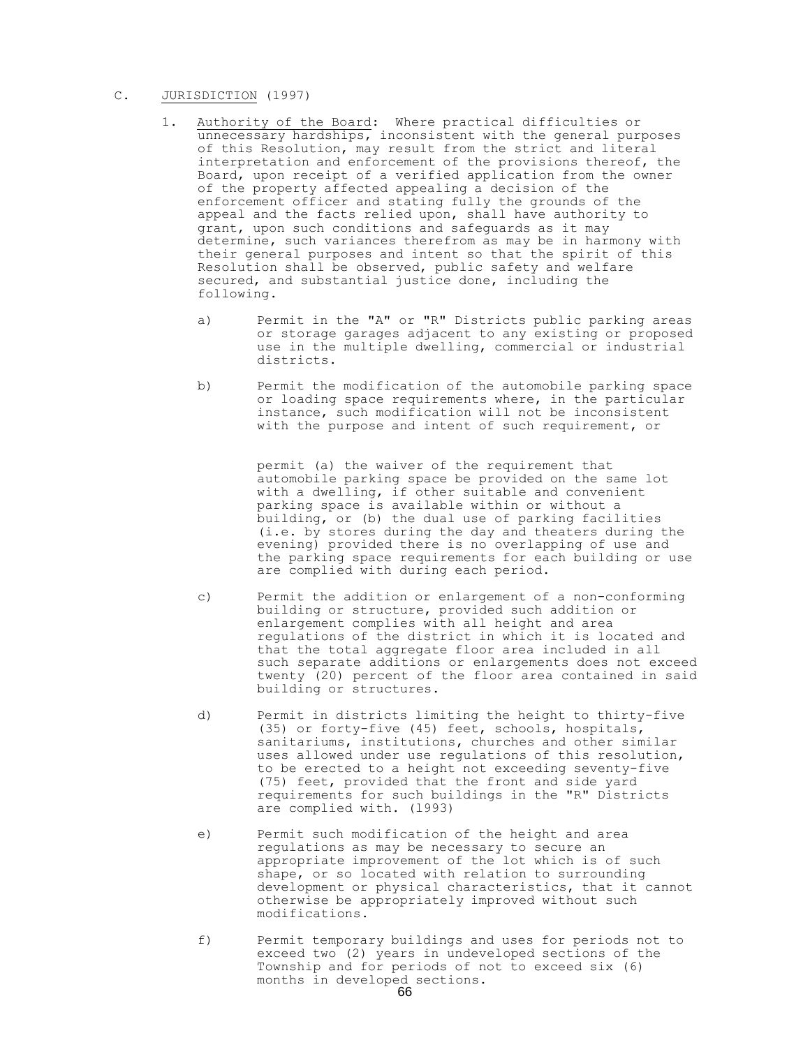# C. JURISDICTION (1997)

- 1. Authority of the Board: Where practical difficulties or unnecessary hardships, inconsistent with the general purposes of this Resolution, may result from the strict and literal interpretation and enforcement of the provisions thereof, the Board, upon receipt of a verified application from the owner of the property affected appealing a decision of the enforcement officer and stating fully the grounds of the appeal and the facts relied upon, shall have authority to grant, upon such conditions and safeguards as it may determine, such variances therefrom as may be in harmony with their general purposes and intent so that the spirit of this Resolution shall be observed, public safety and welfare secured, and substantial justice done, including the following.
	- a) Permit in the "A" or "R" Districts public parking areas or storage garages adjacent to any existing or proposed use in the multiple dwelling, commercial or industrial districts.
	- b) Permit the modification of the automobile parking space or loading space requirements where, in the particular instance, such modification will not be inconsistent with the purpose and intent of such requirement, or

permit (a) the waiver of the requirement that automobile parking space be provided on the same lot with a dwelling, if other suitable and convenient parking space is available within or without a building, or (b) the dual use of parking facilities (i.e. by stores during the day and theaters during the evening) provided there is no overlapping of use and the parking space requirements for each building or use are complied with during each period.

- c) Permit the addition or enlargement of a non-conforming building or structure, provided such addition or enlargement complies with all height and area regulations of the district in which it is located and that the total aggregate floor area included in all such separate additions or enlargements does not exceed twenty (20) percent of the floor area contained in said building or structures.
- d) Permit in districts limiting the height to thirty-five (35) or forty-five (45) feet, schools, hospitals, sanitariums, institutions, churches and other similar uses allowed under use regulations of this resolution, to be erected to a height not exceeding seventy-five (75) feet, provided that the front and side yard requirements for such buildings in the "R" Districts are complied with. (l993)
- e) Permit such modification of the height and area regulations as may be necessary to secure an appropriate improvement of the lot which is of such shape, or so located with relation to surrounding development or physical characteristics, that it cannot otherwise be appropriately improved without such modifications.
- f) Permit temporary buildings and uses for periods not to exceed two (2) years in undeveloped sections of the Township and for periods of not to exceed six (6) months in developed sections.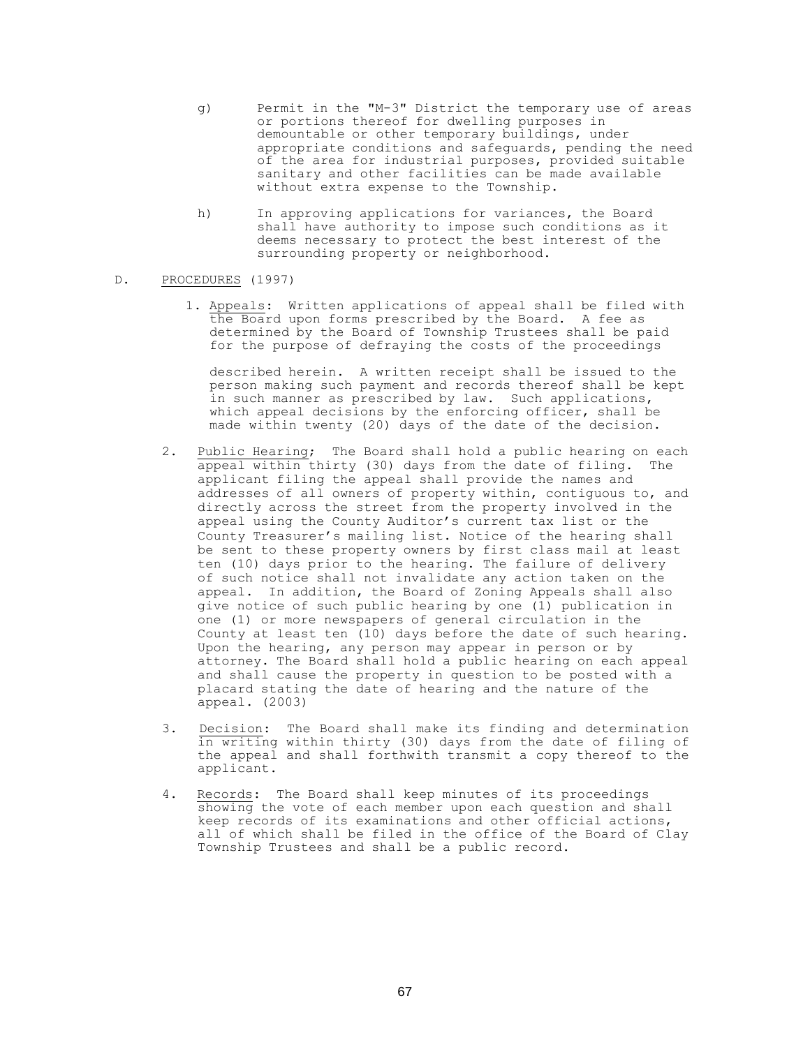- g) Permit in the "M-3" District the temporary use of areas or portions thereof for dwelling purposes in demountable or other temporary buildings, under appropriate conditions and safeguards, pending the need of the area for industrial purposes, provided suitable sanitary and other facilities can be made available without extra expense to the Township.
- h) In approving applications for variances, the Board shall have authority to impose such conditions as it deems necessary to protect the best interest of the surrounding property or neighborhood.

# D. PROCEDURES (1997)

1. Appeals: Written applications of appeal shall be filed with the Board upon forms prescribed by the Board. A fee as determined by the Board of Township Trustees shall be paid for the purpose of defraying the costs of the proceedings

described herein. A written receipt shall be issued to the person making such payment and records thereof shall be kept in such manner as prescribed by law. Such applications, which appeal decisions by the enforcing officer, shall be made within twenty (20) days of the date of the decision.

- 2. Public Hearing; The Board shall hold a public hearing on each appeal within thirty (30) days from the date of filing. The applicant filing the appeal shall provide the names and addresses of all owners of property within, contiguous to, and directly across the street from the property involved in the appeal using the County Auditor's current tax list or the County Treasurer's mailing list. Notice of the hearing shall be sent to these property owners by first class mail at least ten (10) days prior to the hearing. The failure of delivery of such notice shall not invalidate any action taken on the appeal. In addition, the Board of Zoning Appeals shall also give notice of such public hearing by one (1) publication in one (1) or more newspapers of general circulation in the County at least ten (10) days before the date of such hearing. Upon the hearing, any person may appear in person or by attorney. The Board shall hold a public hearing on each appeal and shall cause the property in question to be posted with a placard stating the date of hearing and the nature of the appeal. (2003)
- 3. Decision: The Board shall make its finding and determination in writing within thirty (30) days from the date of filing of the appeal and shall forthwith transmit a copy thereof to the applicant.
- 4. Records: The Board shall keep minutes of its proceedings showing the vote of each member upon each question and shall keep records of its examinations and other official actions, all of which shall be filed in the office of the Board of Clay Township Trustees and shall be a public record.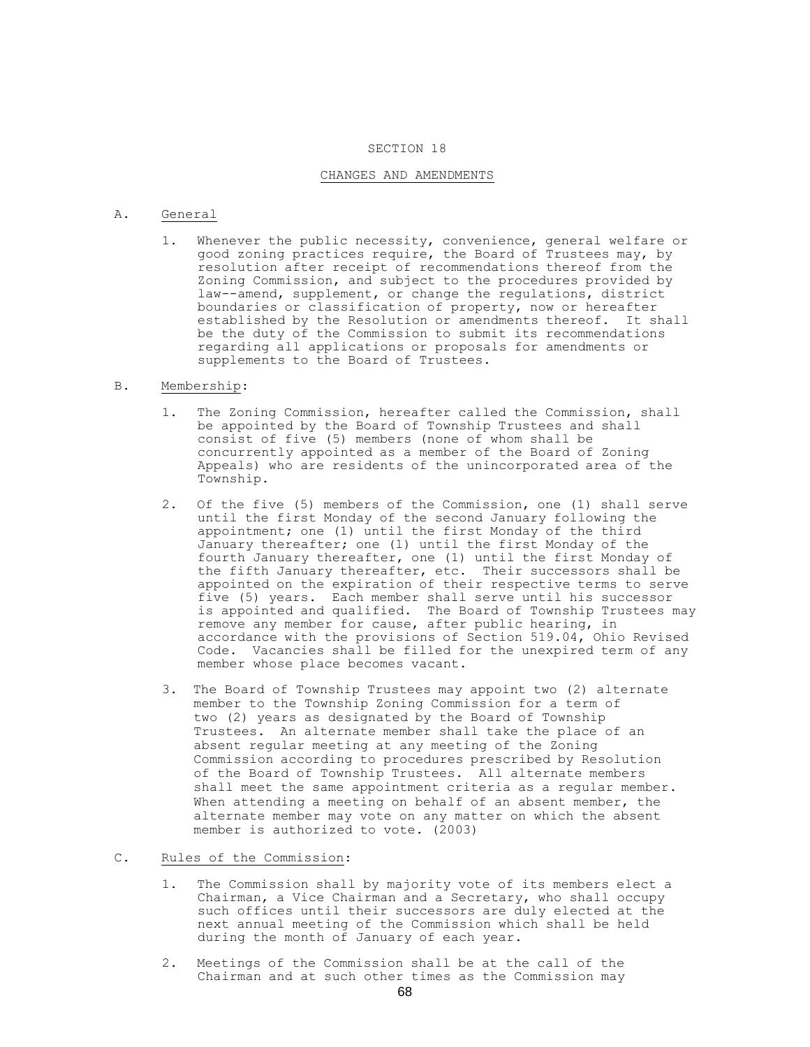#### SECTION 18

## CHANGES AND AMENDMENTS

#### A. General

1. Whenever the public necessity, convenience, general welfare or good zoning practices require, the Board of Trustees may, by resolution after receipt of recommendations thereof from the Zoning Commission, and subject to the procedures provided by law--amend, supplement, or change the regulations, district boundaries or classification of property, now or hereafter established by the Resolution or amendments thereof. It shall be the duty of the Commission to submit its recommendations regarding all applications or proposals for amendments or supplements to the Board of Trustees.

# B. Membership:

- 1. The Zoning Commission, hereafter called the Commission, shall be appointed by the Board of Township Trustees and shall consist of five (5) members (none of whom shall be concurrently appointed as a member of the Board of Zoning Appeals) who are residents of the unincorporated area of the Township.
- 2. Of the five (5) members of the Commission, one (1) shall serve until the first Monday of the second January following the appointment; one (1) until the first Monday of the third January thereafter; one (1) until the first Monday of the fourth January thereafter, one (1) until the first Monday of the fifth January thereafter, etc. Their successors shall be appointed on the expiration of their respective terms to serve five (5) years. Each member shall serve until his successor is appointed and qualified. The Board of Township Trustees may remove any member for cause, after public hearing, in accordance with the provisions of Section 519.04, Ohio Revised Code. Vacancies shall be filled for the unexpired term of any member whose place becomes vacant.
- 3. The Board of Township Trustees may appoint two (2) alternate member to the Township Zoning Commission for a term of two (2) years as designated by the Board of Township Trustees. An alternate member shall take the place of an absent regular meeting at any meeting of the Zoning Commission according to procedures prescribed by Resolution of the Board of Township Trustees. All alternate members shall meet the same appointment criteria as a regular member. When attending a meeting on behalf of an absent member, the alternate member may vote on any matter on which the absent member is authorized to vote. (2003)
- C. Rules of the Commission:
	- 1. The Commission shall by majority vote of its members elect a Chairman, a Vice Chairman and a Secretary, who shall occupy such offices until their successors are duly elected at the next annual meeting of the Commission which shall be held during the month of January of each year.
	- 2. Meetings of the Commission shall be at the call of the Chairman and at such other times as the Commission may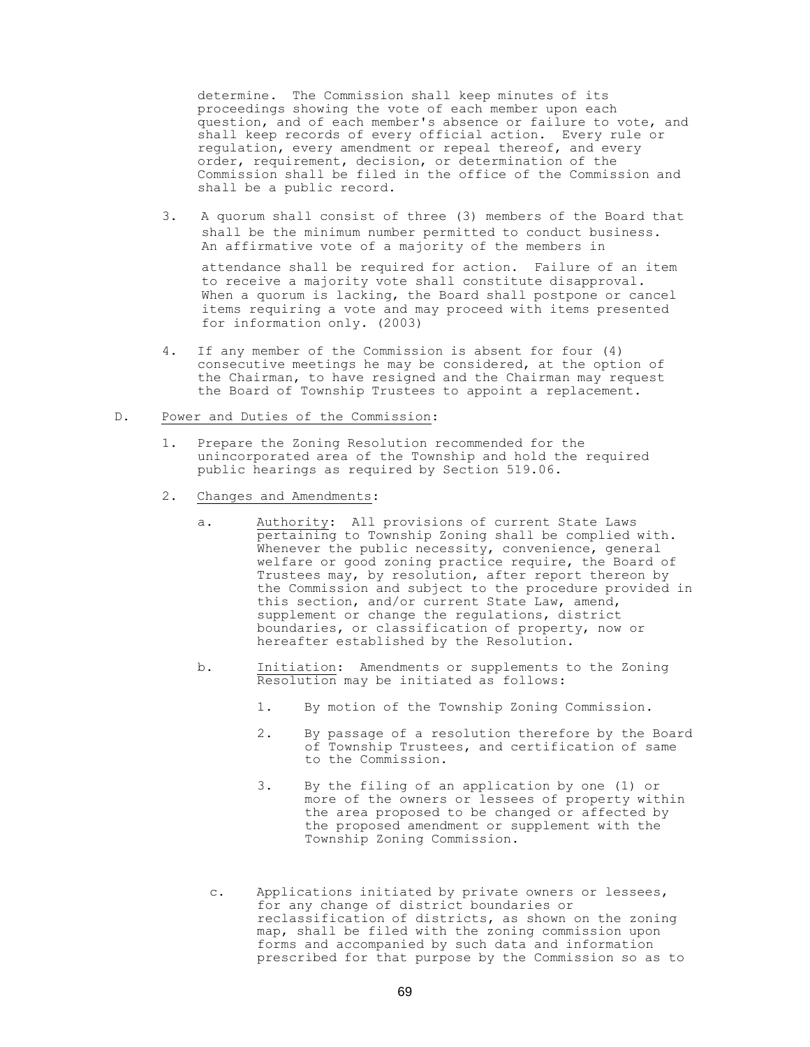determine. The Commission shall keep minutes of its proceedings showing the vote of each member upon each question, and of each member's absence or failure to vote, and shall keep records of every official action. Every rule or regulation, every amendment or repeal thereof, and every order, requirement, decision, or determination of the Commission shall be filed in the office of the Commission and shall be a public record.

3. A quorum shall consist of three (3) members of the Board that shall be the minimum number permitted to conduct business. An affirmative vote of a majority of the members in

attendance shall be required for action. Failure of an item to receive a majority vote shall constitute disapproval. When a quorum is lacking, the Board shall postpone or cancel items requiring a vote and may proceed with items presented for information only. (2003)

4. If any member of the Commission is absent for four (4) consecutive meetings he may be considered, at the option of the Chairman, to have resigned and the Chairman may request the Board of Township Trustees to appoint a replacement.

# D. Power and Duties of the Commission:

- 1. Prepare the Zoning Resolution recommended for the unincorporated area of the Township and hold the required public hearings as required by Section 519.06.
- 2. Changes and Amendments:
	- a. Authority: All provisions of current State Laws pertaining to Township Zoning shall be complied with. whenever the public necessity, convenience, general welfare or good zoning practice require, the Board of Trustees may, by resolution, after report thereon by the Commission and subject to the procedure provided in this section, and/or current State Law, amend, supplement or change the regulations, district boundaries, or classification of property, now or hereafter established by the Resolution.
	- b. Initiation: Amendments or supplements to the Zoning Resolution may be initiated as follows:
		- 1. By motion of the Township Zoning Commission.
		- 2. By passage of a resolution therefore by the Board of Township Trustees, and certification of same to the Commission.
		- 3. By the filing of an application by one (1) or more of the owners or lessees of property within the area proposed to be changed or affected by the proposed amendment or supplement with the Township Zoning Commission.
		- c. Applications initiated by private owners or lessees, for any change of district boundaries or reclassification of districts, as shown on the zoning map, shall be filed with the zoning commission upon forms and accompanied by such data and information prescribed for that purpose by the Commission so as to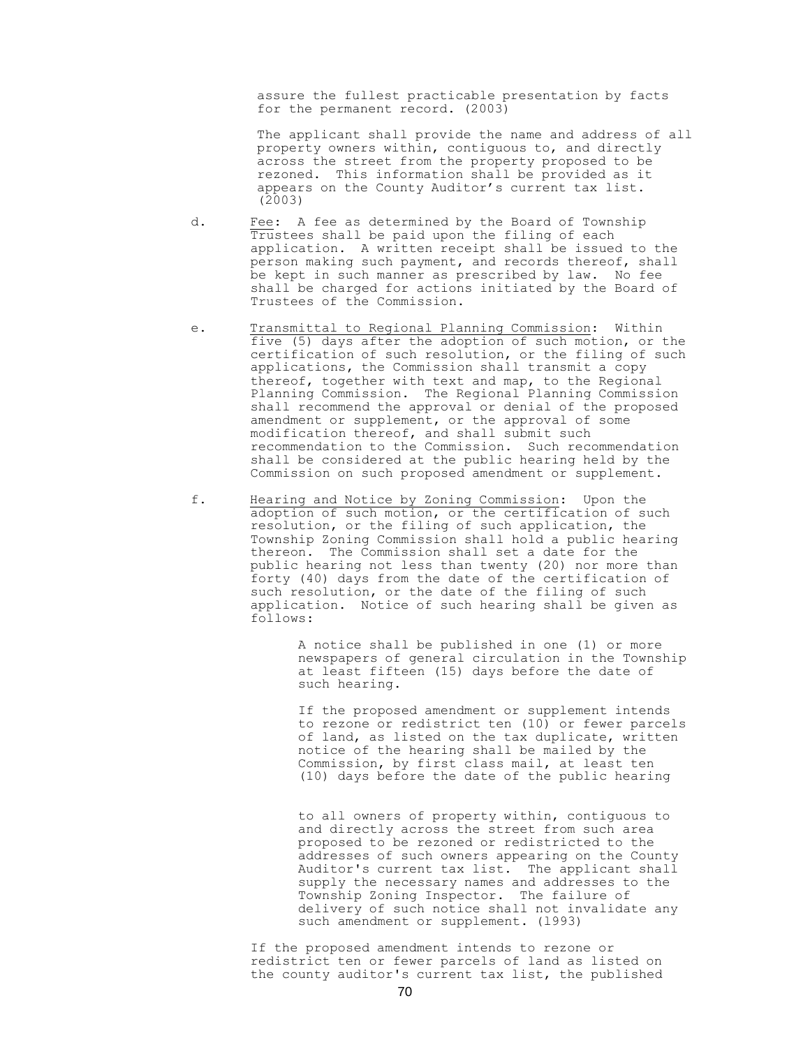assure the fullest practicable presentation by facts for the permanent record. (2003)

The applicant shall provide the name and address of all property owners within, contiguous to, and directly across the street from the property proposed to be rezoned. This information shall be provided as it appears on the County Auditor's current tax list. (2003)

- d. Fee: A fee as determined by the Board of Township Trustees shall be paid upon the filing of each application. A written receipt shall be issued to the person making such payment, and records thereof, shall be kept in such manner as prescribed by law. No fee shall be charged for actions initiated by the Board of Trustees of the Commission.
- e. Transmittal to Regional Planning Commission: Within five (5) days after the adoption of such motion, or the certification of such resolution, or the filing of such applications, the Commission shall transmit a copy thereof, together with text and map, to the Regional Planning Commission. The Regional Planning Commission shall recommend the approval or denial of the proposed amendment or supplement, or the approval of some modification thereof, and shall submit such recommendation to the Commission. Such recommendation shall be considered at the public hearing held by the Commission on such proposed amendment or supplement.
- f. Hearing and Notice by Zoning Commission: Upon the adoption of such motion, or the certification of such resolution, or the filing of such application, the Township Zoning Commission shall hold a public hearing thereon. The Commission shall set a date for the public hearing not less than twenty (20) nor more than forty (40) days from the date of the certification of such resolution, or the date of the filing of such application. Notice of such hearing shall be given as follows:

A notice shall be published in one (1) or more newspapers of general circulation in the Township at least fifteen (15) days before the date of such hearing.

If the proposed amendment or supplement intends to rezone or redistrict ten (10) or fewer parcels of land, as listed on the tax duplicate, written notice of the hearing shall be mailed by the Commission, by first class mail, at least ten (10) days before the date of the public hearing

to all owners of property within, contiguous to and directly across the street from such area proposed to be rezoned or redistricted to the addresses of such owners appearing on the County Auditor's current tax list. The applicant shall supply the necessary names and addresses to the Township Zoning Inspector. The failure of delivery of such notice shall not invalidate any such amendment or supplement. (1993)

If the proposed amendment intends to rezone or redistrict ten or fewer parcels of land as listed on the county auditor's current tax list, the published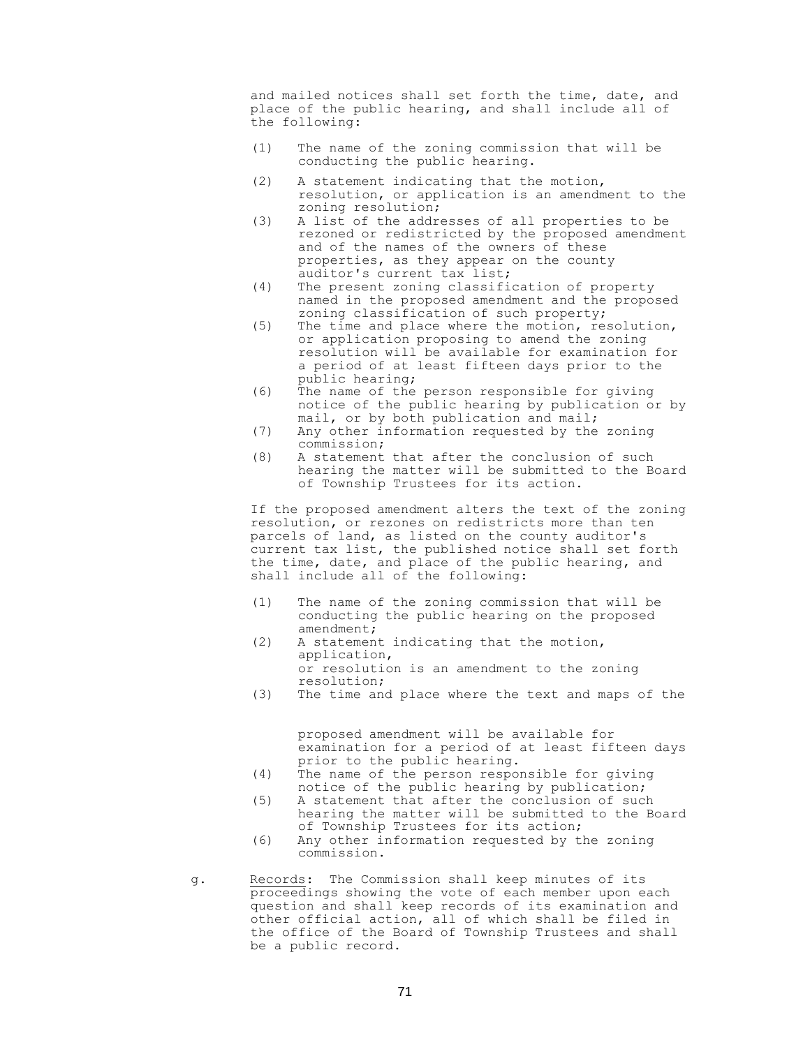and mailed notices shall set forth the time, date, and place of the public hearing, and shall include all of the following:

- (1) The name of the zoning commission that will be conducting the public hearing.
- (2) A statement indicating that the motion, resolution, or application is an amendment to the zoning resolution;
- (3) A list of the addresses of all properties to be rezoned or redistricted by the proposed amendment and of the names of the owners of these properties, as they appear on the county auditor's current tax list;
- (4) The present zoning classification of property named in the proposed amendment and the proposed zoning classification of such property;
- (5) The time and place where the motion, resolution, or application proposing to amend the zoning resolution will be available for examination for a period of at least fifteen days prior to the public hearing;
- (6) The name of the person responsible for giving notice of the public hearing by publication or by mail, or by both publication and mail;
- (7) Any other information requested by the zoning commission;
- (8) A statement that after the conclusion of such hearing the matter will be submitted to the Board of Township Trustees for its action.

If the proposed amendment alters the text of the zoning resolution, or rezones on redistricts more than ten parcels of land, as listed on the county auditor's current tax list, the published notice shall set forth the time, date, and place of the public hearing, and shall include all of the following:

- (1) The name of the zoning commission that will be conducting the public hearing on the proposed amendment;
- (2) A statement indicating that the motion, application, or resolution is an amendment to the zoning resolution;
- (3) The time and place where the text and maps of the

proposed amendment will be available for examination for a period of at least fifteen days prior to the public hearing.

- (4) The name of the person responsible for giving notice of the public hearing by publication;
- (5) A statement that after the conclusion of such hearing the matter will be submitted to the Board of Township Trustees for its action;
- (6) Any other information requested by the zoning commission.
- g. Records: The Commission shall keep minutes of its proceedings showing the vote of each member upon each question and shall keep records of its examination and other official action, all of which shall be filed in the office of the Board of Township Trustees and shall be a public record.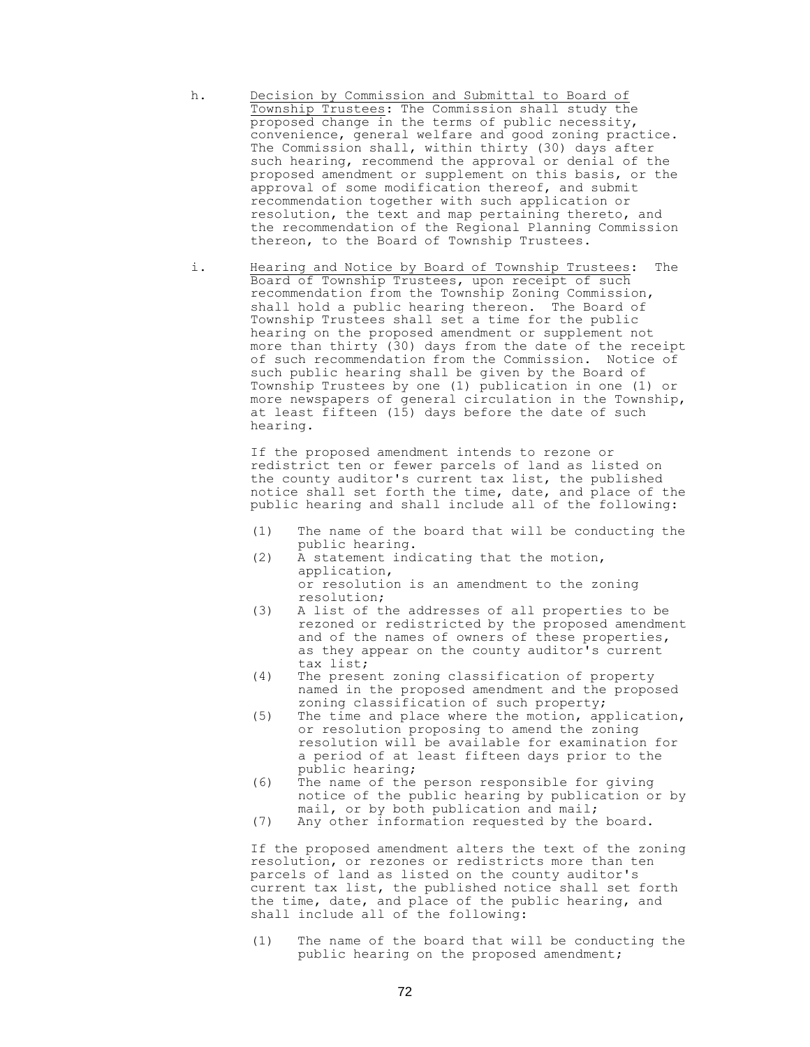```
h. Decision by Commission and Submittal to Board of
Township Trustees: The Commission shall study the 
proposed change in the terms of public necessity, 
convenience, general welfare and good zoning practice. 
The Commission shall, within thirty (30) days after
such hearing, recommend the approval or denial of the 
proposed amendment or supplement on this basis, or the 
approval of some modification thereof, and submit 
recommendation together with such application or 
resolution, the text and map pertaining thereto, and 
the recommendation of the Regional Planning Commission 
thereon, to the Board of Township Trustees.
```
i. Hearing and Notice by Board of Township Trustees: The Board of Township Trustees, upon receipt of such recommendation from the Township Zoning Commission, shall hold a public hearing thereon. The Board of Township Trustees shall set a time for the public hearing on the proposed amendment or supplement not more than thirty (30) days from the date of the receipt of such recommendation from the Commission. Notice of such public hearing shall be given by the Board of Township Trustees by one (1) publication in one (1) or more newspapers of general circulation in the Township, at least fifteen (15) days before the date of such hearing.

> If the proposed amendment intends to rezone or redistrict ten or fewer parcels of land as listed on the county auditor's current tax list, the published notice shall set forth the time, date, and place of the public hearing and shall include all of the following:

- (1) The name of the board that will be conducting the public hearing.
- (2) A statement indicating that the motion, application, or resolution is an amendment to the zoning resolution;
- (3) A list of the addresses of all properties to be rezoned or redistricted by the proposed amendment and of the names of owners of these properties, as they appear on the county auditor's current tax list;
- (4) The present zoning classification of property named in the proposed amendment and the proposed zoning classification of such property;
- (5) The time and place where the motion, application, or resolution proposing to amend the zoning resolution will be available for examination for a period of at least fifteen days prior to the public hearing;
- (6) The name of the person responsible for giving notice of the public hearing by publication or by mail, or by both publication and mail;
- (7) Any other information requested by the board.

If the proposed amendment alters the text of the zoning resolution, or rezones or redistricts more than ten parcels of land as listed on the county auditor's current tax list, the published notice shall set forth the time, date, and place of the public hearing, and shall include all of the following:

(1) The name of the board that will be conducting the public hearing on the proposed amendment;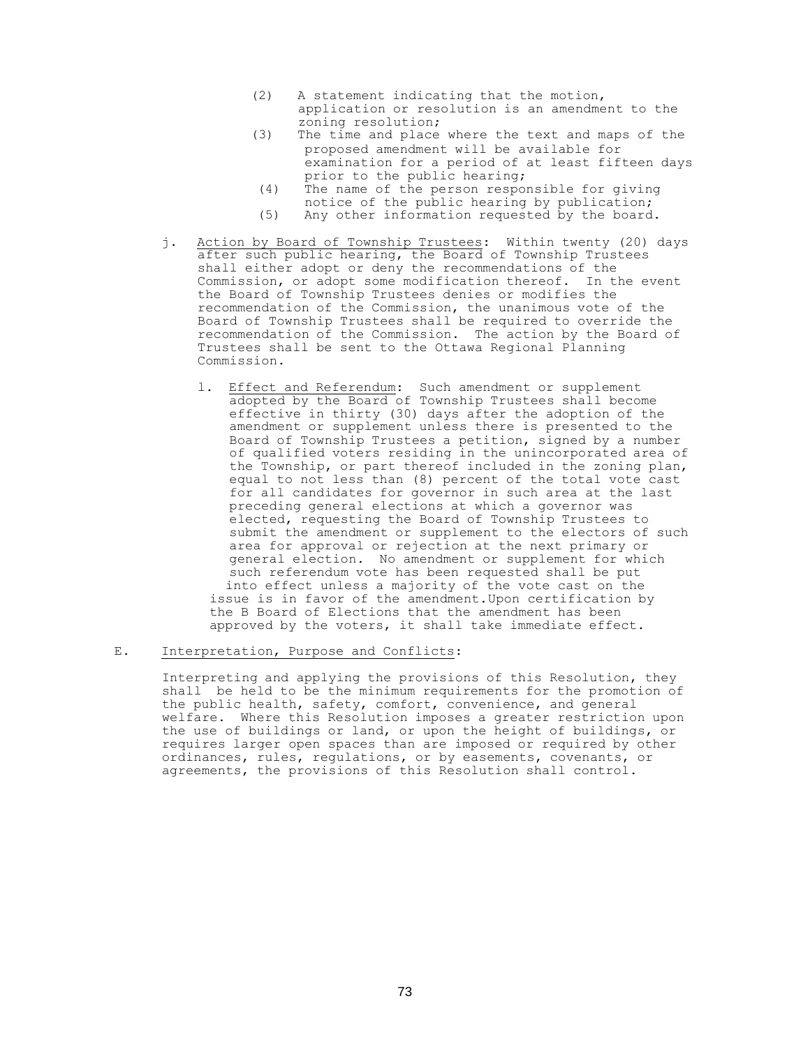- (2) A statement indicating that the motion, application or resolution is an amendment to the zoning resolution;
- (3) The time and place where the text and maps of the proposed amendment will be available for examination for a period of at least fifteen days prior to the public hearing;
- (4) The name of the person responsible for giving notice of the public hearing by publication;
- (5) Any other information requested by the board.
- j. Action by Board of Township Trustees: Within twenty (20) days after such public hearing, the Board of Township Trustees shall either adopt or deny the recommendations of the Commission, or adopt some modification thereof. In the event the Board of Township Trustees denies or modifies the recommendation of the Commission, the unanimous vote of the Board of Township Trustees shall be required to override the recommendation of the Commission. The action by the Board of Trustees shall be sent to the Ottawa Regional Planning Commission.
	- l. Effect and Referendum: Such amendment or supplement adopted by the Board of Township Trustees shall become effective in thirty (30) days after the adoption of the amendment or supplement unless there is presented to the Board of Township Trustees a petition, signed by a number of qualified voters residing in the unincorporated area of the Township, or part thereof included in the zoning plan, equal to not less than (8) percent of the total vote cast for all candidates for governor in such area at the last preceding general elections at which a governor was elected, requesting the Board of Township Trustees to submit the amendment or supplement to the electors of such area for approval or rejection at the next primary or general election. No amendment or supplement for which such referendum vote has been requested shall be put into effect unless a majority of the vote cast on the issue is in favor of the amendment.Upon certification by the B Board of Elections that the amendment has been approved by the voters, it shall take immediate effect.

#### E. Interpretation, Purpose and Conflicts:

Interpreting and applying the provisions of this Resolution, they shall be held to be the minimum requirements for the promotion of the public health, safety, comfort, convenience, and general welfare. Where this Resolution imposes a greater restriction upon the use of buildings or land, or upon the height of buildings, or requires larger open spaces than are imposed or required by other ordinances, rules, regulations, or by easements, covenants, or agreements, the provisions of this Resolution shall control.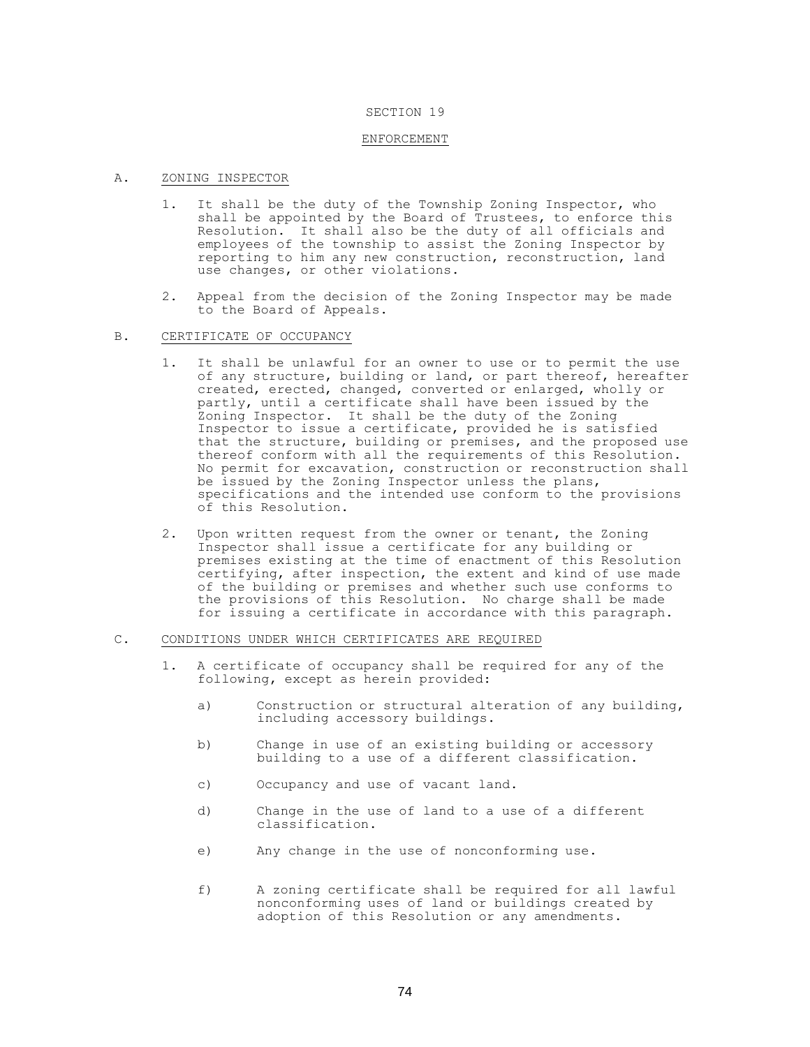#### SECTION 19

#### ENFORCEMENT

#### A. ZONING INSPECTOR

- 1. It shall be the duty of the Township Zoning Inspector, who shall be appointed by the Board of Trustees, to enforce this Resolution. It shall also be the duty of all officials and employees of the township to assist the Zoning Inspector by reporting to him any new construction, reconstruction, land use changes, or other violations.
- 2. Appeal from the decision of the Zoning Inspector may be made to the Board of Appeals.
- B. CERTIFICATE OF OCCUPANCY
	- 1. It shall be unlawful for an owner to use or to permit the use of any structure, building or land, or part thereof, hereafter created, erected, changed, converted or enlarged, wholly or partly, until a certificate shall have been issued by the Zoning Inspector. It shall be the duty of the Zoning Inspector to issue a certificate, provided he is satisfied that the structure, building or premises, and the proposed use thereof conform with all the requirements of this Resolution. No permit for excavation, construction or reconstruction shall be issued by the Zoning Inspector unless the plans, specifications and the intended use conform to the provisions of this Resolution.
	- 2. Upon written request from the owner or tenant, the Zoning Inspector shall issue a certificate for any building or premises existing at the time of enactment of this Resolution certifying, after inspection, the extent and kind of use made of the building or premises and whether such use conforms to the provisions of this Resolution. No charge shall be made for issuing a certificate in accordance with this paragraph.

### C. CONDITIONS UNDER WHICH CERTIFICATES ARE REQUIRED

- 1. A certificate of occupancy shall be required for any of the following, except as herein provided:
	- a) Construction or structural alteration of any building, including accessory buildings.
	- b) Change in use of an existing building or accessory building to a use of a different classification.
	- c) Occupancy and use of vacant land.
	- d) Change in the use of land to a use of a different classification.
	- e) Any change in the use of nonconforming use.
	- f) A zoning certificate shall be required for all lawful nonconforming uses of land or buildings created by adoption of this Resolution or any amendments.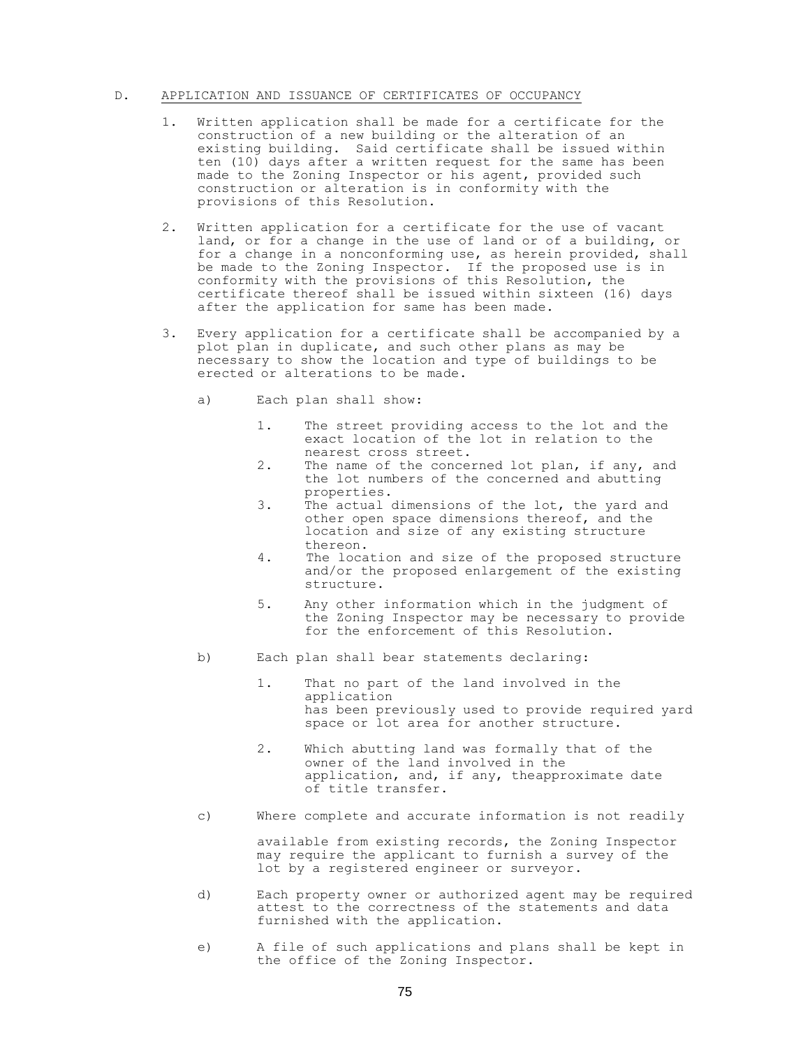### D. APPLICATION AND ISSUANCE OF CERTIFICATES OF OCCUPANCY

- 1. Written application shall be made for a certificate for the construction of a new building or the alteration of an existing building. Said certificate shall be issued within ten (10) days after a written request for the same has been made to the Zoning Inspector or his agent, provided such construction or alteration is in conformity with the provisions of this Resolution.
- 2. Written application for a certificate for the use of vacant land, or for a change in the use of land or of a building, or for a change in a nonconforming use, as herein provided, shall be made to the Zoning Inspector. If the proposed use is in conformity with the provisions of this Resolution, the certificate thereof shall be issued within sixteen (16) days after the application for same has been made.
- 3. Every application for a certificate shall be accompanied by a plot plan in duplicate, and such other plans as may be necessary to show the location and type of buildings to be erected or alterations to be made.
	- a) Each plan shall show:
		- 1. The street providing access to the lot and the exact location of the lot in relation to the nearest cross street.
		- 2. The name of the concerned lot plan, if any, and the lot numbers of the concerned and abutting properties.
		- 3. The actual dimensions of the lot, the yard and other open space dimensions thereof, and the location and size of any existing structure thereon.
		- 4. The location and size of the proposed structure and/or the proposed enlargement of the existing structure.
		- 5. Any other information which in the judgment of the Zoning Inspector may be necessary to provide for the enforcement of this Resolution.
	- b) Each plan shall bear statements declaring:
		- 1. That no part of the land involved in the application has been previously used to provide required yard space or lot area for another structure.
		- 2. Which abutting land was formally that of the owner of the land involved in the application, and, if any, theapproximate date of title transfer.
	- c) Where complete and accurate information is not readily

available from existing records, the Zoning Inspector may require the applicant to furnish a survey of the lot by a registered engineer or surveyor.

- d) Each property owner or authorized agent may be required attest to the correctness of the statements and data furnished with the application.
- e) A file of such applications and plans shall be kept in the office of the Zoning Inspector.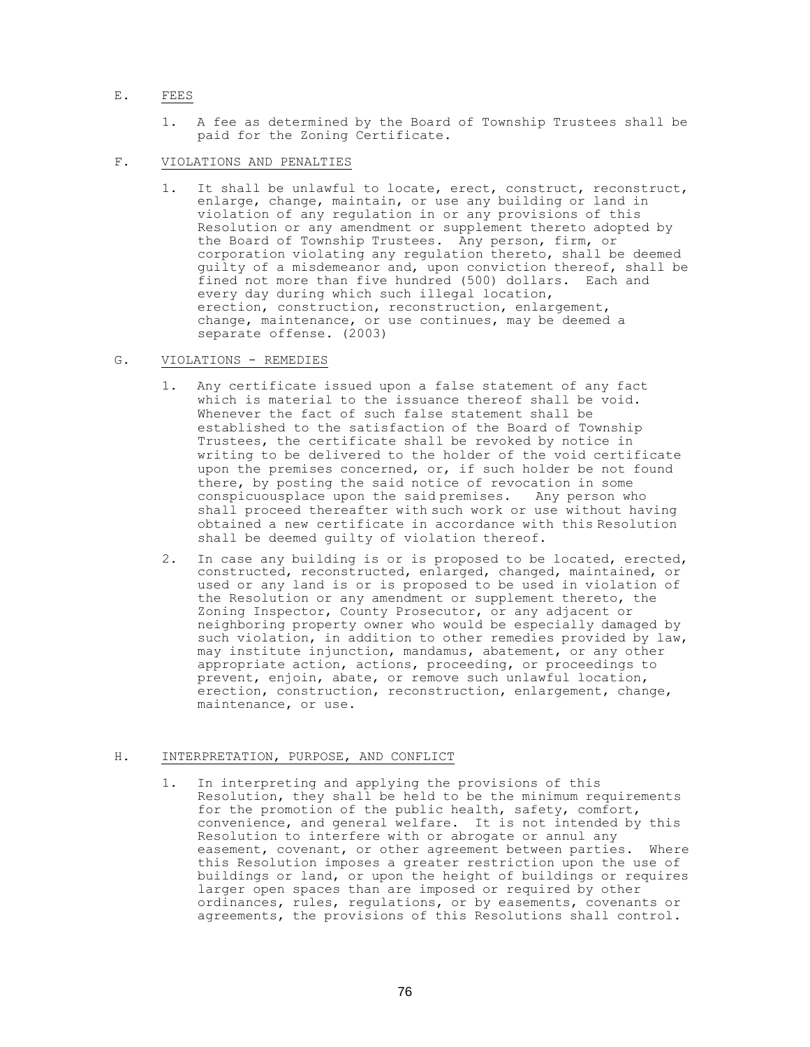## E. FEES

- 1. A fee as determined by the Board of Township Trustees shall be paid for the Zoning Certificate.
- F. VIOLATIONS AND PENALTIES
	- 1. It shall be unlawful to locate, erect, construct, reconstruct, enlarge, change, maintain, or use any building or land in violation of any regulation in or any provisions of this Resolution or any amendment or supplement thereto adopted by the Board of Township Trustees. Any person, firm, or corporation violating any regulation thereto, shall be deemed guilty of a misdemeanor and, upon conviction thereof, shall be fined not more than five hundred (500) dollars. Each and every day during which such illegal location, erection, construction, reconstruction, enlargement, change, maintenance, or use continues, may be deemed a separate offense. (2003)

#### G. VIOLATIONS - REMEDIES

- 1. Any certificate issued upon a false statement of any fact which is material to the issuance thereof shall be void. Whenever the fact of such false statement shall be established to the satisfaction of the Board of Township Trustees, the certificate shall be revoked by notice in writing to be delivered to the holder of the void certificate upon the premises concerned, or, if such holder be not found there, by posting the said notice of revocation in some conspicuousplace upon the said premises. Any person who shall proceed thereafter with such work or use without having obtained a new certificate in accordance with this Resolution shall be deemed guilty of violation thereof.
- 2. In case any building is or is proposed to be located, erected, constructed, reconstructed, enlarged, changed, maintained, or used or any land is or is proposed to be used in violation of the Resolution or any amendment or supplement thereto, the Zoning Inspector, County Prosecutor, or any adjacent or neighboring property owner who would be especially damaged by such violation, in addition to other remedies provided by law, may institute injunction, mandamus, abatement, or any other appropriate action, actions, proceeding, or proceedings to prevent, enjoin, abate, or remove such unlawful location, erection, construction, reconstruction, enlargement, change, maintenance, or use.

### H. INTERPRETATION, PURPOSE, AND CONFLICT

1. In interpreting and applying the provisions of this Resolution, they shall be held to be the minimum requirements for the promotion of the public health, safety, comfort, convenience, and general welfare. It is not intended by this Resolution to interfere with or abrogate or annul any easement, covenant, or other agreement between parties. Where this Resolution imposes a greater restriction upon the use of buildings or land, or upon the height of buildings or requires larger open spaces than are imposed or required by other ordinances, rules, regulations, or by easements, covenants or agreements, the provisions of this Resolutions shall control.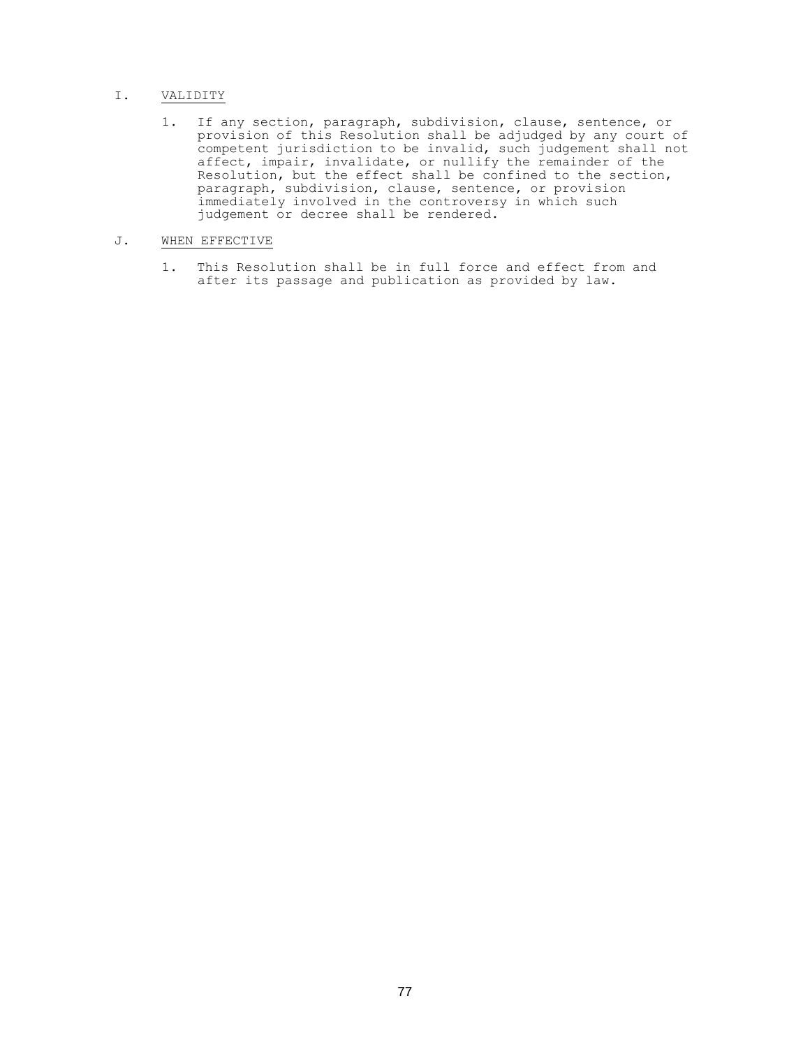## I. VALIDITY

1. If any section, paragraph, subdivision, clause, sentence, or provision of this Resolution shall be adjudged by any court of competent jurisdiction to be invalid, such judgement shall not affect, impair, invalidate, or nullify the remainder of the Resolution, but the effect shall be confined to the section, paragraph, subdivision, clause, sentence, or provision immediately involved in the controversy in which such judgement or decree shall be rendered.

## J. WHEN EFFECTIVE

1. This Resolution shall be in full force and effect from and after its passage and publication as provided by law.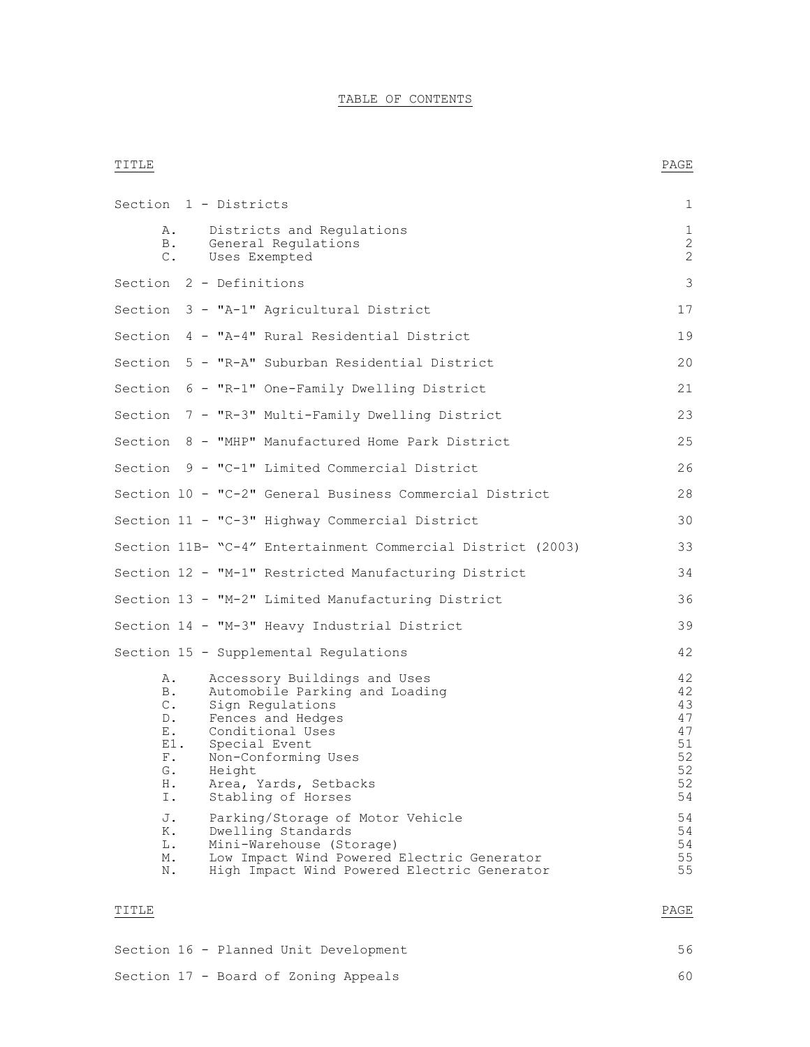## TABLE OF CONTENTS

### TITLE PAGE AND RESERVE AND RESERVE ASSESSED AS A STRUCK OF A STRUCK OF PAGE AND RESERVE ASSESSED ASSESSED AND RESERVE ASSESSED AND RESERVE ASSESSED AND RELATIONS OF A STRUCK OF A STRUCK OF A STRUCK OF A STRUCK OF A STRUCK

| Section 1 - Districts                                                      |               |        |                                                                                                                                                                                                                    | 1                                                        |
|----------------------------------------------------------------------------|---------------|--------|--------------------------------------------------------------------------------------------------------------------------------------------------------------------------------------------------------------------|----------------------------------------------------------|
| Α.<br>B.                                                                   | $\mathbb C$ . |        | Districts and Regulations<br>General Regulations<br>Uses Exempted                                                                                                                                                  | $\mathbf 1$<br>2<br>$\mathbf{2}$                         |
| Section 2 - Definitions                                                    |               |        |                                                                                                                                                                                                                    | 3                                                        |
|                                                                            |               |        | Section 3 - "A-1" Agricultural District                                                                                                                                                                            | 17                                                       |
|                                                                            |               |        | Section 4 - "A-4" Rural Residential District                                                                                                                                                                       | 19                                                       |
|                                                                            |               |        | Section 5 - "R-A" Suburban Residential District                                                                                                                                                                    | 20                                                       |
|                                                                            |               |        | Section 6 - "R-1" One-Family Dwelling District                                                                                                                                                                     | 21                                                       |
|                                                                            |               |        | Section 7 - "R-3" Multi-Family Dwelling District                                                                                                                                                                   | 23                                                       |
|                                                                            |               |        | Section 8 - "MHP" Manufactured Home Park District                                                                                                                                                                  | 25                                                       |
|                                                                            |               |        | Section 9 - "C-1" Limited Commercial District                                                                                                                                                                      | 26                                                       |
|                                                                            |               |        | Section 10 - "C-2" General Business Commercial District                                                                                                                                                            | 28                                                       |
|                                                                            |               |        | Section 11 - "C-3" Highway Commercial District                                                                                                                                                                     | 30                                                       |
|                                                                            |               |        | Section 11B- "C-4" Entertainment Commercial District (2003)                                                                                                                                                        | 33                                                       |
|                                                                            |               |        | Section 12 - "M-1" Restricted Manufacturing District                                                                                                                                                               | 34                                                       |
|                                                                            |               |        | Section 13 - "M-2" Limited Manufacturing District                                                                                                                                                                  | 36                                                       |
|                                                                            |               |        | Section 14 - "M-3" Heavy Industrial District                                                                                                                                                                       | 39                                                       |
|                                                                            |               |        | Section 15 - Supplemental Regulations                                                                                                                                                                              | 42                                                       |
| Α.<br><b>B</b> .<br>С.<br>$D$ .<br>Ε.<br>$E1$ .<br>$F$ .<br>G.<br>Η.<br>Ι. |               | Height | Accessory Buildings and Uses<br>Automobile Parking and Loading<br>Sign Regulations<br>Fences and Hedges<br>Conditional Uses<br>Special Event<br>Non-Conforming Uses<br>Area, Yards, Setbacks<br>Stabling of Horses | 42<br>42<br>43<br>47<br>47<br>51<br>52<br>52<br>52<br>54 |
| J.<br>Κ.<br>L.<br>М.<br>N.                                                 |               |        | Parking/Storage of Motor Vehicle<br>Dwelling Standards<br>Mini-Warehouse (Storage)<br>Low Impact Wind Powered Electric Generator<br>High Impact Wind Powered Electric Generator                                    | 54<br>54<br>54<br>55<br>55                               |

## TITLE PAGE AND RESERVE AND RESERVE ASSESSED AS A STRUCK OF A STRUCK OF PAGE AND RESERVE ASSESSED ASSESSED AND RESERVE ASSESSED AND RESERVE ASSESSED AND RELATIONS OF A STRUCK OF A STRUCK OF A STRUCK OF A STRUCK OF A STRUCK

|  | Section 16 - Planned Unit Development | 56  |
|--|---------------------------------------|-----|
|  | Section 17 - Board of Zoning Appeals  | 60. |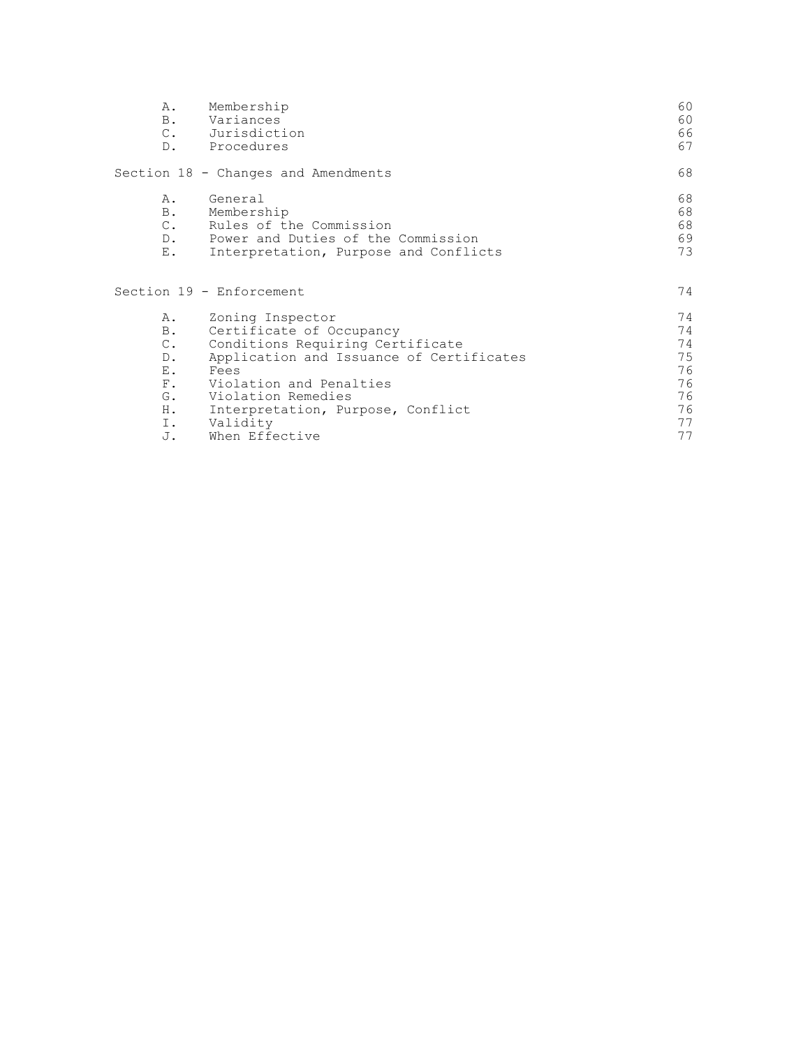| Α.                                                                                                 | Membership<br>B. Variances<br>C. Jurisdiction<br>D. Procedures                                                                                                                                                                                           | 60<br>60<br>66<br>67                                     |
|----------------------------------------------------------------------------------------------------|----------------------------------------------------------------------------------------------------------------------------------------------------------------------------------------------------------------------------------------------------------|----------------------------------------------------------|
|                                                                                                    | Section 18 - Changes and Amendments                                                                                                                                                                                                                      | 68                                                       |
| Α.<br><b>B</b> .<br>$C_{\bullet}$<br>Ε.                                                            | General<br>Membership<br>Rules of the Commission<br>D. Power and Duties of the Commission<br>Interpretation, Purpose and Conflicts                                                                                                                       | 68<br>68<br>68<br>69<br>73                               |
|                                                                                                    | Section 19 - Enforcement                                                                                                                                                                                                                                 | 74                                                       |
| A.<br>B.<br>$\mathbb{C}$ .<br>$D$ .<br>$E_{\perp}$<br>$F_{\rm A}$<br>G.<br>$H_{\star}$<br>I.<br>J. | Zoning Inspector<br>Certificate of Occupancy<br>Conditions Requiring Certificate<br>Application and Issuance of Certificates<br>Fees<br>Violation and Penalties<br>Violation Remedies<br>Interpretation, Purpose, Conflict<br>Validity<br>When Effective | 74<br>74<br>74<br>75<br>76<br>76<br>76<br>76<br>77<br>77 |